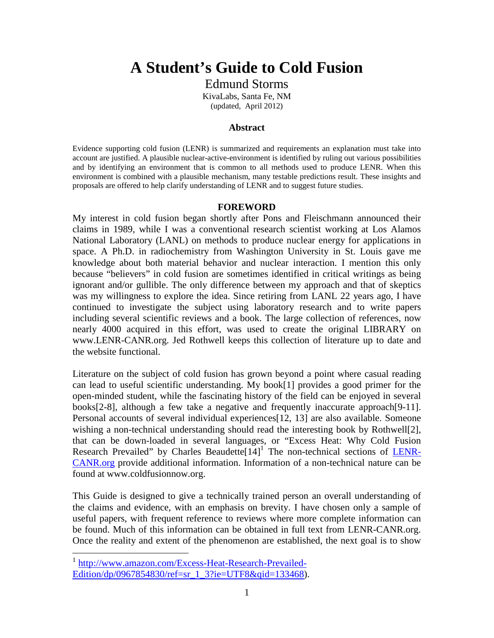# **A Student's Guide to Cold Fusion**

Edmund Storms

KivaLabs, Santa Fe, NM (updated, April 2012)

#### **Abstract**

Evidence supporting cold fusion (LENR) is summarized and requirements an explanation must take into account are justified. A plausible nuclear-active-environment is identified by ruling out various possibilities and by identifying an environment that is common to all methods used to produce LENR. When this environment is combined with a plausible mechanism, many testable predictions result. These insights and proposals are offered to help clarify understanding of LENR and to suggest future studies.

#### **FOREWORD**

My interest in cold fusion began shortly after Pons and Fleischmann announced their claims in 1989, while I was a conventional research scientist working at Los Alamos National Laboratory (LANL) on methods to produce nuclear energy for applications in space. A Ph.D. in radiochemistry from Washington University in St. Louis gave me knowledge about both material behavior and nuclear interaction. I mention this only because "believers" in cold fusion are sometimes identified in critical writings as being ignorant and/or gullible. The only difference between my approach and that of skeptics was my willingness to explore the idea. Since retiring from LANL 22 years ago, I have continued to investigate the subject using laboratory research and to write papers including several scientific reviews and a book. The large collection of references, now nearly 4000 acquired in this effort, was used to create the original LIBRARY on www.LENR-CANR.org. Jed Rothwell keeps this collection of literature up to date and the website functional.

Literature on the subject of cold fusion has grown beyond a point where casual reading can lead to useful scientific understanding. My book[1] provides a good primer for the open-minded student, while the fascinating history of the field can be enjoyed in several books[2-8], although a few take a negative and frequently inaccurate approach[9-11]. Personal accounts of several individual experiences[12, 13] are also available. Someone wishing a non-technical understanding should read the interesting book by Rothwell[2], that can be down-loaded in several languages, or "Excess Heat: Why Cold Fusion Research Prevailed" by Charles Beaudette $[14]$ <sup>1</sup> The non-technical sections of LENR-CANR.org provide additional information. Information of a non-technical nature can be found at www.coldfusionnow.org.

This Guide is designed to give a technically trained person an overall understanding of the claims and evidence, with an emphasis on brevity. I have chosen only a sample of useful papers, with frequent reference to reviews where more complete information can be found. Much of this information can be obtained in full text from LENR-CANR.org. Once the reality and extent of the phenomenon are established, the next goal is to show

<sup>&</sup>lt;sup>1</sup> http://www.amazon.com/Excess-Heat-Research-Prevailed-Edition/dp/0967854830/ref=sr\_1\_3?ie=UTF8&qid=133468).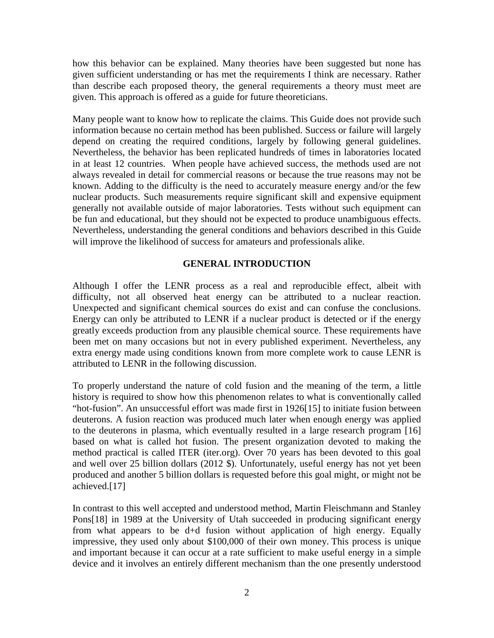how this behavior can be explained. Many theories have been suggested but none has given sufficient understanding or has met the requirements I think are necessary. Rather than describe each proposed theory, the general requirements a theory must meet are given. This approach is offered as a guide for future theoreticians.

Many people want to know how to replicate the claims. This Guide does not provide such information because no certain method has been published. Success or failure will largely depend on creating the required conditions, largely by following general guidelines. Nevertheless, the behavior has been replicated hundreds of times in laboratories located in at least 12 countries. When people have achieved success, the methods used are not always revealed in detail for commercial reasons or because the true reasons may not be known. Adding to the difficulty is the need to accurately measure energy and/or the few nuclear products. Such measurements require significant skill and expensive equipment generally not available outside of major laboratories. Tests without such equipment can be fun and educational, but they should not be expected to produce unambiguous effects. Nevertheless, understanding the general conditions and behaviors described in this Guide will improve the likelihood of success for amateurs and professionals alike.

# **GENERAL INTRODUCTION**

Although I offer the LENR process as a real and reproducible effect, albeit with difficulty, not all observed heat energy can be attributed to a nuclear reaction. Unexpected and significant chemical sources do exist and can confuse the conclusions. Energy can only be attributed to LENR if a nuclear product is detected or if the energy greatly exceeds production from any plausible chemical source. These requirements have been met on many occasions but not in every published experiment. Nevertheless, any extra energy made using conditions known from more complete work to cause LENR is attributed to LENR in the following discussion.

To properly understand the nature of cold fusion and the meaning of the term, a little history is required to show how this phenomenon relates to what is conventionally called "hot-fusion". An unsuccessful effort was made first in 1926[15] to initiate fusion between deuterons. A fusion reaction was produced much later when enough energy was applied to the deuterons in plasma, which eventually resulted in a large research program [16] based on what is called hot fusion. The present organization devoted to making the method practical is called ITER (iter.org). Over 70 years has been devoted to this goal and well over 25 billion dollars (2012 \$). Unfortunately, useful energy has not yet been produced and another 5 billion dollars is requested before this goal might, or might not be achieved.[17]

In contrast to this well accepted and understood method, Martin Fleischmann and Stanley Pons[18] in 1989 at the University of Utah succeeded in producing significant energy from what appears to be d+d fusion without application of high energy. Equally impressive, they used only about \$100,000 of their own money. This process is unique and important because it can occur at a rate sufficient to make useful energy in a simple device and it involves an entirely different mechanism than the one presently understood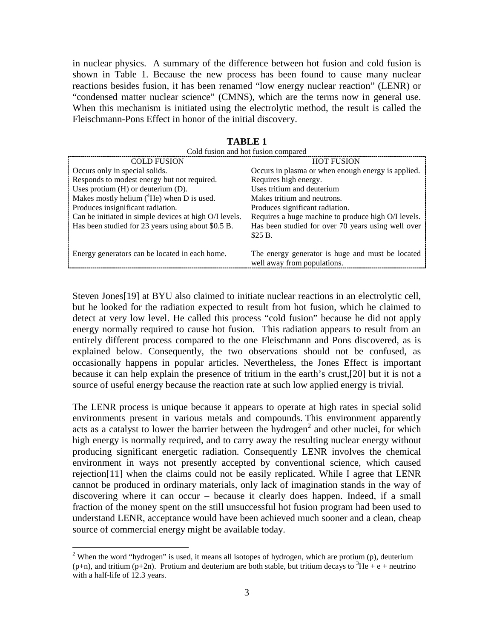in nuclear physics. A summary of the difference between hot fusion and cold fusion is shown in Table 1. Because the new process has been found to cause many nuclear reactions besides fusion, it has been renamed "low energy nuclear reaction" (LENR) or "condensed matter nuclear science" (CMNS), which are the terms now in general use. When this mechanism is initiated using the electrolytic method, the result is called the Fleischmann-Pons Effect in honor of the initial discovery.

| Cold fusion and hot fusion compared                    |                                                     |  |
|--------------------------------------------------------|-----------------------------------------------------|--|
| <b>COLD FUSION</b>                                     | <b>HOT FUSION</b>                                   |  |
| Occurs only in special solids.                         | Occurs in plasma or when enough energy is applied.  |  |
| Responds to modest energy but not required.            | Requires high energy.                               |  |
| Uses protium $(H)$ or deuterium $(D)$ .                | Uses tritium and deuterium                          |  |
| Makes mostly helium $(^{4}He)$ when D is used.         | Makes tritium and neutrons.                         |  |
| Produces insignificant radiation.                      | Produces significant radiation.                     |  |
| Can be initiated in simple devices at high O/I levels. | Requires a huge machine to produce high O/I levels. |  |
| Has been studied for 23 years using about \$0.5 B.     | Has been studied for over 70 years using well over  |  |
|                                                        | $$25B$ .                                            |  |
| Energy generators can be located in each home.         | The energy generator is huge and must be located    |  |
|                                                        | well away from populations.                         |  |

**TABLE 1**

Steven Jones[19] at BYU also claimed to initiate nuclear reactions in an electrolytic cell, but he looked for the radiation expected to result from hot fusion, which he claimed to detect at very low level. He called this process "cold fusion" because he did not apply energy normally required to cause hot fusion. This radiation appears to result from an entirely different process compared to the one Fleischmann and Pons discovered, as is explained below. Consequently, the two observations should not be confused, as occasionally happens in popular articles. Nevertheless, the Jones Effect is important because it can help explain the presence of tritium in the earth's crust,[20] but it is not a source of useful energy because the reaction rate at such low applied energy is trivial.

The LENR process is unique because it appears to operate at high rates in special solid environments present in various metals and compounds. This environment apparently acts as a catalyst to lower the barrier between the hydrogen<sup>2</sup> and other nuclei, for which high energy is normally required, and to carry away the resulting nuclear energy without producing significant energetic radiation. Consequently LENR involves the chemical environment in ways not presently accepted by conventional science, which caused rejection[11] when the claims could not be easily replicated. While I agree that LENR cannot be produced in ordinary materials, only lack of imagination stands in the way of discovering where it can occur – because it clearly does happen. Indeed, if a small fraction of the money spent on the still unsuccessful hot fusion program had been used to understand LENR, acceptance would have been achieved much sooner and a clean, cheap source of commercial energy might be available today.

<sup>&</sup>lt;sup>2</sup> When the word "hydrogen" is used, it means all isotopes of hydrogen, which are protium (p), deuterium (p+n), and tritium (p+2n). Protium and deuterium are both stable, but tritium decays to  ${}^{3}$ He + e + neutrino with a half-life of 12.3 years.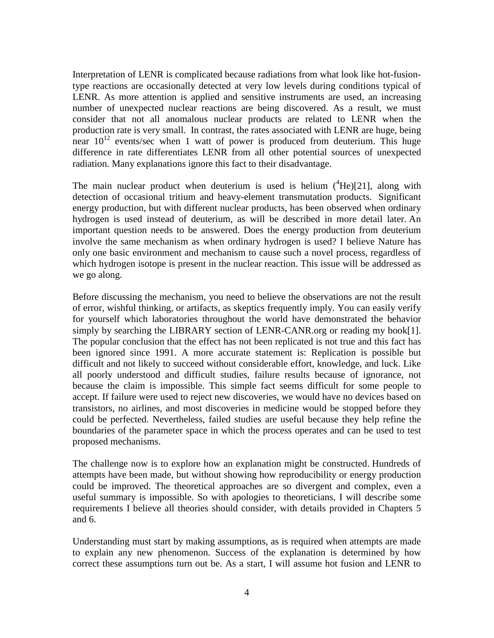Interpretation of LENR is complicated because radiations from what look like hot-fusiontype reactions are occasionally detected at very low levels during conditions typical of LENR. As more attention is applied and sensitive instruments are used, an increasing number of unexpected nuclear reactions are being discovered. As a result, we must consider that not all anomalous nuclear products are related to LENR when the production rate is very small. In contrast, the rates associated with LENR are huge, being near  $10^{12}$  events/sec when 1 watt of power is produced from deuterium. This huge difference in rate differentiates LENR from all other potential sources of unexpected radiation. Many explanations ignore this fact to their disadvantage.

The main nuclear product when deuterium is used is helium  $(^{4}He)[21]$ , along with detection of occasional tritium and heavy-element transmutation products. Significant energy production, but with different nuclear products, has been observed when ordinary hydrogen is used instead of deuterium, as will be described in more detail later. An important question needs to be answered. Does the energy production from deuterium involve the same mechanism as when ordinary hydrogen is used? I believe Nature has only one basic environment and mechanism to cause such a novel process, regardless of which hydrogen isotope is present in the nuclear reaction. This issue will be addressed as we go along.

Before discussing the mechanism, you need to believe the observations are not the result of error, wishful thinking, or artifacts, as skeptics frequently imply. You can easily verify for yourself which laboratories throughout the world have demonstrated the behavior simply by searching the LIBRARY section of LENR-CANR.org or reading my book[1]. The popular conclusion that the effect has not been replicated is not true and this fact has been ignored since 1991. A more accurate statement is: Replication is possible but difficult and not likely to succeed without considerable effort, knowledge, and luck. Like all poorly understood and difficult studies, failure results because of ignorance, not because the claim is impossible. This simple fact seems difficult for some people to accept. If failure were used to reject new discoveries, we would have no devices based on transistors, no airlines, and most discoveries in medicine would be stopped before they could be perfected. Nevertheless, failed studies are useful because they help refine the boundaries of the parameter space in which the process operates and can be used to test proposed mechanisms.

The challenge now is to explore how an explanation might be constructed. Hundreds of attempts have been made, but without showing how reproducibility or energy production could be improved. The theoretical approaches are so divergent and complex, even a useful summary is impossible. So with apologies to theoreticians, I will describe some requirements I believe all theories should consider, with details provided in Chapters 5 and 6.

Understanding must start by making assumptions, as is required when attempts are made to explain any new phenomenon. Success of the explanation is determined by how correct these assumptions turn out be. As a start, I will assume hot fusion and LENR to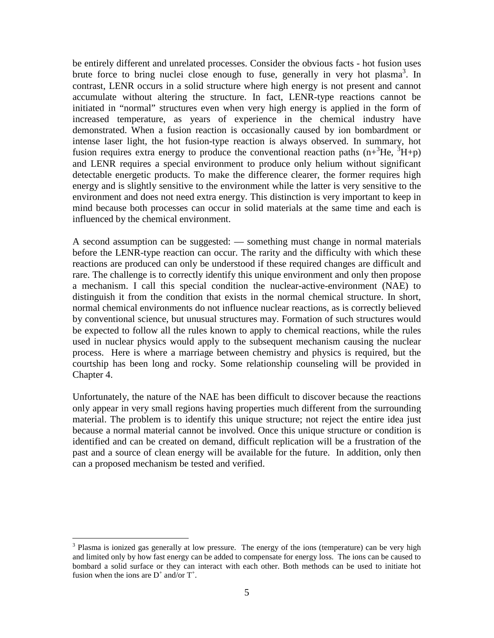be entirely different and unrelated processes. Consider the obvious facts - hot fusion uses brute force to bring nuclei close enough to fuse, generally in very hot plasma<sup>3</sup>. In contrast, LENR occurs in a solid structure where high energy is not present and cannot accumulate without altering the structure. In fact, LENR-type reactions cannot be initiated in "normal" structures even when very high energy is applied in the form of increased temperature, as years of experience in the chemical industry have demonstrated. When a fusion reaction is occasionally caused by ion bombardment or intense laser light, the hot fusion-type reaction is always observed. In summary, hot fusion requires extra energy to produce the conventional reaction paths  $(n+3He, 3H+p)$ and LENR requires a special environment to produce only helium without significant detectable energetic products. To make the difference clearer, the former requires high energy and is slightly sensitive to the environment while the latter is very sensitive to the environment and does not need extra energy. This distinction is very important to keep in mind because both processes can occur in solid materials at the same time and each is influenced by the chemical environment.

A second assumption can be suggested: — something must change in normal materials before the LENR-type reaction can occur. The rarity and the difficulty with which these reactions are produced can only be understood if these required changes are difficult and rare. The challenge is to correctly identify this unique environment and only then propose a mechanism. I call this special condition the nuclear-active-environment (NAE) to distinguish it from the condition that exists in the normal chemical structure. In short, normal chemical environments do not influence nuclear reactions, as is correctly believed by conventional science, but unusual structures may. Formation of such structures would be expected to follow all the rules known to apply to chemical reactions, while the rules used in nuclear physics would apply to the subsequent mechanism causing the nuclear process. Here is where a marriage between chemistry and physics is required, but the courtship has been long and rocky. Some relationship counseling will be provided in Chapter 4.

Unfortunately, the nature of the NAE has been difficult to discover because the reactions only appear in very small regions having properties much different from the surrounding material. The problem is to identify this unique structure; not reject the entire idea just because a normal material cannot be involved. Once this unique structure or condition is identified and can be created on demand, difficult replication will be a frustration of the past and a source of clean energy will be available for the future. In addition, only then can a proposed mechanism be tested and verified.

<sup>&</sup>lt;sup>3</sup> Plasma is ionized gas generally at low pressure. The energy of the ions (temperature) can be very high and limited only by how fast energy can be added to compensate for energy loss. The ions can be caused to bombard a solid surface or they can interact with each other. Both methods can be used to initiate hot fusion when the ions are  $D^+$  and/or  $T^+$ .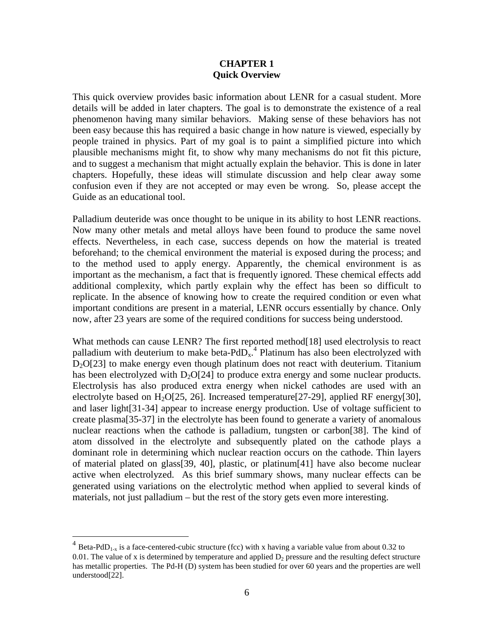#### **CHAPTER 1 Quick Overview**

This quick overview provides basic information about LENR for a casual student. More details will be added in later chapters. The goal is to demonstrate the existence of a real phenomenon having many similar behaviors. Making sense of these behaviors has not been easy because this has required a basic change in how nature is viewed, especially by people trained in physics. Part of my goal is to paint a simplified picture into which plausible mechanisms might fit, to show why many mechanisms do not fit this picture, and to suggest a mechanism that might actually explain the behavior. This is done in later chapters. Hopefully, these ideas will stimulate discussion and help clear away some confusion even if they are not accepted or may even be wrong. So, please accept the Guide as an educational tool.

Palladium deuteride was once thought to be unique in its ability to host LENR reactions. Now many other metals and metal alloys have been found to produce the same novel effects. Nevertheless, in each case, success depends on how the material is treated beforehand; to the chemical environment the material is exposed during the process; and to the method used to apply energy. Apparently, the chemical environment is as important as the mechanism, a fact that is frequently ignored. These chemical effects add additional complexity, which partly explain why the effect has been so difficult to replicate. In the absence of knowing how to create the required condition or even what important conditions are present in a material, LENR occurs essentially by chance. Only now, after 23 years are some of the required conditions for success being understood.

What methods can cause LENR? The first reported method<sup>[18]</sup> used electrolysis to react palladium with deuterium to make beta- $PdD_x$ <sup>4</sup>. Platinum has also been electrolyzed with  $D<sub>2</sub>O[23]$  to make energy even though platinum does not react with deuterium. Titanium has been electrolyzed with  $D_2O[24]$  to produce extra energy and some nuclear products. Electrolysis has also produced extra energy when nickel cathodes are used with an electrolyte based on  $H_2O[25, 26]$ . Increased temperature [27-29], applied RF energy[30], and laser light[31-34] appear to increase energy production. Use of voltage sufficient to create plasma[35-37] in the electrolyte has been found to generate a variety of anomalous nuclear reactions when the cathode is palladium, tungsten or carbon[38]. The kind of atom dissolved in the electrolyte and subsequently plated on the cathode plays a dominant role in determining which nuclear reaction occurs on the cathode. Thin layers of material plated on glass[39, 40], plastic, or platinum[41] have also become nuclear active when electrolyzed. As this brief summary shows, many nuclear effects can be generated using variations on the electrolytic method when applied to several kinds of materials, not just palladium – but the rest of the story gets even more interesting.

<sup>&</sup>lt;sup>4</sup> Beta-PdD<sub>1-x</sub> is a face-centered-cubic structure (fcc) with x having a variable value from about 0.32 to 0.01. The value of x is determined by temperature and applied  $D<sub>2</sub>$  pressure and the resulting defect structure has metallic properties. The Pd-H (D) system has been studied for over 60 years and the properties are well understood[22].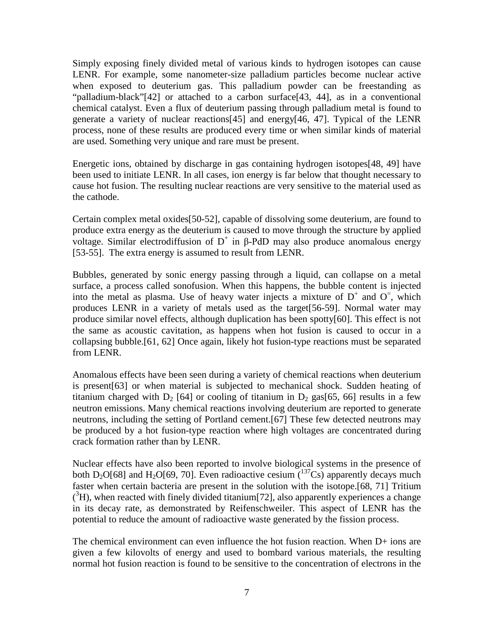Simply exposing finely divided metal of various kinds to hydrogen isotopes can cause LENR. For example, some nanometer-size palladium particles become nuclear active when exposed to deuterium gas. This palladium powder can be freestanding as "palladium-black"[42] or attached to a carbon surface[43, 44], as in a conventional chemical catalyst. Even a flux of deuterium passing through palladium metal is found to generate a variety of nuclear reactions[45] and energy[46, 47]. Typical of the LENR process, none of these results are produced every time or when similar kinds of material are used. Something very unique and rare must be present.

Energetic ions, obtained by discharge in gas containing hydrogen isotopes[48, 49] have been used to initiate LENR. In all cases, ion energy is far below that thought necessary to cause hot fusion. The resulting nuclear reactions are very sensitive to the material used as the cathode.

Certain complex metal oxides[50-52], capable of dissolving some deuterium, are found to produce extra energy as the deuterium is caused to move through the structure by applied voltage. Similar electrodiffusion of  $D^+$  in β-PdD may also produce anomalous energy [53-55]. The extra energy is assumed to result from LENR.

Bubbles, generated by sonic energy passing through a liquid, can collapse on a metal surface, a process called sonofusion. When this happens, the bubble content is injected into the metal as plasma. Use of heavy water injects a mixture of  $D^+$  and  $O^-$ , which produces LENR in a variety of metals used as the target[56-59]. Normal water may produce similar novel effects, although duplication has been spotty[60]. This effect is not the same as acoustic cavitation, as happens when hot fusion is caused to occur in a collapsing bubble.[61, 62] Once again, likely hot fusion-type reactions must be separated from LENR.

Anomalous effects have been seen during a variety of chemical reactions when deuterium is present[63] or when material is subjected to mechanical shock. Sudden heating of titanium charged with  $D_2$  [64] or cooling of titanium in  $D_2$  gas[65, 66] results in a few neutron emissions. Many chemical reactions involving deuterium are reported to generate neutrons, including the setting of Portland cement.[67] These few detected neutrons may be produced by a hot fusion-type reaction where high voltages are concentrated during crack formation rather than by LENR.

Nuclear effects have also been reported to involve biological systems in the presence of both D<sub>2</sub>O[68] and H<sub>2</sub>O[69, 70]. Even radioactive cesium  $\binom{137}{5}$  apparently decays much faster when certain bacteria are present in the solution with the isotope.[68, 71] Tritium  $({}^{3}H)$ , when reacted with finely divided titanium[72], also apparently experiences a change in its decay rate, as demonstrated by Reifenschweiler. This aspect of LENR has the potential to reduce the amount of radioactive waste generated by the fission process.

The chemical environment can even influence the hot fusion reaction. When D+ ions are given a few kilovolts of energy and used to bombard various materials, the resulting normal hot fusion reaction is found to be sensitive to the concentration of electrons in the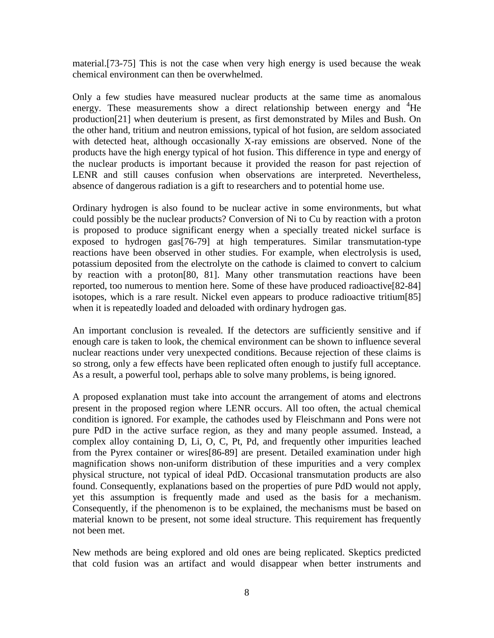material.[73-75] This is not the case when very high energy is used because the weak chemical environment can then be overwhelmed.

Only a few studies have measured nuclear products at the same time as anomalous energy. These measurements show a direct relationship between energy and  ${}^{4}$ He production[21] when deuterium is present, as first demonstrated by Miles and Bush. On the other hand, tritium and neutron emissions, typical of hot fusion, are seldom associated with detected heat, although occasionally X-ray emissions are observed. None of the products have the high energy typical of hot fusion. This difference in type and energy of the nuclear products is important because it provided the reason for past rejection of LENR and still causes confusion when observations are interpreted. Nevertheless, absence of dangerous radiation is a gift to researchers and to potential home use.

Ordinary hydrogen is also found to be nuclear active in some environments, but what could possibly be the nuclear products? Conversion of Ni to Cu by reaction with a proton is proposed to produce significant energy when a specially treated nickel surface is exposed to hydrogen gas[76-79] at high temperatures. Similar transmutation-type reactions have been observed in other studies. For example, when electrolysis is used, potassium deposited from the electrolyte on the cathode is claimed to convert to calcium by reaction with a proton[80, 81]. Many other transmutation reactions have been reported, too numerous to mention here. Some of these have produced radioactive[82-84] isotopes, which is a rare result. Nickel even appears to produce radioactive tritium[85] when it is repeatedly loaded and deloaded with ordinary hydrogen gas.

An important conclusion is revealed. If the detectors are sufficiently sensitive and if enough care is taken to look, the chemical environment can be shown to influence several nuclear reactions under very unexpected conditions. Because rejection of these claims is so strong, only a few effects have been replicated often enough to justify full acceptance. As a result, a powerful tool, perhaps able to solve many problems, is being ignored.

A proposed explanation must take into account the arrangement of atoms and electrons present in the proposed region where LENR occurs. All too often, the actual chemical condition is ignored. For example, the cathodes used by Fleischmann and Pons were not pure PdD in the active surface region, as they and many people assumed. Instead, a complex alloy containing D, Li, O, C, Pt, Pd, and frequently other impurities leached from the Pyrex container or wires[86-89] are present. Detailed examination under high magnification shows non-uniform distribution of these impurities and a very complex physical structure, not typical of ideal PdD. Occasional transmutation products are also found. Consequently, explanations based on the properties of pure PdD would not apply, yet this assumption is frequently made and used as the basis for a mechanism. Consequently, if the phenomenon is to be explained, the mechanisms must be based on material known to be present, not some ideal structure. This requirement has frequently not been met.

New methods are being explored and old ones are being replicated. Skeptics predicted that cold fusion was an artifact and would disappear when better instruments and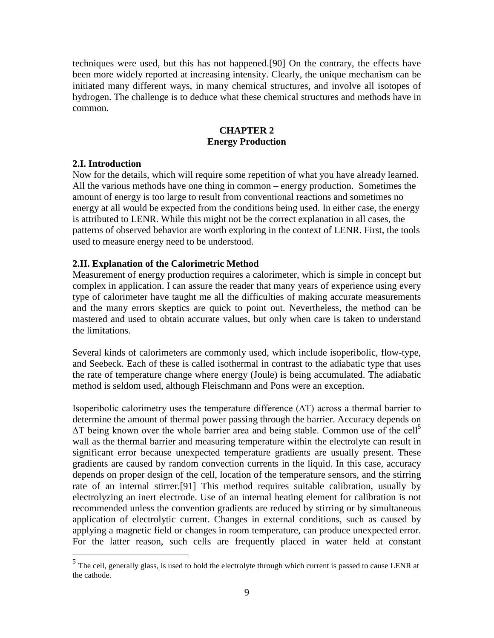techniques were used, but this has not happened.[90] On the contrary, the effects have been more widely reported at increasing intensity. Clearly, the unique mechanism can be initiated many different ways, in many chemical structures, and involve all isotopes of hydrogen. The challenge is to deduce what these chemical structures and methods have in common.

# **CHAPTER 2 Energy Production**

# **2.I. Introduction**

Now for the details, which will require some repetition of what you have already learned. All the various methods have one thing in common – energy production. Sometimes the amount of energy is too large to result from conventional reactions and sometimes no energy at all would be expected from the conditions being used. In either case, the energy is attributed to LENR. While this might not be the correct explanation in all cases, the patterns of observed behavior are worth exploring in the context of LENR. First, the tools used to measure energy need to be understood.

# **2.II. Explanation of the Calorimetric Method**

Measurement of energy production requires a calorimeter, which is simple in concept but complex in application. I can assure the reader that many years of experience using every type of calorimeter have taught me all the difficulties of making accurate measurements and the many errors skeptics are quick to point out. Nevertheless, the method can be mastered and used to obtain accurate values, but only when care is taken to understand the limitations.

Several kinds of calorimeters are commonly used, which include isoperibolic, flow-type, and Seebeck. Each of these is called isothermal in contrast to the adiabatic type that uses the rate of temperature change where energy (Joule) is being accumulated. The adiabatic method is seldom used, although Fleischmann and Pons were an exception.

Isoperibolic calorimetry uses the temperature difference  $(\Delta T)$  across a thermal barrier to determine the amount of thermal power passing through the barrier. Accuracy depends on ∆T being known over the whole barrier area and being stable. Common use of the cell<sup>5</sup> wall as the thermal barrier and measuring temperature within the electrolyte can result in significant error because unexpected temperature gradients are usually present. These gradients are caused by random convection currents in the liquid. In this case, accuracy depends on proper design of the cell, location of the temperature sensors, and the stirring rate of an internal stirrer.[91] This method requires suitable calibration, usually by electrolyzing an inert electrode. Use of an internal heating element for calibration is not recommended unless the convention gradients are reduced by stirring or by simultaneous application of electrolytic current. Changes in external conditions, such as caused by applying a magnetic field or changes in room temperature, can produce unexpected error. For the latter reason, such cells are frequently placed in water held at constant

<sup>&</sup>lt;sup>5</sup> The cell, generally glass, is used to hold the electrolyte through which current is passed to cause LENR at the cathode.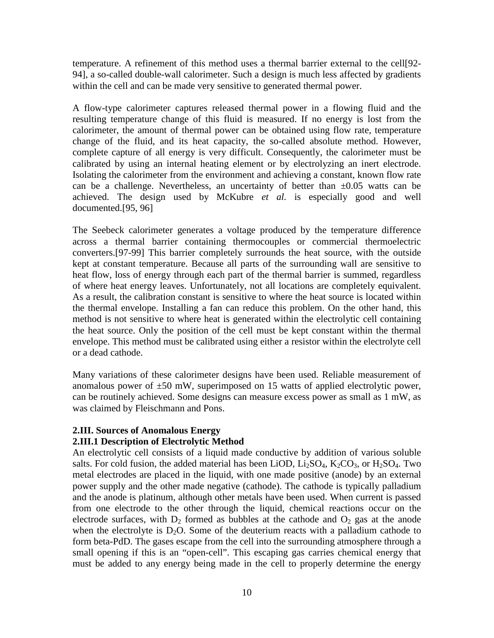temperature. A refinement of this method uses a thermal barrier external to the cell[92- 94], a so-called double-wall calorimeter. Such a design is much less affected by gradients within the cell and can be made very sensitive to generated thermal power.

A flow-type calorimeter captures released thermal power in a flowing fluid and the resulting temperature change of this fluid is measured. If no energy is lost from the calorimeter, the amount of thermal power can be obtained using flow rate, temperature change of the fluid, and its heat capacity, the so-called absolute method. However, complete capture of all energy is very difficult. Consequently, the calorimeter must be calibrated by using an internal heating element or by electrolyzing an inert electrode. Isolating the calorimeter from the environment and achieving a constant, known flow rate can be a challenge. Nevertheless, an uncertainty of better than  $\pm 0.05$  watts can be achieved. The design used by McKubre *et al.* is especially good and well documented.[95, 96]

The Seebeck calorimeter generates a voltage produced by the temperature difference across a thermal barrier containing thermocouples or commercial thermoelectric converters.[97-99] This barrier completely surrounds the heat source, with the outside kept at constant temperature. Because all parts of the surrounding wall are sensitive to heat flow, loss of energy through each part of the thermal barrier is summed, regardless of where heat energy leaves. Unfortunately, not all locations are completely equivalent. As a result, the calibration constant is sensitive to where the heat source is located within the thermal envelope. Installing a fan can reduce this problem. On the other hand, this method is not sensitive to where heat is generated within the electrolytic cell containing the heat source. Only the position of the cell must be kept constant within the thermal envelope. This method must be calibrated using either a resistor within the electrolyte cell or a dead cathode.

Many variations of these calorimeter designs have been used. Reliable measurement of anomalous power of  $\pm 50$  mW, superimposed on 15 watts of applied electrolytic power, can be routinely achieved. Some designs can measure excess power as small as 1 mW, as was claimed by Fleischmann and Pons.

#### **2.III. Sources of Anomalous Energy**

#### **2.III.1 Description of Electrolytic Method**

An electrolytic cell consists of a liquid made conductive by addition of various soluble salts. For cold fusion, the added material has been LiOD,  $Li<sub>2</sub>SO<sub>4</sub>$ ,  $K<sub>2</sub>CO<sub>3</sub>$ , or  $H<sub>2</sub>SO<sub>4</sub>$ . Two metal electrodes are placed in the liquid, with one made positive (anode) by an external power supply and the other made negative (cathode). The cathode is typically palladium and the anode is platinum, although other metals have been used. When current is passed from one electrode to the other through the liquid, chemical reactions occur on the electrode surfaces, with  $D_2$  formed as bubbles at the cathode and  $O_2$  gas at the anode when the electrolyte is  $D_2O$ . Some of the deuterium reacts with a palladium cathode to form beta-PdD. The gases escape from the cell into the surrounding atmosphere through a small opening if this is an "open-cell". This escaping gas carries chemical energy that must be added to any energy being made in the cell to properly determine the energy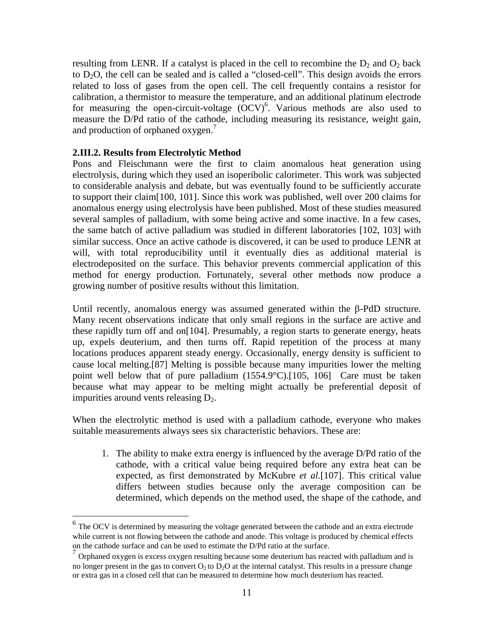resulting from LENR. If a catalyst is placed in the cell to recombine the  $D_2$  and  $O_2$  back to  $D_2O$ , the cell can be sealed and is called a "closed-cell". This design avoids the errors related to loss of gases from the open cell. The cell frequently contains a resistor for calibration, a thermistor to measure the temperature, and an additional platinum electrode for measuring the open-circuit-voltage  $(OCV)^6$ . Various methods are also used to measure the D/Pd ratio of the cathode, including measuring its resistance, weight gain, and production of orphaned oxygen.<sup>7</sup>

#### **2.III.2. Results from Electrolytic Method**

Pons and Fleischmann were the first to claim anomalous heat generation using electrolysis, during which they used an isoperibolic calorimeter. This work was subjected to considerable analysis and debate, but was eventually found to be sufficiently accurate to support their claim[100, 101]. Since this work was published, well over 200 claims for anomalous energy using electrolysis have been published. Most of these studies measured several samples of palladium, with some being active and some inactive. In a few cases, the same batch of active palladium was studied in different laboratories [102, 103] with similar success. Once an active cathode is discovered, it can be used to produce LENR at will, with total reproducibility until it eventually dies as additional material is electrodeposited on the surface. This behavior prevents commercial application of this method for energy production. Fortunately, several other methods now produce a growing number of positive results without this limitation.

Until recently, anomalous energy was assumed generated within the  $\beta$ -PdD structure. Many recent observations indicate that only small regions in the surface are active and these rapidly turn off and on[104]. Presumably, a region starts to generate energy, heats up, expels deuterium, and then turns off. Rapid repetition of the process at many locations produces apparent steady energy. Occasionally, energy density is sufficient to cause local melting.[87] Melting is possible because many impurities lower the melting point well below that of pure palladium (1554.9°C).[105, 106] Care must be taken because what may appear to be melting might actually be preferential deposit of impurities around vents releasing  $D_2$ .

When the electrolytic method is used with a palladium cathode, everyone who makes suitable measurements always sees six characteristic behaviors. These are:

1. The ability to make extra energy is influenced by the average D/Pd ratio of the cathode, with a critical value being required before any extra heat can be expected, as first demonstrated by McKubre *et al.*[107]. This critical value differs between studies because only the average composition can be determined, which depends on the method used, the shape of the cathode, and

 $6$  The OCV is determined by measuring the voltage generated between the cathode and an extra electrode while current is not flowing between the cathode and anode. This voltage is produced by chemical effects on the cathode surface and can be used to estimate the D/Pd ratio at the surface.

 $^7$  Orphaned oxygen is excess oxygen resulting because some deuterium has reacted with palladium and is no longer present in the gas to convert  $O_2$  to  $D_2O$  at the internal catalyst. This results in a pressure change or extra gas in a closed cell that can be measured to determine how much deuterium has reacted.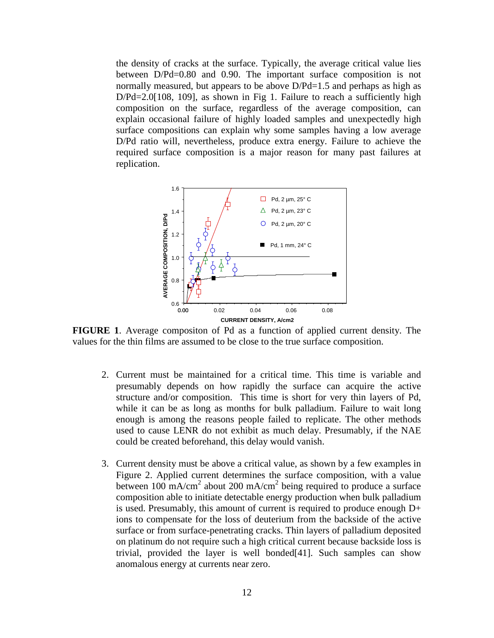the density of cracks at the surface. Typically, the average critical value lies between D/Pd=0.80 and 0.90. The important surface composition is not normally measured, but appears to be above  $D/Pd=1.5$  and perhaps as high as  $D/Pd=2.0[108, 109]$ , as shown in Fig 1. Failure to reach a sufficiently high composition on the surface, regardless of the average composition, can explain occasional failure of highly loaded samples and unexpectedly high surface compositions can explain why some samples having a low average D/Pd ratio will, nevertheless, produce extra energy. Failure to achieve the required surface composition is a major reason for many past failures at replication.



**FIGURE 1**. Average compositon of Pd as a function of applied current density. The values for the thin films are assumed to be close to the true surface composition.

- 2. Current must be maintained for a critical time. This time is variable and presumably depends on how rapidly the surface can acquire the active structure and/or composition. This time is short for very thin layers of Pd, while it can be as long as months for bulk palladium. Failure to wait long enough is among the reasons people failed to replicate. The other methods used to cause LENR do not exhibit as much delay. Presumably, if the NAE could be created beforehand, this delay would vanish.
- 3. Current density must be above a critical value, as shown by a few examples in Figure 2. Applied current determines the surface composition, with a value between  $100 \text{ mA/cm}^2$  about 200 mA/cm<sup>2</sup> being required to produce a surface composition able to initiate detectable energy production when bulk palladium is used. Presumably, this amount of current is required to produce enough D+ ions to compensate for the loss of deuterium from the backside of the active surface or from surface-penetrating cracks. Thin layers of palladium deposited on platinum do not require such a high critical current because backside loss is trivial, provided the layer is well bonded[41]. Such samples can show anomalous energy at currents near zero.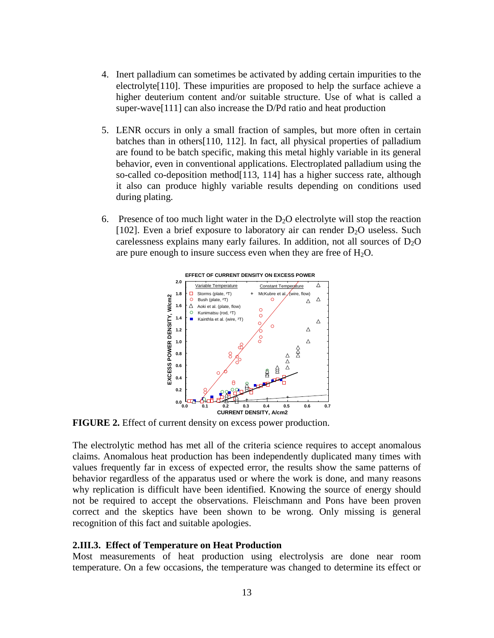- 4. Inert palladium can sometimes be activated by adding certain impurities to the electrolyte[110]. These impurities are proposed to help the surface achieve a higher deuterium content and/or suitable structure. Use of what is called a super-wave[111] can also increase the D/Pd ratio and heat production
- 5. LENR occurs in only a small fraction of samples, but more often in certain batches than in others[110, 112]. In fact, all physical properties of palladium are found to be batch specific, making this metal highly variable in its general behavior, even in conventional applications. Electroplated palladium using the so-called co-deposition method[113, 114] has a higher success rate, although it also can produce highly variable results depending on conditions used during plating.
- 6. Presence of too much light water in the  $D<sub>2</sub>O$  electrolyte will stop the reaction [102]. Even a brief exposure to laboratory air can render  $D_2O$  useless. Such carelessness explains many early failures. In addition, not all sources of  $D_2O$ are pure enough to insure success even when they are free of  $H_2O$ .



**FIGURE 2.** Effect of current density on excess power production.

The electrolytic method has met all of the criteria science requires to accept anomalous claims. Anomalous heat production has been independently duplicated many times with values frequently far in excess of expected error, the results show the same patterns of behavior regardless of the apparatus used or where the work is done, and many reasons why replication is difficult have been identified. Knowing the source of energy should not be required to accept the observations. Fleischmann and Pons have been proven correct and the skeptics have been shown to be wrong. Only missing is general recognition of this fact and suitable apologies.

#### **2.III.3. Effect of Temperature on Heat Production**

Most measurements of heat production using electrolysis are done near room temperature. On a few occasions, the temperature was changed to determine its effect or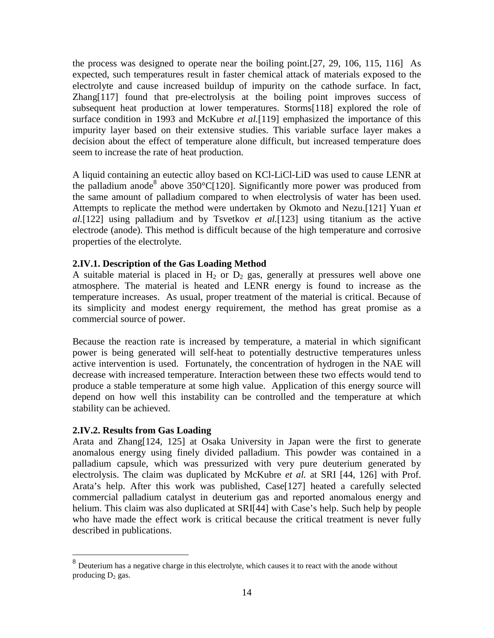the process was designed to operate near the boiling point.[27, 29, 106, 115, 116] As expected, such temperatures result in faster chemical attack of materials exposed to the electrolyte and cause increased buildup of impurity on the cathode surface. In fact, Zhang[117] found that pre-electrolysis at the boiling point improves success of subsequent heat production at lower temperatures. Storms[118] explored the role of surface condition in 1993 and McKubre *et al.*[119] emphasized the importance of this impurity layer based on their extensive studies. This variable surface layer makes a decision about the effect of temperature alone difficult, but increased temperature does seem to increase the rate of heat production.

A liquid containing an eutectic alloy based on KCl-LiCl-LiD was used to cause LENR at the palladium anode<sup>8</sup> above 350°C[120]. Significantly more power was produced from the same amount of palladium compared to when electrolysis of water has been used. Attempts to replicate the method were undertaken by Okmoto and Nezu.[121] Yuan *et al.*[122] using palladium and by Tsvetkov *et al.*[123] using titanium as the active electrode (anode). This method is difficult because of the high temperature and corrosive properties of the electrolyte.

# **2.IV.1. Description of the Gas Loading Method**

A suitable material is placed in  $H_2$  or  $D_2$  gas, generally at pressures well above one atmosphere. The material is heated and LENR energy is found to increase as the temperature increases. As usual, proper treatment of the material is critical. Because of its simplicity and modest energy requirement, the method has great promise as a commercial source of power.

Because the reaction rate is increased by temperature, a material in which significant power is being generated will self-heat to potentially destructive temperatures unless active intervention is used. Fortunately, the concentration of hydrogen in the NAE will decrease with increased temperature. Interaction between these two effects would tend to produce a stable temperature at some high value. Application of this energy source will depend on how well this instability can be controlled and the temperature at which stability can be achieved.

## **2.IV.2. Results from Gas Loading**

Arata and Zhang[124, 125] at Osaka University in Japan were the first to generate anomalous energy using finely divided palladium. This powder was contained in a palladium capsule, which was pressurized with very pure deuterium generated by electrolysis. The claim was duplicated by McKubre *et al.* at SRI [44, 126] with Prof. Arata's help. After this work was published, Case[127] heated a carefully selected commercial palladium catalyst in deuterium gas and reported anomalous energy and helium. This claim was also duplicated at SRI[44] with Case's help. Such help by people who have made the effect work is critical because the critical treatment is never fully described in publications.

 $8$  Deuterium has a negative charge in this electrolyte, which causes it to react with the anode without producing  $D_2$  gas.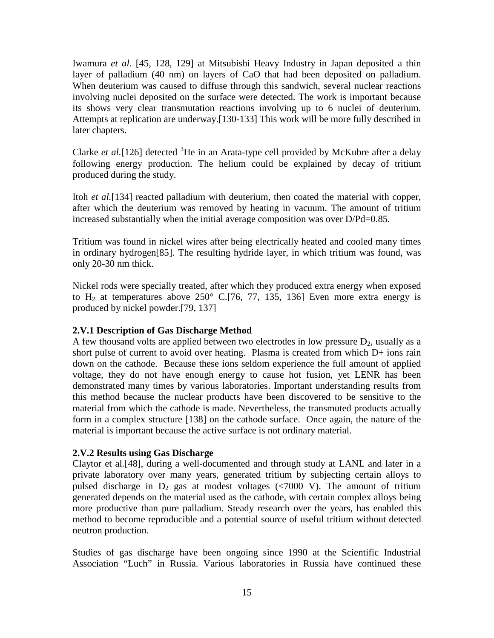Iwamura *et al.* [45, 128, 129] at Mitsubishi Heavy Industry in Japan deposited a thin layer of palladium (40 nm) on layers of CaO that had been deposited on palladium. When deuterium was caused to diffuse through this sandwich, several nuclear reactions involving nuclei deposited on the surface were detected. The work is important because its shows very clear transmutation reactions involving up to 6 nuclei of deuterium. Attempts at replication are underway.[130-133] This work will be more fully described in later chapters.

Clarke *et al.*[126] detected  ${}^{3}$ He in an Arata-type cell provided by McKubre after a delay following energy production. The helium could be explained by decay of tritium produced during the study.

Itoh *et al.*[134] reacted palladium with deuterium, then coated the material with copper, after which the deuterium was removed by heating in vacuum. The amount of tritium increased substantially when the initial average composition was over D/Pd=0.85.

Tritium was found in nickel wires after being electrically heated and cooled many times in ordinary hydrogen[85]. The resulting hydride layer, in which tritium was found, was only 20-30 nm thick.

Nickel rods were specially treated, after which they produced extra energy when exposed to  $H_2$  at temperatures above 250° C.[76, 77, 135, 136] Even more extra energy is produced by nickel powder.[79, 137]

## **2.V.1 Description of Gas Discharge Method**

A few thousand volts are applied between two electrodes in low pressure  $D_2$ , usually as a short pulse of current to avoid over heating. Plasma is created from which D+ ions rain down on the cathode. Because these ions seldom experience the full amount of applied voltage, they do not have enough energy to cause hot fusion, yet LENR has been demonstrated many times by various laboratories. Important understanding results from this method because the nuclear products have been discovered to be sensitive to the material from which the cathode is made. Nevertheless, the transmuted products actually form in a complex structure [138] on the cathode surface. Once again, the nature of the material is important because the active surface is not ordinary material.

# **2.V.2 Results using Gas Discharge**

Claytor et al*.*[48], during a well-documented and through study at LANL and later in a private laboratory over many years, generated tritium by subjecting certain alloys to pulsed discharge in  $D_2$  gas at modest voltages (<7000 V). The amount of tritium generated depends on the material used as the cathode, with certain complex alloys being more productive than pure palladium. Steady research over the years, has enabled this method to become reproducible and a potential source of useful tritium without detected neutron production.

Studies of gas discharge have been ongoing since 1990 at the Scientific Industrial Association "Luch" in Russia. Various laboratories in Russia have continued these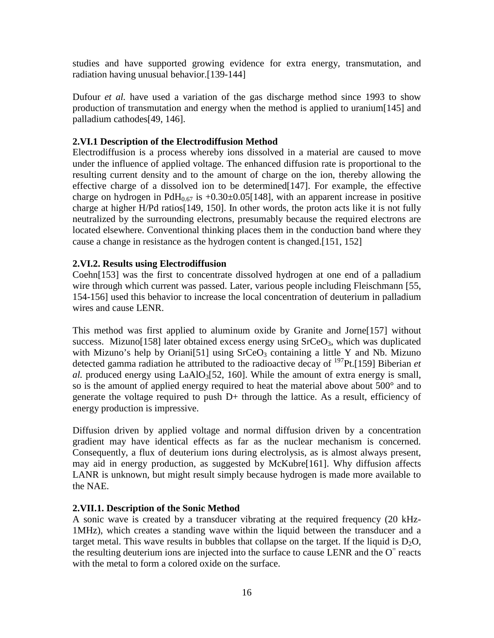studies and have supported growing evidence for extra energy, transmutation, and radiation having unusual behavior.[139-144]

Dufour *et al.* have used a variation of the gas discharge method since 1993 to show production of transmutation and energy when the method is applied to uranium[145] and palladium cathodes[49, 146].

# **2.VI.1 Description of the Electrodiffusion Method**

Electrodiffusion is a process whereby ions dissolved in a material are caused to move under the influence of applied voltage. The enhanced diffusion rate is proportional to the resulting current density and to the amount of charge on the ion, thereby allowing the effective charge of a dissolved ion to be determined[147]. For example, the effective charge on hydrogen in  $PdH<sub>0.67</sub>$  is +0.30±0.05[148], with an apparent increase in positive charge at higher H/Pd ratios[149, 150]. In other words, the proton acts like it is not fully neutralized by the surrounding electrons, presumably because the required electrons are located elsewhere. Conventional thinking places them in the conduction band where they cause a change in resistance as the hydrogen content is changed.[151, 152]

## **2.VI.2. Results using Electrodiffusion**

Coehn[153] was the first to concentrate dissolved hydrogen at one end of a palladium wire through which current was passed. Later, various people including Fleischmann [55, 154-156] used this behavior to increase the local concentration of deuterium in palladium wires and cause LENR.

This method was first applied to aluminum oxide by Granite and Jorne[157] without success. Mizuno[158] later obtained excess energy using  $SrCeO<sub>3</sub>$ , which was duplicated with Mizuno's help by Oriani<sup>[51]</sup> using  $SrCeO<sub>3</sub>$  containing a little Y and Nb. Mizuno detected gamma radiation he attributed to the radioactive decay of <sup>197</sup>Pt.[159] Biberian *et al.* produced energy using  $LaAlO<sub>3</sub>[52, 160]$ . While the amount of extra energy is small, so is the amount of applied energy required to heat the material above about 500° and to generate the voltage required to push D+ through the lattice. As a result, efficiency of energy production is impressive.

Diffusion driven by applied voltage and normal diffusion driven by a concentration gradient may have identical effects as far as the nuclear mechanism is concerned. Consequently, a flux of deuterium ions during electrolysis, as is almost always present, may aid in energy production, as suggested by McKubre[161]. Why diffusion affects LANR is unknown, but might result simply because hydrogen is made more available to the NAE.

## **2.VII.1. Description of the Sonic Method**

A sonic wave is created by a transducer vibrating at the required frequency (20 kHz-1MHz), which creates a standing wave within the liquid between the transducer and a target metal. This wave results in bubbles that collapse on the target. If the liquid is  $D_2O$ , the resulting deuterium ions are injected into the surface to cause LENR and the  $O<sup>=</sup>$  reacts with the metal to form a colored oxide on the surface.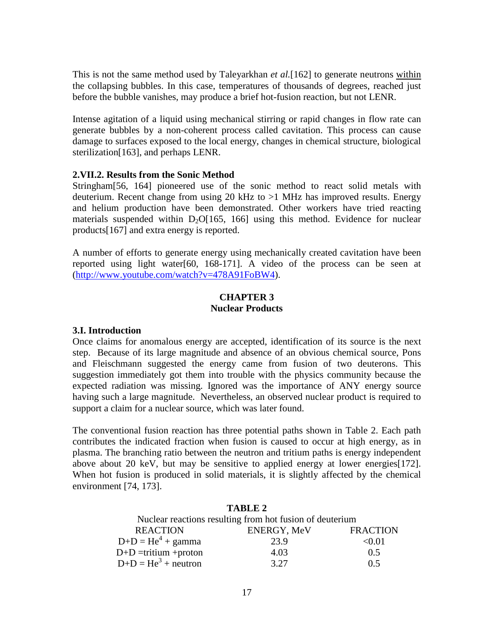This is not the same method used by Taleyarkhan *et al.*[162] to generate neutrons within the collapsing bubbles. In this case, temperatures of thousands of degrees, reached just before the bubble vanishes, may produce a brief hot-fusion reaction, but not LENR.

Intense agitation of a liquid using mechanical stirring or rapid changes in flow rate can generate bubbles by a non-coherent process called cavitation. This process can cause damage to surfaces exposed to the local energy, changes in chemical structure, biological sterilization[163], and perhaps LENR.

#### **2.VII.2. Results from the Sonic Method**

Stringham[56, 164] pioneered use of the sonic method to react solid metals with deuterium. Recent change from using 20 kHz to >1 MHz has improved results. Energy and helium production have been demonstrated. Other workers have tried reacting materials suspended within  $D_2O[165, 166]$  using this method. Evidence for nuclear products[167] and extra energy is reported.

A number of efforts to generate energy using mechanically created cavitation have been reported using light water[60, 168-171]. A video of the process can be seen at (http://www.youtube.com/watch?v=478A91FoBW4).

## **CHAPTER 3 Nuclear Products**

#### **3.I. Introduction**

Once claims for anomalous energy are accepted, identification of its source is the next step. Because of its large magnitude and absence of an obvious chemical source, Pons and Fleischmann suggested the energy came from fusion of two deuterons. This suggestion immediately got them into trouble with the physics community because the expected radiation was missing. Ignored was the importance of ANY energy source having such a large magnitude. Nevertheless, an observed nuclear product is required to support a claim for a nuclear source, which was later found.

The conventional fusion reaction has three potential paths shown in Table 2. Each path contributes the indicated fraction when fusion is caused to occur at high energy, as in plasma. The branching ratio between the neutron and tritium paths is energy independent above about 20 keV, but may be sensitive to applied energy at lower energies[172]. When hot fusion is produced in solid materials, it is slightly affected by the chemical environment [74, 173].

#### **TABLE 2**

| Nuclear reactions resulting from hot fusion of deuterium |                    |                 |
|----------------------------------------------------------|--------------------|-----------------|
| <b>REACTION</b>                                          | <b>ENERGY, MeV</b> | <b>FRACTION</b> |
| $D+D=He4 + gamma$                                        | 23.9               | < 0.01          |
| $D+D =$ tritium + proton                                 | 4.03               | 0.5             |
| $D+D=He3 + neutron$                                      | 3.27               | 0.5             |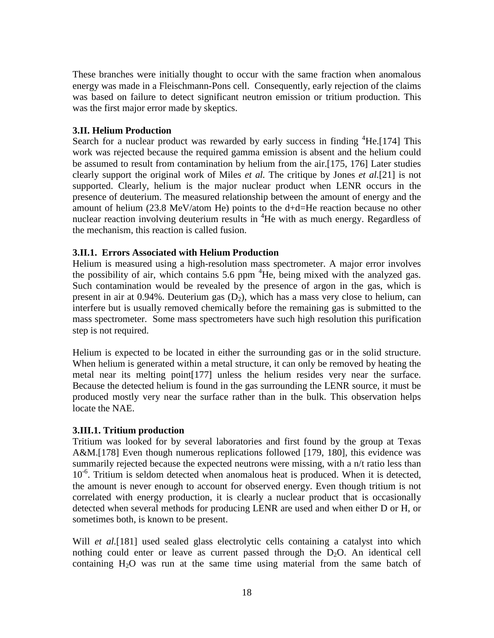These branches were initially thought to occur with the same fraction when anomalous energy was made in a Fleischmann-Pons cell. Consequently, early rejection of the claims was based on failure to detect significant neutron emission or tritium production. This was the first major error made by skeptics.

## **3.II. Helium Production**

Search for a nuclear product was rewarded by early success in finding <sup>4</sup>He.[174] This work was rejected because the required gamma emission is absent and the helium could be assumed to result from contamination by helium from the air.[175, 176] Later studies clearly support the original work of Miles *et al.* The critique by Jones *et al.*[21] is not supported. Clearly, helium is the major nuclear product when LENR occurs in the presence of deuterium. The measured relationship between the amount of energy and the amount of helium (23.8 MeV/atom He) points to the d+d=He reaction because no other nuclear reaction involving deuterium results in <sup>4</sup>He with as much energy. Regardless of the mechanism, this reaction is called fusion.

#### **3.II.1. Errors Associated with Helium Production**

Helium is measured using a high-resolution mass spectrometer. A major error involves the possibility of air, which contains 5.6 ppm  ${}^{4}$ He, being mixed with the analyzed gas. Such contamination would be revealed by the presence of argon in the gas, which is present in air at 0.94%. Deuterium gas  $(D_2)$ , which has a mass very close to helium, can interfere but is usually removed chemically before the remaining gas is submitted to the mass spectrometer. Some mass spectrometers have such high resolution this purification step is not required.

Helium is expected to be located in either the surrounding gas or in the solid structure. When helium is generated within a metal structure, it can only be removed by heating the metal near its melting point[177] unless the helium resides very near the surface. Because the detected helium is found in the gas surrounding the LENR source, it must be produced mostly very near the surface rather than in the bulk. This observation helps locate the NAE.

## **3.III.1. Tritium production**

Tritium was looked for by several laboratories and first found by the group at Texas A&M.<sup>[178]</sup> Even though numerous replications followed [179, 180], this evidence was summarily rejected because the expected neutrons were missing, with a n/t ratio less than  $10^{-6}$ . Tritium is seldom detected when anomalous heat is produced. When it is detected, the amount is never enough to account for observed energy. Even though tritium is not correlated with energy production, it is clearly a nuclear product that is occasionally detected when several methods for producing LENR are used and when either D or H, or sometimes both, is known to be present.

Will *et al.*[181] used sealed glass electrolytic cells containing a catalyst into which nothing could enter or leave as current passed through the  $D_2O$ . An identical cell containing  $H_2O$  was run at the same time using material from the same batch of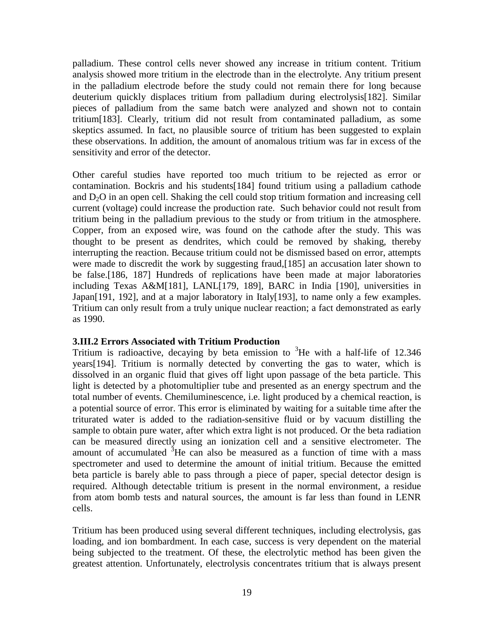palladium. These control cells never showed any increase in tritium content. Tritium analysis showed more tritium in the electrode than in the electrolyte. Any tritium present in the palladium electrode before the study could not remain there for long because deuterium quickly displaces tritium from palladium during electrolysis[182]. Similar pieces of palladium from the same batch were analyzed and shown not to contain tritium[183]. Clearly, tritium did not result from contaminated palladium, as some skeptics assumed. In fact, no plausible source of tritium has been suggested to explain these observations. In addition, the amount of anomalous tritium was far in excess of the sensitivity and error of the detector.

Other careful studies have reported too much tritium to be rejected as error or contamination. Bockris and his students[184] found tritium using a palladium cathode and  $D<sub>2</sub>O$  in an open cell. Shaking the cell could stop tritium formation and increasing cell current (voltage) could increase the production rate. Such behavior could not result from tritium being in the palladium previous to the study or from tritium in the atmosphere. Copper, from an exposed wire, was found on the cathode after the study. This was thought to be present as dendrites, which could be removed by shaking, thereby interrupting the reaction. Because tritium could not be dismissed based on error, attempts were made to discredit the work by suggesting fraud,[185] an accusation later shown to be false.[186, 187] Hundreds of replications have been made at major laboratories including Texas A&M[181], LANL[179, 189], BARC in India [190], universities in Japan[191, 192], and at a major laboratory in Italy[193], to name only a few examples. Tritium can only result from a truly unique nuclear reaction; a fact demonstrated as early as 1990.

#### **3.III.2 Errors Associated with Tritium Production**

Tritium is radioactive, decaying by beta emission to  ${}^{3}$ He with a half-life of 12.346 years[194]. Tritium is normally detected by converting the gas to water, which is dissolved in an organic fluid that gives off light upon passage of the beta particle. This light is detected by a photomultiplier tube and presented as an energy spectrum and the total number of events. Chemiluminescence, i.e. light produced by a chemical reaction, is a potential source of error. This error is eliminated by waiting for a suitable time after the triturated water is added to the radiation-sensitive fluid or by vacuum distilling the sample to obtain pure water, after which extra light is not produced. Or the beta radiation can be measured directly using an ionization cell and a sensitive electrometer. The amount of accumulated  ${}^{3}$ He can also be measured as a function of time with a mass spectrometer and used to determine the amount of initial tritium. Because the emitted beta particle is barely able to pass through a piece of paper, special detector design is required. Although detectable tritium is present in the normal environment, a residue from atom bomb tests and natural sources, the amount is far less than found in LENR cells.

Tritium has been produced using several different techniques, including electrolysis, gas loading, and ion bombardment. In each case, success is very dependent on the material being subjected to the treatment. Of these, the electrolytic method has been given the greatest attention. Unfortunately, electrolysis concentrates tritium that is always present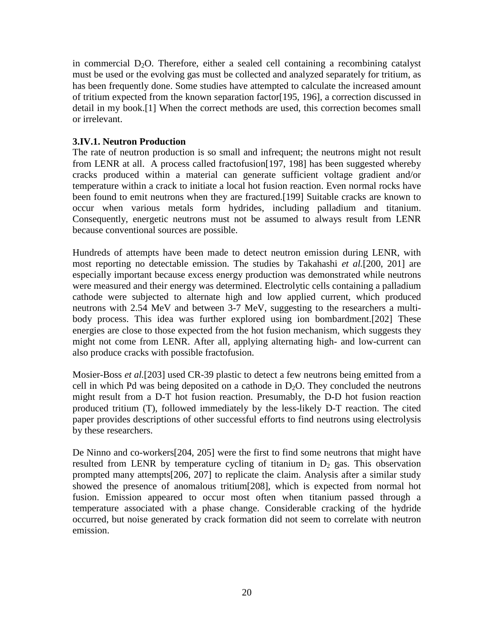in commercial  $D_2O$ . Therefore, either a sealed cell containing a recombining catalyst must be used or the evolving gas must be collected and analyzed separately for tritium, as has been frequently done. Some studies have attempted to calculate the increased amount of tritium expected from the known separation factor[195, 196], a correction discussed in detail in my book.[1] When the correct methods are used, this correction becomes small or irrelevant.

# **3.IV.1. Neutron Production**

The rate of neutron production is so small and infrequent; the neutrons might not result from LENR at all. A process called fractofusion[197, 198] has been suggested whereby cracks produced within a material can generate sufficient voltage gradient and/or temperature within a crack to initiate a local hot fusion reaction. Even normal rocks have been found to emit neutrons when they are fractured.[199] Suitable cracks are known to occur when various metals form hydrides, including palladium and titanium. Consequently, energetic neutrons must not be assumed to always result from LENR because conventional sources are possible.

Hundreds of attempts have been made to detect neutron emission during LENR, with most reporting no detectable emission. The studies by Takahashi *et al.*[200, 201] are especially important because excess energy production was demonstrated while neutrons were measured and their energy was determined. Electrolytic cells containing a palladium cathode were subjected to alternate high and low applied current, which produced neutrons with 2.54 MeV and between 3-7 MeV, suggesting to the researchers a multibody process. This idea was further explored using ion bombardment.[202] These energies are close to those expected from the hot fusion mechanism, which suggests they might not come from LENR. After all, applying alternating high- and low-current can also produce cracks with possible fractofusion.

Mosier-Boss *et al.*[203] used CR-39 plastic to detect a few neutrons being emitted from a cell in which Pd was being deposited on a cathode in  $D_2O$ . They concluded the neutrons might result from a D-T hot fusion reaction. Presumably, the D-D hot fusion reaction produced tritium (T), followed immediately by the less-likely D-T reaction. The cited paper provides descriptions of other successful efforts to find neutrons using electrolysis by these researchers.

De Ninno and co-workers[204, 205] were the first to find some neutrons that might have resulted from LENR by temperature cycling of titanium in  $D_2$  gas. This observation prompted many attempts[206, 207] to replicate the claim. Analysis after a similar study showed the presence of anomalous tritium[208], which is expected from normal hot fusion. Emission appeared to occur most often when titanium passed through a temperature associated with a phase change. Considerable cracking of the hydride occurred, but noise generated by crack formation did not seem to correlate with neutron emission.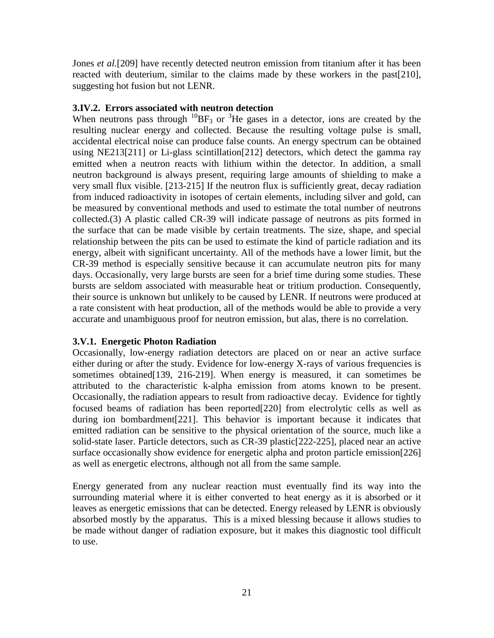Jones *et al.*[209] have recently detected neutron emission from titanium after it has been reacted with deuterium, similar to the claims made by these workers in the past[210], suggesting hot fusion but not LENR.

# **3.IV.2. Errors associated with neutron detection**

When neutrons pass through  ${}^{10}BF_3$  or  ${}^{3}He$  gases in a detector, ions are created by the resulting nuclear energy and collected. Because the resulting voltage pulse is small, accidental electrical noise can produce false counts. An energy spectrum can be obtained using NE213[211] or Li-glass scintillation[212] detectors, which detect the gamma ray emitted when a neutron reacts with lithium within the detector. In addition, a small neutron background is always present, requiring large amounts of shielding to make a very small flux visible. [213-215] If the neutron flux is sufficiently great, decay radiation from induced radioactivity in isotopes of certain elements, including silver and gold, can be measured by conventional methods and used to estimate the total number of neutrons collected.(3) A plastic called CR-39 will indicate passage of neutrons as pits formed in the surface that can be made visible by certain treatments. The size, shape, and special relationship between the pits can be used to estimate the kind of particle radiation and its energy, albeit with significant uncertainty. All of the methods have a lower limit, but the CR-39 method is especially sensitive because it can accumulate neutron pits for many days. Occasionally, very large bursts are seen for a brief time during some studies. These bursts are seldom associated with measurable heat or tritium production. Consequently, their source is unknown but unlikely to be caused by LENR. If neutrons were produced at a rate consistent with heat production, all of the methods would be able to provide a very accurate and unambiguous proof for neutron emission, but alas, there is no correlation.

## **3.V.1. Energetic Photon Radiation**

Occasionally, low-energy radiation detectors are placed on or near an active surface either during or after the study. Evidence for low-energy X-rays of various frequencies is sometimes obtained[139, 216-219]. When energy is measured, it can sometimes be attributed to the characteristic k-alpha emission from atoms known to be present. Occasionally, the radiation appears to result from radioactive decay. Evidence for tightly focused beams of radiation has been reported[220] from electrolytic cells as well as during ion bombardment[221]. This behavior is important because it indicates that emitted radiation can be sensitive to the physical orientation of the source, much like a solid-state laser. Particle detectors, such as CR-39 plastic[222-225], placed near an active surface occasionally show evidence for energetic alpha and proton particle emission[226] as well as energetic electrons, although not all from the same sample.

Energy generated from any nuclear reaction must eventually find its way into the surrounding material where it is either converted to heat energy as it is absorbed or it leaves as energetic emissions that can be detected. Energy released by LENR is obviously absorbed mostly by the apparatus. This is a mixed blessing because it allows studies to be made without danger of radiation exposure, but it makes this diagnostic tool difficult to use.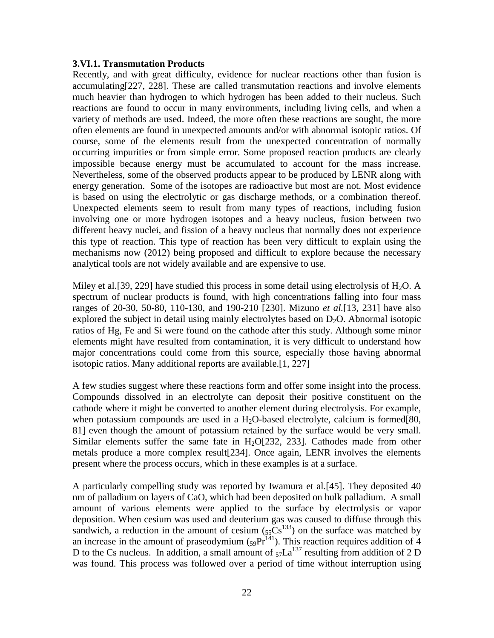#### **3.VI.1. Transmutation Products**

Recently, and with great difficulty, evidence for nuclear reactions other than fusion is accumulating[227, 228]. These are called transmutation reactions and involve elements much heavier than hydrogen to which hydrogen has been added to their nucleus. Such reactions are found to occur in many environments, including living cells, and when a variety of methods are used. Indeed, the more often these reactions are sought, the more often elements are found in unexpected amounts and/or with abnormal isotopic ratios. Of course, some of the elements result from the unexpected concentration of normally occurring impurities or from simple error. Some proposed reaction products are clearly impossible because energy must be accumulated to account for the mass increase. Nevertheless, some of the observed products appear to be produced by LENR along with energy generation. Some of the isotopes are radioactive but most are not. Most evidence is based on using the electrolytic or gas discharge methods, or a combination thereof. Unexpected elements seem to result from many types of reactions, including fusion involving one or more hydrogen isotopes and a heavy nucleus, fusion between two different heavy nuclei, and fission of a heavy nucleus that normally does not experience this type of reaction. This type of reaction has been very difficult to explain using the mechanisms now (2012) being proposed and difficult to explore because the necessary analytical tools are not widely available and are expensive to use.

Miley et al. [39, 229] have studied this process in some detail using electrolysis of  $H_2O$ . A spectrum of nuclear products is found, with high concentrations falling into four mass ranges of 20-30, 50-80, 110-130, and 190-210 [230]. Mizuno *et al.*[13, 231] have also explored the subject in detail using mainly electrolytes based on  $D_2O$ . Abnormal isotopic ratios of Hg, Fe and Si were found on the cathode after this study. Although some minor elements might have resulted from contamination, it is very difficult to understand how major concentrations could come from this source, especially those having abnormal isotopic ratios. Many additional reports are available.[1, 227]

A few studies suggest where these reactions form and offer some insight into the process. Compounds dissolved in an electrolyte can deposit their positive constituent on the cathode where it might be converted to another element during electrolysis. For example, when potassium compounds are used in a  $H_2O$ -based electrolyte, calcium is formed[80, 81] even though the amount of potassium retained by the surface would be very small. Similar elements suffer the same fate in  $H<sub>2</sub>O[232, 233]$ . Cathodes made from other metals produce a more complex result[234]. Once again, LENR involves the elements present where the process occurs, which in these examples is at a surface.

A particularly compelling study was reported by Iwamura et al*.*[45]. They deposited 40 nm of palladium on layers of CaO, which had been deposited on bulk palladium. A small amount of various elements were applied to the surface by electrolysis or vapor deposition. When cesium was used and deuterium gas was caused to diffuse through this sandwich, a reduction in the amount of cesium  $(S_5\tilde{C}S^{133})$  on the surface was matched by an increase in the amount of praseodymium  $(s_9Pr^{141})$ . This reaction requires addition of 4 D to the Cs nucleus. In addition, a small amount of  $57La^{137}$  resulting from addition of 2 D was found. This process was followed over a period of time without interruption using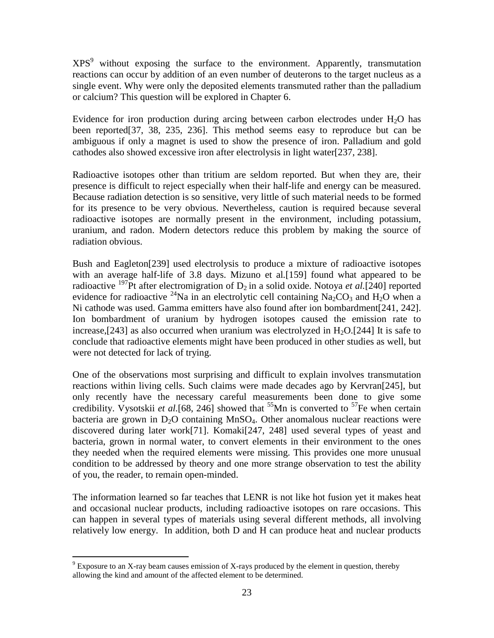$XPS<sup>9</sup>$  without exposing the surface to the environment. Apparently, transmutation reactions can occur by addition of an even number of deuterons to the target nucleus as a single event. Why were only the deposited elements transmuted rather than the palladium or calcium? This question will be explored in Chapter 6.

Evidence for iron production during arcing between carbon electrodes under  $H_2O$  has been reported[37, 38, 235, 236]. This method seems easy to reproduce but can be ambiguous if only a magnet is used to show the presence of iron. Palladium and gold cathodes also showed excessive iron after electrolysis in light water[237, 238].

Radioactive isotopes other than tritium are seldom reported. But when they are, their presence is difficult to reject especially when their half-life and energy can be measured. Because radiation detection is so sensitive, very little of such material needs to be formed for its presence to be very obvious. Nevertheless, caution is required because several radioactive isotopes are normally present in the environment, including potassium, uranium, and radon. Modern detectors reduce this problem by making the source of radiation obvious.

Bush and Eagleton[239] used electrolysis to produce a mixture of radioactive isotopes with an average half-life of 3.8 days. Mizuno et al*.*[159] found what appeared to be radioactive <sup>197</sup>Pt after electromigration of  $D_2$  in a solid oxide. Notoya *et al.*[240] reported evidence for radioactive  $^{24}$ Na in an electrolytic cell containing Na<sub>2</sub>CO<sub>3</sub> and H<sub>2</sub>O when a Ni cathode was used. Gamma emitters have also found after ion bombardment[241, 242]. Ion bombardment of uranium by hydrogen isotopes caused the emission rate to increase,[243] as also occurred when uranium was electrolyzed in  $H_2O$ .[244] It is safe to conclude that radioactive elements might have been produced in other studies as well, but were not detected for lack of trying.

One of the observations most surprising and difficult to explain involves transmutation reactions within living cells. Such claims were made decades ago by Kervran[245], but only recently have the necessary careful measurements been done to give some credibility. Vysotskii *et al.*[68, 246] showed that <sup>55</sup>Mn is converted to <sup>57</sup>Fe when certain bacteria are grown in  $D_2O$  containing MnSO<sub>4</sub>. Other anomalous nuclear reactions were discovered during later work[71]. Komaki[247, 248] used several types of yeast and bacteria, grown in normal water, to convert elements in their environment to the ones they needed when the required elements were missing. This provides one more unusual condition to be addressed by theory and one more strange observation to test the ability of you, the reader, to remain open-minded.

The information learned so far teaches that LENR is not like hot fusion yet it makes heat and occasional nuclear products, including radioactive isotopes on rare occasions. This can happen in several types of materials using several different methods, all involving relatively low energy. In addition, both D and H can produce heat and nuclear products

 $9^9$  Exposure to an X-ray beam causes emission of X-rays produced by the element in question, thereby allowing the kind and amount of the affected element to be determined.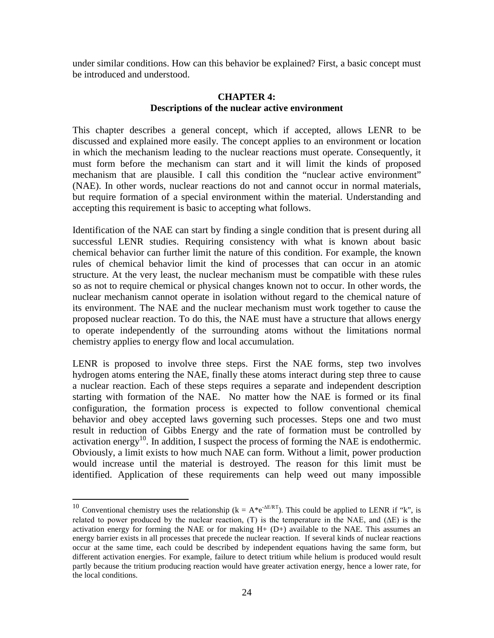under similar conditions. How can this behavior be explained? First, a basic concept must be introduced and understood.

# **CHAPTER 4: Descriptions of the nuclear active environment**

This chapter describes a general concept, which if accepted, allows LENR to be discussed and explained more easily. The concept applies to an environment or location in which the mechanism leading to the nuclear reactions must operate. Consequently, it must form before the mechanism can start and it will limit the kinds of proposed mechanism that are plausible. I call this condition the "nuclear active environment" (NAE). In other words, nuclear reactions do not and cannot occur in normal materials, but require formation of a special environment within the material. Understanding and accepting this requirement is basic to accepting what follows.

Identification of the NAE can start by finding a single condition that is present during all successful LENR studies. Requiring consistency with what is known about basic chemical behavior can further limit the nature of this condition. For example, the known rules of chemical behavior limit the kind of processes that can occur in an atomic structure. At the very least, the nuclear mechanism must be compatible with these rules so as not to require chemical or physical changes known not to occur. In other words, the nuclear mechanism cannot operate in isolation without regard to the chemical nature of its environment. The NAE and the nuclear mechanism must work together to cause the proposed nuclear reaction. To do this, the NAE must have a structure that allows energy to operate independently of the surrounding atoms without the limitations normal chemistry applies to energy flow and local accumulation.

LENR is proposed to involve three steps. First the NAE forms, step two involves hydrogen atoms entering the NAE, finally these atoms interact during step three to cause a nuclear reaction. Each of these steps requires a separate and independent description starting with formation of the NAE. No matter how the NAE is formed or its final configuration, the formation process is expected to follow conventional chemical behavior and obey accepted laws governing such processes. Steps one and two must result in reduction of Gibbs Energy and the rate of formation must be controlled by activation energy<sup>10</sup>. In addition, I suspect the process of forming the NAE is endothermic. Obviously, a limit exists to how much NAE can form. Without a limit, power production would increase until the material is destroyed. The reason for this limit must be identified. Application of these requirements can help weed out many impossible

<sup>&</sup>lt;sup>10</sup> Conventional chemistry uses the relationship ( $k = A^*e^{-\Delta E/RT}$ ). This could be applied to LENR if "k", is related to power produced by the nuclear reaction,  $(T)$  is the temperature in the NAE, and  $(\Delta E)$  is the activation energy for forming the NAE or for making  $H_{+}$  (D+) available to the NAE. This assumes an energy barrier exists in all processes that precede the nuclear reaction. If several kinds of nuclear reactions occur at the same time, each could be described by independent equations having the same form, but different activation energies. For example, failure to detect tritium while helium is produced would result partly because the tritium producing reaction would have greater activation energy, hence a lower rate, for the local conditions.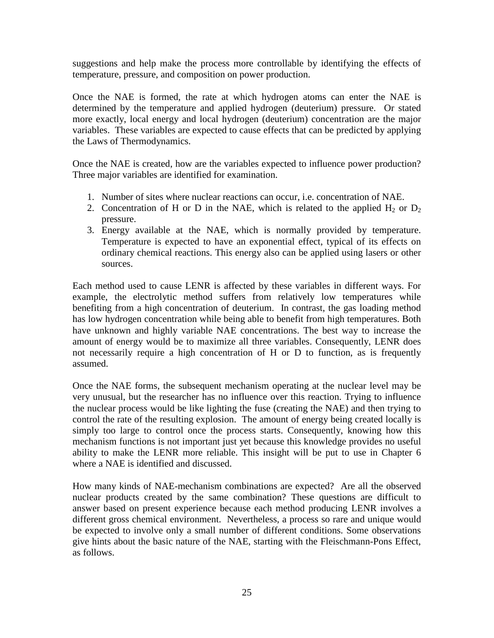suggestions and help make the process more controllable by identifying the effects of temperature, pressure, and composition on power production.

Once the NAE is formed, the rate at which hydrogen atoms can enter the NAE is determined by the temperature and applied hydrogen (deuterium) pressure. Or stated more exactly, local energy and local hydrogen (deuterium) concentration are the major variables. These variables are expected to cause effects that can be predicted by applying the Laws of Thermodynamics.

Once the NAE is created, how are the variables expected to influence power production? Three major variables are identified for examination.

- 1. Number of sites where nuclear reactions can occur, i.e. concentration of NAE.
- 2. Concentration of H or D in the NAE, which is related to the applied  $H_2$  or  $D_2$ pressure.
- 3. Energy available at the NAE, which is normally provided by temperature. Temperature is expected to have an exponential effect, typical of its effects on ordinary chemical reactions. This energy also can be applied using lasers or other sources.

Each method used to cause LENR is affected by these variables in different ways. For example, the electrolytic method suffers from relatively low temperatures while benefiting from a high concentration of deuterium. In contrast, the gas loading method has low hydrogen concentration while being able to benefit from high temperatures. Both have unknown and highly variable NAE concentrations. The best way to increase the amount of energy would be to maximize all three variables. Consequently, LENR does not necessarily require a high concentration of H or D to function, as is frequently assumed.

Once the NAE forms, the subsequent mechanism operating at the nuclear level may be very unusual, but the researcher has no influence over this reaction. Trying to influence the nuclear process would be like lighting the fuse (creating the NAE) and then trying to control the rate of the resulting explosion. The amount of energy being created locally is simply too large to control once the process starts. Consequently, knowing how this mechanism functions is not important just yet because this knowledge provides no useful ability to make the LENR more reliable. This insight will be put to use in Chapter 6 where a NAE is identified and discussed.

How many kinds of NAE-mechanism combinations are expected? Are all the observed nuclear products created by the same combination? These questions are difficult to answer based on present experience because each method producing LENR involves a different gross chemical environment. Nevertheless, a process so rare and unique would be expected to involve only a small number of different conditions. Some observations give hints about the basic nature of the NAE, starting with the Fleischmann-Pons Effect, as follows.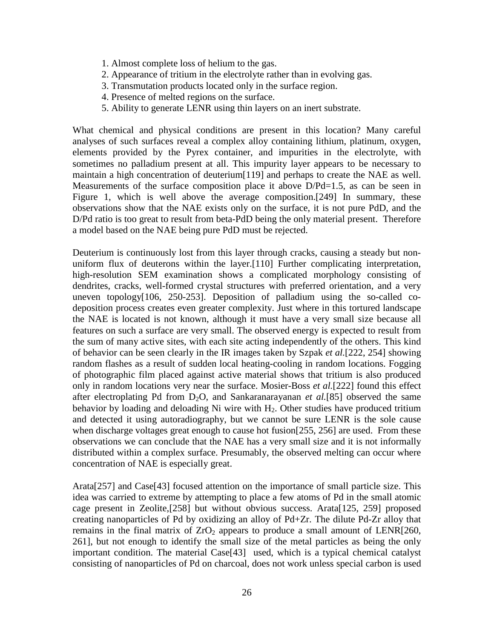- 1. Almost complete loss of helium to the gas.
- 2. Appearance of tritium in the electrolyte rather than in evolving gas.
- 3. Transmutation products located only in the surface region.
- 4. Presence of melted regions on the surface.
- 5. Ability to generate LENR using thin layers on an inert substrate.

What chemical and physical conditions are present in this location? Many careful analyses of such surfaces reveal a complex alloy containing lithium, platinum, oxygen, elements provided by the Pyrex container, and impurities in the electrolyte, with sometimes no palladium present at all. This impurity layer appears to be necessary to maintain a high concentration of deuterium[119] and perhaps to create the NAE as well. Measurements of the surface composition place it above D/Pd=1.5, as can be seen in Figure 1, which is well above the average composition.[249] In summary, these observations show that the NAE exists only on the surface, it is not pure PdD, and the D/Pd ratio is too great to result from beta-PdD being the only material present. Therefore a model based on the NAE being pure PdD must be rejected.

Deuterium is continuously lost from this layer through cracks, causing a steady but nonuniform flux of deuterons within the layer.[110] Further complicating interpretation, high-resolution SEM examination shows a complicated morphology consisting of dendrites, cracks, well-formed crystal structures with preferred orientation, and a very uneven topology[106, 250-253]. Deposition of palladium using the so-called codeposition process creates even greater complexity. Just where in this tortured landscape the NAE is located is not known, although it must have a very small size because all features on such a surface are very small. The observed energy is expected to result from the sum of many active sites, with each site acting independently of the others. This kind of behavior can be seen clearly in the IR images taken by Szpak *et al.*[222, 254] showing random flashes as a result of sudden local heating-cooling in random locations. Fogging of photographic film placed against active material shows that tritium is also produced only in random locations very near the surface. Mosier-Boss *et al.*[222] found this effect after electroplating Pd from  $D_2O$ , and Sankaranarayanan *et al.*[85] observed the same behavior by loading and deloading Ni wire with  $H<sub>2</sub>$ . Other studies have produced tritium and detected it using autoradiography, but we cannot be sure LENR is the sole cause when discharge voltages great enough to cause hot fusion [255, 256] are used. From these observations we can conclude that the NAE has a very small size and it is not informally distributed within a complex surface. Presumably, the observed melting can occur where concentration of NAE is especially great.

Arata[257] and Case[43] focused attention on the importance of small particle size. This idea was carried to extreme by attempting to place a few atoms of Pd in the small atomic cage present in Zeolite,[258] but without obvious success. Arata[125, 259] proposed creating nanoparticles of Pd by oxidizing an alloy of Pd+Zr. The dilute Pd-Zr alloy that remains in the final matrix of  $ZrO<sub>2</sub>$  appears to produce a small amount of LENR[260, 261], but not enough to identify the small size of the metal particles as being the only important condition. The material Case[43] used, which is a typical chemical catalyst consisting of nanoparticles of Pd on charcoal, does not work unless special carbon is used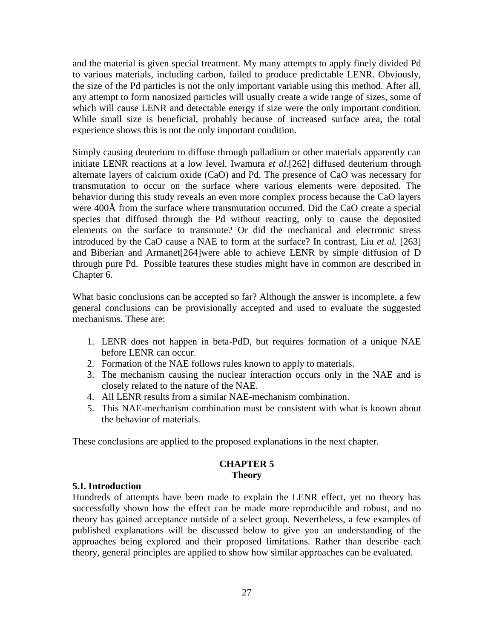and the material is given special treatment. My many attempts to apply finely divided Pd to various materials, including carbon, failed to produce predictable LENR. Obviously, the size of the Pd particles is not the only important variable using this method. After all, any attempt to form nanosized particles will usually create a wide range of sizes, some of which will cause LENR and detectable energy if size were the only important condition. While small size is beneficial, probably because of increased surface area, the total experience shows this is not the only important condition.

Simply causing deuterium to diffuse through palladium or other materials apparently can initiate LENR reactions at a low level. Iwamura *et al.*[262] diffused deuterium through alternate layers of calcium oxide (CaO) and Pd. The presence of CaO was necessary for transmutation to occur on the surface where various elements were deposited. The behavior during this study reveals an even more complex process because the CaO layers were 400Å from the surface where transmutation occurred. Did the CaO create a special species that diffused through the Pd without reacting, only to cause the deposited elements on the surface to transmute? Or did the mechanical and electronic stress introduced by the CaO cause a NAE to form at the surface? In contrast, Liu *et al.* [263] and Biberian and Armanet[264]were able to achieve LENR by simple diffusion of D through pure Pd. Possible features these studies might have in common are described in Chapter 6.

What basic conclusions can be accepted so far? Although the answer is incomplete, a few general conclusions can be provisionally accepted and used to evaluate the suggested mechanisms. These are:

- 1. LENR does not happen in beta-PdD, but requires formation of a unique NAE before LENR can occur.
- 2. Formation of the NAE follows rules known to apply to materials.
- 3. The mechanism causing the nuclear interaction occurs only in the NAE and is closely related to the nature of the NAE.
- 4. All LENR results from a similar NAE-mechanism combination.
- 5. This NAE-mechanism combination must be consistent with what is known about the behavior of materials.

These conclusions are applied to the proposed explanations in the next chapter.

## **CHAPTER 5 Theory**

## **5.I. Introduction**

Hundreds of attempts have been made to explain the LENR effect, yet no theory has successfully shown how the effect can be made more reproducible and robust, and no theory has gained acceptance outside of a select group. Nevertheless, a few examples of published explanations will be discussed below to give you an understanding of the approaches being explored and their proposed limitations. Rather than describe each theory, general principles are applied to show how similar approaches can be evaluated.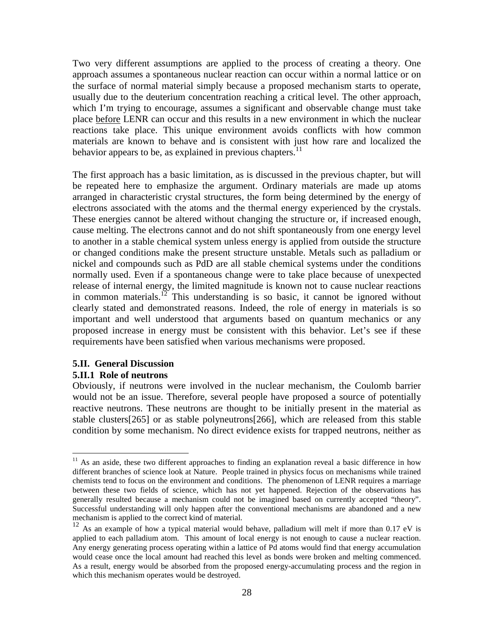Two very different assumptions are applied to the process of creating a theory. One approach assumes a spontaneous nuclear reaction can occur within a normal lattice or on the surface of normal material simply because a proposed mechanism starts to operate, usually due to the deuterium concentration reaching a critical level. The other approach, which I'm trying to encourage, assumes a significant and observable change must take place before LENR can occur and this results in a new environment in which the nuclear reactions take place. This unique environment avoids conflicts with how common materials are known to behave and is consistent with just how rare and localized the behavior appears to be, as explained in previous chapters.<sup>11</sup>

The first approach has a basic limitation, as is discussed in the previous chapter, but will be repeated here to emphasize the argument. Ordinary materials are made up atoms arranged in characteristic crystal structures, the form being determined by the energy of electrons associated with the atoms and the thermal energy experienced by the crystals. These energies cannot be altered without changing the structure or, if increased enough, cause melting. The electrons cannot and do not shift spontaneously from one energy level to another in a stable chemical system unless energy is applied from outside the structure or changed conditions make the present structure unstable. Metals such as palladium or nickel and compounds such as PdD are all stable chemical systems under the conditions normally used. Even if a spontaneous change were to take place because of unexpected release of internal energy, the limited magnitude is known not to cause nuclear reactions in common materials.<sup>12</sup> This understanding is so basic, it cannot be ignored without clearly stated and demonstrated reasons. Indeed, the role of energy in materials is so important and well understood that arguments based on quantum mechanics or any proposed increase in energy must be consistent with this behavior. Let's see if these requirements have been satisfied when various mechanisms were proposed.

# **5.II. General Discussion**

#### **5.II.1 Role of neutrons**

Obviously, if neutrons were involved in the nuclear mechanism, the Coulomb barrier would not be an issue. Therefore, several people have proposed a source of potentially reactive neutrons. These neutrons are thought to be initially present in the material as stable clusters[265] or as stable polyneutrons[266], which are released from this stable condition by some mechanism. No direct evidence exists for trapped neutrons, neither as

<sup>&</sup>lt;sup>11</sup> As an aside, these two different approaches to finding an explanation reveal a basic difference in how different branches of science look at Nature. People trained in physics focus on mechanisms while trained chemists tend to focus on the environment and conditions. The phenomenon of LENR requires a marriage between these two fields of science, which has not yet happened. Rejection of the observations has generally resulted because a mechanism could not be imagined based on currently accepted "theory". Successful understanding will only happen after the conventional mechanisms are abandoned and a new mechanism is applied to the correct kind of material.

<sup>&</sup>lt;sup>12</sup> As an example of how a typical material would behave, palladium will melt if more than 0.17 eV is applied to each palladium atom. This amount of local energy is not enough to cause a nuclear reaction. Any energy generating process operating within a lattice of Pd atoms would find that energy accumulation would cease once the local amount had reached this level as bonds were broken and melting commenced. As a result, energy would be absorbed from the proposed energy-accumulating process and the region in which this mechanism operates would be destroyed.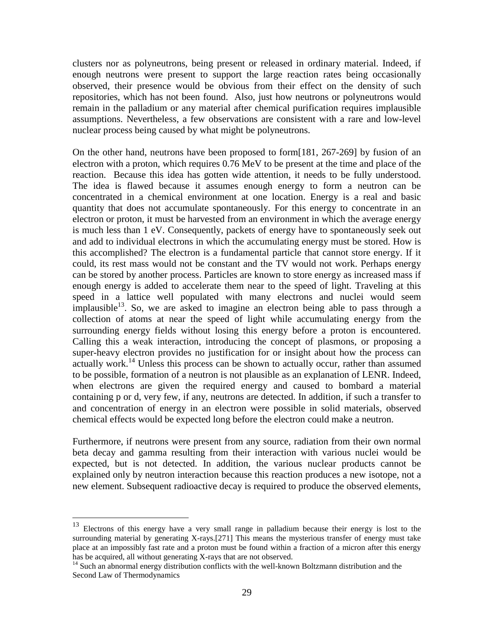clusters nor as polyneutrons, being present or released in ordinary material. Indeed, if enough neutrons were present to support the large reaction rates being occasionally observed, their presence would be obvious from their effect on the density of such repositories, which has not been found. Also, just how neutrons or polyneutrons would remain in the palladium or any material after chemical purification requires implausible assumptions. Nevertheless, a few observations are consistent with a rare and low-level nuclear process being caused by what might be polyneutrons.

On the other hand, neutrons have been proposed to form[181, 267-269] by fusion of an electron with a proton, which requires 0.76 MeV to be present at the time and place of the reaction. Because this idea has gotten wide attention, it needs to be fully understood. The idea is flawed because it assumes enough energy to form a neutron can be concentrated in a chemical environment at one location. Energy is a real and basic quantity that does not accumulate spontaneously. For this energy to concentrate in an electron or proton, it must be harvested from an environment in which the average energy is much less than 1 eV. Consequently, packets of energy have to spontaneously seek out and add to individual electrons in which the accumulating energy must be stored. How is this accomplished? The electron is a fundamental particle that cannot store energy. If it could, its rest mass would not be constant and the TV would not work. Perhaps energy can be stored by another process. Particles are known to store energy as increased mass if enough energy is added to accelerate them near to the speed of light. Traveling at this speed in a lattice well populated with many electrons and nuclei would seem implausible $13$ . So, we are asked to imagine an electron being able to pass through a collection of atoms at near the speed of light while accumulating energy from the surrounding energy fields without losing this energy before a proton is encountered. Calling this a weak interaction, introducing the concept of plasmons, or proposing a super-heavy electron provides no justification for or insight about how the process can actually work.<sup>14</sup> Unless this process can be shown to actually occur, rather than assumed to be possible, formation of a neutron is not plausible as an explanation of LENR. Indeed, when electrons are given the required energy and caused to bombard a material containing p or d, very few, if any, neutrons are detected. In addition, if such a transfer to and concentration of energy in an electron were possible in solid materials, observed chemical effects would be expected long before the electron could make a neutron.

Furthermore, if neutrons were present from any source, radiation from their own normal beta decay and gamma resulting from their interaction with various nuclei would be expected, but is not detected. In addition, the various nuclear products cannot be explained only by neutron interaction because this reaction produces a new isotope, not a new element. Subsequent radioactive decay is required to produce the observed elements,

<sup>&</sup>lt;sup>13</sup> Electrons of this energy have a very small range in palladium because their energy is lost to the surrounding material by generating X-rays.[271] This means the mysterious transfer of energy must take place at an impossibly fast rate and a proton must be found within a fraction of a micron after this energy has be acquired, all without generating X-rays that are not observed.

<sup>&</sup>lt;sup>14</sup> Such an abnormal energy distribution conflicts with the well-known Boltzmann distribution and the Second Law of Thermodynamics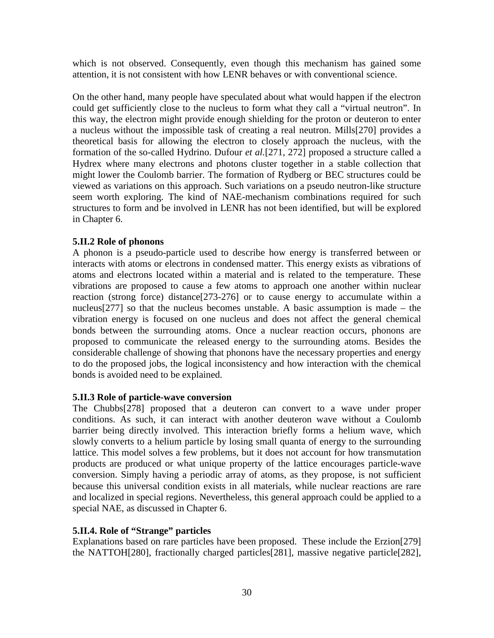which is not observed. Consequently, even though this mechanism has gained some attention, it is not consistent with how LENR behaves or with conventional science.

On the other hand, many people have speculated about what would happen if the electron could get sufficiently close to the nucleus to form what they call a "virtual neutron". In this way, the electron might provide enough shielding for the proton or deuteron to enter a nucleus without the impossible task of creating a real neutron. Mills[270] provides a theoretical basis for allowing the electron to closely approach the nucleus, with the formation of the so-called Hydrino. Dufour *et al.*[271, 272] proposed a structure called a Hydrex where many electrons and photons cluster together in a stable collection that might lower the Coulomb barrier. The formation of Rydberg or BEC structures could be viewed as variations on this approach. Such variations on a pseudo neutron-like structure seem worth exploring. The kind of NAE-mechanism combinations required for such structures to form and be involved in LENR has not been identified, but will be explored in Chapter 6.

# **5.II.2 Role of phonons**

A phonon is a pseudo-particle used to describe how energy is transferred between or interacts with atoms or electrons in condensed matter. This energy exists as vibrations of atoms and electrons located within a material and is related to the temperature. These vibrations are proposed to cause a few atoms to approach one another within nuclear reaction (strong force) distance[273-276] or to cause energy to accumulate within a nucleus[277] so that the nucleus becomes unstable. A basic assumption is made – the vibration energy is focused on one nucleus and does not affect the general chemical bonds between the surrounding atoms. Once a nuclear reaction occurs, phonons are proposed to communicate the released energy to the surrounding atoms. Besides the considerable challenge of showing that phonons have the necessary properties and energy to do the proposed jobs, the logical inconsistency and how interaction with the chemical bonds is avoided need to be explained.

## **5.II.3 Role of particle-wave conversion**

The Chubbs[278] proposed that a deuteron can convert to a wave under proper conditions. As such, it can interact with another deuteron wave without a Coulomb barrier being directly involved. This interaction briefly forms a helium wave, which slowly converts to a helium particle by losing small quanta of energy to the surrounding lattice. This model solves a few problems, but it does not account for how transmutation products are produced or what unique property of the lattice encourages particle-wave conversion. Simply having a periodic array of atoms, as they propose, is not sufficient because this universal condition exists in all materials, while nuclear reactions are rare and localized in special regions. Nevertheless, this general approach could be applied to a special NAE, as discussed in Chapter 6.

## **5.II.4. Role of "Strange" particles**

Explanations based on rare particles have been proposed. These include the Erzion[279] the NATTOH[280], fractionally charged particles[281], massive negative particle[282],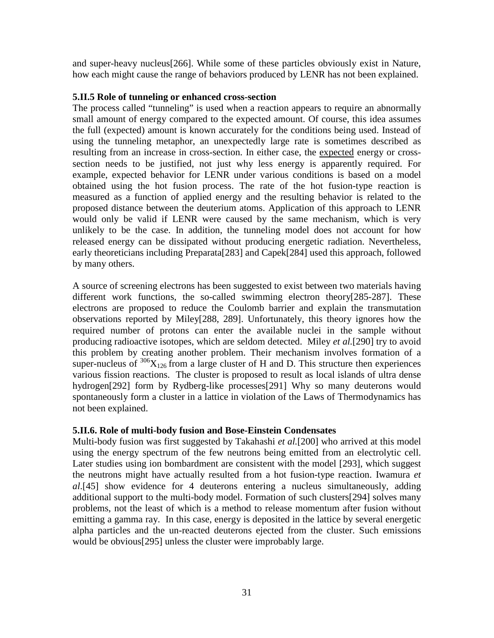and super-heavy nucleus[266]. While some of these particles obviously exist in Nature, how each might cause the range of behaviors produced by LENR has not been explained.

## **5.II.5 Role of tunneling or enhanced cross-section**

The process called "tunneling" is used when a reaction appears to require an abnormally small amount of energy compared to the expected amount. Of course, this idea assumes the full (expected) amount is known accurately for the conditions being used. Instead of using the tunneling metaphor, an unexpectedly large rate is sometimes described as resulting from an increase in cross-section. In either case, the expected energy or crosssection needs to be justified, not just why less energy is apparently required. For example, expected behavior for LENR under various conditions is based on a model obtained using the hot fusion process. The rate of the hot fusion-type reaction is measured as a function of applied energy and the resulting behavior is related to the proposed distance between the deuterium atoms. Application of this approach to LENR would only be valid if LENR were caused by the same mechanism, which is very unlikely to be the case. In addition, the tunneling model does not account for how released energy can be dissipated without producing energetic radiation. Nevertheless, early theoreticians including Preparata[283] and Capek[284] used this approach, followed by many others.

A source of screening electrons has been suggested to exist between two materials having different work functions, the so-called swimming electron theory[285-287]. These electrons are proposed to reduce the Coulomb barrier and explain the transmutation observations reported by Miley[288, 289]. Unfortunately, this theory ignores how the required number of protons can enter the available nuclei in the sample without producing radioactive isotopes, which are seldom detected. Miley *et al.*[290] try to avoid this problem by creating another problem. Their mechanism involves formation of a super-nucleus of  $\frac{306}{126}$  from a large cluster of H and D. This structure then experiences various fission reactions. The cluster is proposed to result as local islands of ultra dense hydrogen[292] form by Rydberg-like processes[291] Why so many deuterons would spontaneously form a cluster in a lattice in violation of the Laws of Thermodynamics has not been explained.

## **5.II.6. Role of multi-body fusion and Bose-Einstein Condensates**

Multi-body fusion was first suggested by Takahashi *et al.*[200] who arrived at this model using the energy spectrum of the few neutrons being emitted from an electrolytic cell. Later studies using ion bombardment are consistent with the model [293], which suggest the neutrons might have actually resulted from a hot fusion-type reaction. Iwamura *et al*.[45] show evidence for 4 deuterons entering a nucleus simultaneously, adding additional support to the multi-body model. Formation of such clusters[294] solves many problems, not the least of which is a method to release momentum after fusion without emitting a gamma ray. In this case, energy is deposited in the lattice by several energetic alpha particles and the un-reacted deuterons ejected from the cluster. Such emissions would be obvious[295] unless the cluster were improbably large.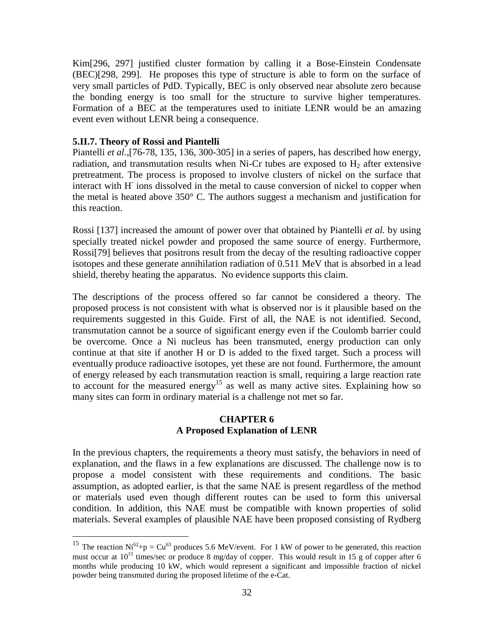Kim[296, 297] justified cluster formation by calling it a Bose-Einstein Condensate (BEC)[298, 299]. He proposes this type of structure is able to form on the surface of very small particles of PdD. Typically, BEC is only observed near absolute zero because the bonding energy is too small for the structure to survive higher temperatures. Formation of a BEC at the temperatures used to initiate LENR would be an amazing event even without LENR being a consequence.

#### **5.II.7. Theory of Rossi and Piantelli**

Piantelli *et al.*,[76-78, 135, 136, 300-305] in a series of papers, has described how energy, radiation, and transmutation results when Ni-Cr tubes are exposed to  $H_2$  after extensive pretreatment. The process is proposed to involve clusters of nickel on the surface that interact with H-ions dissolved in the metal to cause conversion of nickel to copper when the metal is heated above  $350^{\circ}$  C. The authors suggest a mechanism and justification for this reaction.

Rossi [137] increased the amount of power over that obtained by Piantelli *et al.* by using specially treated nickel powder and proposed the same source of energy. Furthermore, Rossi[79] believes that positrons result from the decay of the resulting radioactive copper isotopes and these generate annihilation radiation of 0.511 MeV that is absorbed in a lead shield, thereby heating the apparatus. No evidence supports this claim.

The descriptions of the process offered so far cannot be considered a theory. The proposed process is not consistent with what is observed nor is it plausible based on the requirements suggested in this Guide. First of all, the NAE is not identified. Second, transmutation cannot be a source of significant energy even if the Coulomb barrier could be overcome. Once a Ni nucleus has been transmuted, energy production can only continue at that site if another H or D is added to the fixed target. Such a process will eventually produce radioactive isotopes, yet these are not found. Furthermore, the amount of energy released by each transmutation reaction is small, requiring a large reaction rate to account for the measured energy<sup>15</sup> as well as many active sites. Explaining how so many sites can form in ordinary material is a challenge not met so far.

## **CHAPTER 6 A Proposed Explanation of LENR**

In the previous chapters, the requirements a theory must satisfy, the behaviors in need of explanation, and the flaws in a few explanations are discussed. The challenge now is to propose a model consistent with these requirements and conditions. The basic assumption, as adopted earlier, is that the same NAE is present regardless of the method or materials used even though different routes can be used to form this universal condition. In addition, this NAE must be compatible with known properties of solid materials. Several examples of plausible NAE have been proposed consisting of Rydberg

<sup>&</sup>lt;sup>15</sup> The reaction Ni<sup>62</sup>+p = Cu<sup>63</sup> produces 5.6 MeV/event. For 1 kW of power to be generated, this reaction must occur at  $10^{15}$  times/sec or produce 8 mg/day of copper. This would result in 15 g of copper after 6 months while producing 10 kW, which would represent a significant and impossible fraction of nickel powder being transmuted during the proposed lifetime of the e-Cat.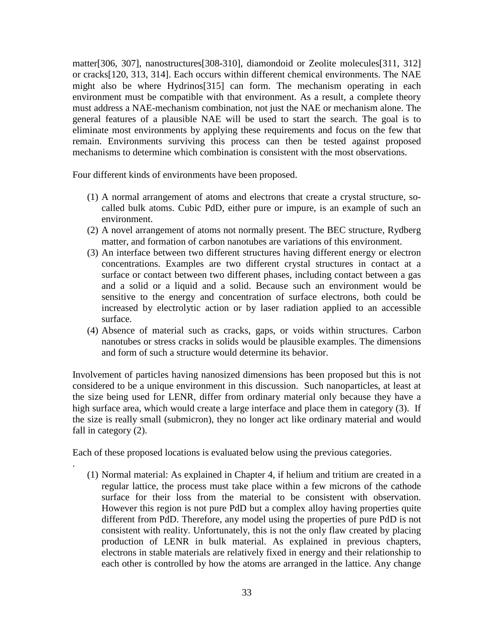matter[306, 307], nanostructures[308-310], diamondoid or Zeolite molecules[311, 312] or cracks[120, 313, 314]. Each occurs within different chemical environments. The NAE might also be where Hydrinos[315] can form. The mechanism operating in each environment must be compatible with that environment. As a result, a complete theory must address a NAE-mechanism combination, not just the NAE or mechanism alone. The general features of a plausible NAE will be used to start the search. The goal is to eliminate most environments by applying these requirements and focus on the few that remain. Environments surviving this process can then be tested against proposed mechanisms to determine which combination is consistent with the most observations.

Four different kinds of environments have been proposed.

- (1) A normal arrangement of atoms and electrons that create a crystal structure, socalled bulk atoms. Cubic PdD, either pure or impure, is an example of such an environment.
- (2) A novel arrangement of atoms not normally present. The BEC structure, Rydberg matter, and formation of carbon nanotubes are variations of this environment.
- (3) An interface between two different structures having different energy or electron concentrations. Examples are two different crystal structures in contact at a surface or contact between two different phases, including contact between a gas and a solid or a liquid and a solid. Because such an environment would be sensitive to the energy and concentration of surface electrons, both could be increased by electrolytic action or by laser radiation applied to an accessible surface.
- (4) Absence of material such as cracks, gaps, or voids within structures. Carbon nanotubes or stress cracks in solids would be plausible examples. The dimensions and form of such a structure would determine its behavior.

Involvement of particles having nanosized dimensions has been proposed but this is not considered to be a unique environment in this discussion. Such nanoparticles, at least at the size being used for LENR, differ from ordinary material only because they have a high surface area, which would create a large interface and place them in category (3). If the size is really small (submicron), they no longer act like ordinary material and would fall in category (2).

Each of these proposed locations is evaluated below using the previous categories.

.

(1) Normal material: As explained in Chapter 4, if helium and tritium are created in a regular lattice, the process must take place within a few microns of the cathode surface for their loss from the material to be consistent with observation. However this region is not pure PdD but a complex alloy having properties quite different from PdD. Therefore, any model using the properties of pure PdD is not consistent with reality. Unfortunately, this is not the only flaw created by placing production of LENR in bulk material. As explained in previous chapters, electrons in stable materials are relatively fixed in energy and their relationship to each other is controlled by how the atoms are arranged in the lattice. Any change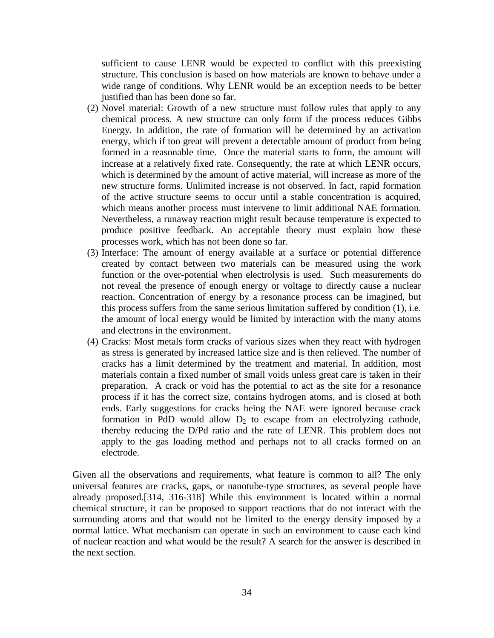sufficient to cause LENR would be expected to conflict with this preexisting structure. This conclusion is based on how materials are known to behave under a wide range of conditions. Why LENR would be an exception needs to be better justified than has been done so far.

- (2) Novel material: Growth of a new structure must follow rules that apply to any chemical process. A new structure can only form if the process reduces Gibbs Energy. In addition, the rate of formation will be determined by an activation energy, which if too great will prevent a detectable amount of product from being formed in a reasonable time. Once the material starts to form, the amount will increase at a relatively fixed rate. Consequently, the rate at which LENR occurs, which is determined by the amount of active material, will increase as more of the new structure forms. Unlimited increase is not observed. In fact, rapid formation of the active structure seems to occur until a stable concentration is acquired, which means another process must intervene to limit additional NAE formation. Nevertheless, a runaway reaction might result because temperature is expected to produce positive feedback. An acceptable theory must explain how these processes work, which has not been done so far.
- (3) Interface: The amount of energy available at a surface or potential difference created by contact between two materials can be measured using the work function or the over-potential when electrolysis is used. Such measurements do not reveal the presence of enough energy or voltage to directly cause a nuclear reaction. Concentration of energy by a resonance process can be imagined, but this process suffers from the same serious limitation suffered by condition (1), i.e. the amount of local energy would be limited by interaction with the many atoms and electrons in the environment.
- (4) Cracks: Most metals form cracks of various sizes when they react with hydrogen as stress is generated by increased lattice size and is then relieved. The number of cracks has a limit determined by the treatment and material. In addition, most materials contain a fixed number of small voids unless great care is taken in their preparation. A crack or void has the potential to act as the site for a resonance process if it has the correct size, contains hydrogen atoms, and is closed at both ends. Early suggestions for cracks being the NAE were ignored because crack formation in PdD would allow  $D_2$  to escape from an electrolyzing cathode, thereby reducing the D/Pd ratio and the rate of LENR. This problem does not apply to the gas loading method and perhaps not to all cracks formed on an electrode.

Given all the observations and requirements, what feature is common to all? The only universal features are cracks, gaps, or nanotube-type structures, as several people have already proposed.[314, 316-318] While this environment is located within a normal chemical structure, it can be proposed to support reactions that do not interact with the surrounding atoms and that would not be limited to the energy density imposed by a normal lattice. What mechanism can operate in such an environment to cause each kind of nuclear reaction and what would be the result? A search for the answer is described in the next section.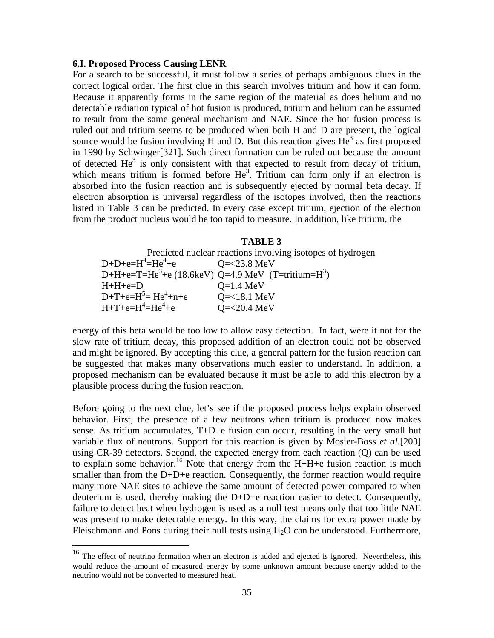#### **6.I. Proposed Process Causing LENR**

For a search to be successful, it must follow a series of perhaps ambiguous clues in the correct logical order. The first clue in this search involves tritium and how it can form. Because it apparently forms in the same region of the material as does helium and no detectable radiation typical of hot fusion is produced, tritium and helium can be assumed to result from the same general mechanism and NAE. Since the hot fusion process is ruled out and tritium seems to be produced when both H and D are present, the logical source would be fusion involving  $\hat{H}$  and D. But this reaction gives  $\hat{He}^3$  as first proposed in 1990 by Schwinger[321]. Such direct formation can be ruled out because the amount of detected  $He^{3}$  is only consistent with that expected to result from decay of tritium, which means tritium is formed before  $He<sup>3</sup>$ . Tritium can form only if an electron is absorbed into the fusion reaction and is subsequently ejected by normal beta decay. If electron absorption is universal regardless of the isotopes involved, then the reactions listed in Table 3 can be predicted. In every case except tritium, ejection of the electron from the product nucleus would be too rapid to measure. In addition, like tritium, the

#### **TABLE 3**

Predicted nuclear reactions involving isotopes of hydrogen  $D+D+e=H^4=He^4$  $Q = 23.8$  MeV D+H+e=T=He<sup>3</sup>+e (18.6keV) Q=4.9 MeV (T=tritium=H<sup>3</sup>)  $H + H + e = D$   $Q = 1.4 \text{ MeV}$  $D+T+e=H^5=He^4+n$  $Q = 18.1$  MeV  $H + T + e = H^4 = He^4$  $O = 20.4$  MeV

energy of this beta would be too low to allow easy detection. In fact, were it not for the slow rate of tritium decay, this proposed addition of an electron could not be observed and might be ignored. By accepting this clue, a general pattern for the fusion reaction can be suggested that makes many observations much easier to understand. In addition, a proposed mechanism can be evaluated because it must be able to add this electron by a plausible process during the fusion reaction.

Before going to the next clue, let's see if the proposed process helps explain observed behavior. First, the presence of a few neutrons when tritium is produced now makes sense. As tritium accumulates, T+D+e fusion can occur, resulting in the very small but variable flux of neutrons. Support for this reaction is given by Mosier-Boss *et al.*[203] using CR-39 detectors. Second, the expected energy from each reaction (Q) can be used to explain some behavior.<sup>16</sup> Note that energy from the H+H+e fusion reaction is much smaller than from the D+D+e reaction. Consequently, the former reaction would require many more NAE sites to achieve the same amount of detected power compared to when deuterium is used, thereby making the D+D+e reaction easier to detect. Consequently, failure to detect heat when hydrogen is used as a null test means only that too little NAE was present to make detectable energy. In this way, the claims for extra power made by Fleischmann and Pons during their null tests using  $H_2O$  can be understood. Furthermore,

<sup>&</sup>lt;sup>16</sup> The effect of neutrino formation when an electron is added and ejected is ignored. Nevertheless, this would reduce the amount of measured energy by some unknown amount because energy added to the neutrino would not be converted to measured heat.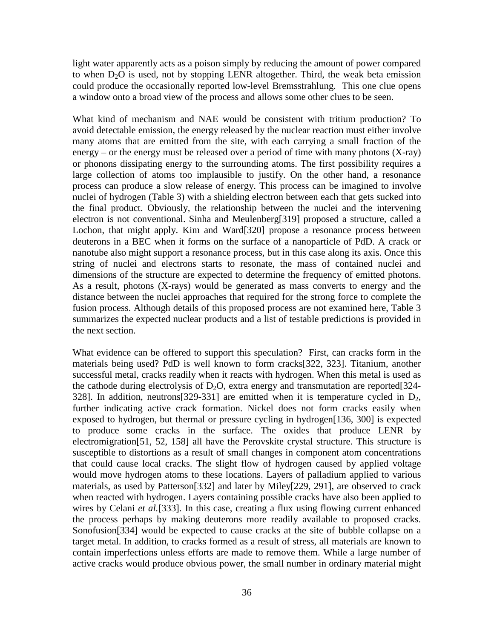light water apparently acts as a poison simply by reducing the amount of power compared to when  $D_2O$  is used, not by stopping LENR altogether. Third, the weak beta emission could produce the occasionally reported low-level Bremsstrahlung. This one clue opens a window onto a broad view of the process and allows some other clues to be seen.

What kind of mechanism and NAE would be consistent with tritium production? To avoid detectable emission, the energy released by the nuclear reaction must either involve many atoms that are emitted from the site, with each carrying a small fraction of the energy – or the energy must be released over a period of time with many photons (X-ray) or phonons dissipating energy to the surrounding atoms. The first possibility requires a large collection of atoms too implausible to justify. On the other hand, a resonance process can produce a slow release of energy. This process can be imagined to involve nuclei of hydrogen (Table 3) with a shielding electron between each that gets sucked into the final product. Obviously, the relationship between the nuclei and the intervening electron is not conventional. Sinha and Meulenberg[319] proposed a structure, called a Lochon, that might apply. Kim and Ward[320] propose a resonance process between deuterons in a BEC when it forms on the surface of a nanoparticle of PdD. A crack or nanotube also might support a resonance process, but in this case along its axis. Once this string of nuclei and electrons starts to resonate, the mass of contained nuclei and dimensions of the structure are expected to determine the frequency of emitted photons. As a result, photons (X-rays) would be generated as mass converts to energy and the distance between the nuclei approaches that required for the strong force to complete the fusion process. Although details of this proposed process are not examined here, Table 3 summarizes the expected nuclear products and a list of testable predictions is provided in the next section.

What evidence can be offered to support this speculation? First, can cracks form in the materials being used? PdD is well known to form cracks[322, 323]. Titanium, another successful metal, cracks readily when it reacts with hydrogen. When this metal is used as the cathode during electrolysis of  $D_2O$ , extra energy and transmutation are reported[324-328]. In addition, neutrons [329-331] are emitted when it is temperature cycled in  $D_2$ , further indicating active crack formation. Nickel does not form cracks easily when exposed to hydrogen, but thermal or pressure cycling in hydrogen[136, 300] is expected to produce some cracks in the surface. The oxides that produce LENR by electromigration[51, 52, 158] all have the Perovskite crystal structure. This structure is susceptible to distortions as a result of small changes in component atom concentrations that could cause local cracks. The slight flow of hydrogen caused by applied voltage would move hydrogen atoms to these locations. Layers of palladium applied to various materials, as used by Patterson[332] and later by Miley[229, 291], are observed to crack when reacted with hydrogen. Layers containing possible cracks have also been applied to wires by Celani *et al.*[333]. In this case, creating a flux using flowing current enhanced the process perhaps by making deuterons more readily available to proposed cracks. Sonofusion[334] would be expected to cause cracks at the site of bubble collapse on a target metal. In addition, to cracks formed as a result of stress, all materials are known to contain imperfections unless efforts are made to remove them. While a large number of active cracks would produce obvious power, the small number in ordinary material might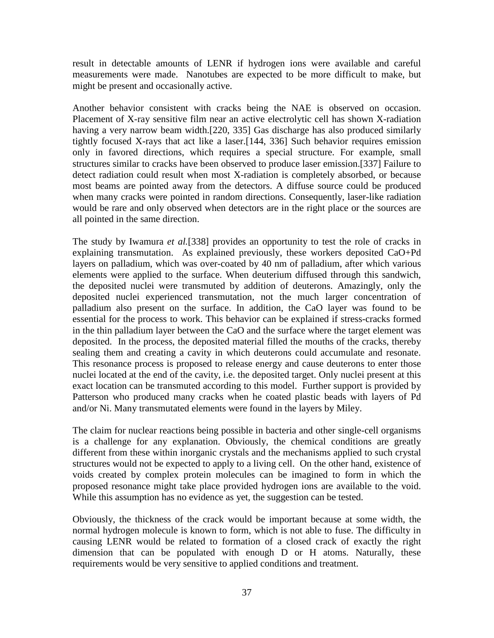result in detectable amounts of LENR if hydrogen ions were available and careful measurements were made. Nanotubes are expected to be more difficult to make, but might be present and occasionally active.

Another behavior consistent with cracks being the NAE is observed on occasion. Placement of X-ray sensitive film near an active electrolytic cell has shown X-radiation having a very narrow beam width.[220, 335] Gas discharge has also produced similarly tightly focused X-rays that act like a laser.[144, 336] Such behavior requires emission only in favored directions, which requires a special structure. For example, small structures similar to cracks have been observed to produce laser emission.[337] Failure to detect radiation could result when most X-radiation is completely absorbed, or because most beams are pointed away from the detectors. A diffuse source could be produced when many cracks were pointed in random directions. Consequently, laser-like radiation would be rare and only observed when detectors are in the right place or the sources are all pointed in the same direction.

The study by Iwamura *et al.*[338] provides an opportunity to test the role of cracks in explaining transmutation. As explained previously, these workers deposited CaO+Pd layers on palladium, which was over-coated by 40 nm of palladium, after which various elements were applied to the surface. When deuterium diffused through this sandwich, the deposited nuclei were transmuted by addition of deuterons. Amazingly, only the deposited nuclei experienced transmutation, not the much larger concentration of palladium also present on the surface. In addition, the CaO layer was found to be essential for the process to work. This behavior can be explained if stress-cracks formed in the thin palladium layer between the CaO and the surface where the target element was deposited. In the process, the deposited material filled the mouths of the cracks, thereby sealing them and creating a cavity in which deuterons could accumulate and resonate. This resonance process is proposed to release energy and cause deuterons to enter those nuclei located at the end of the cavity, i.e. the deposited target. Only nuclei present at this exact location can be transmuted according to this model. Further support is provided by Patterson who produced many cracks when he coated plastic beads with layers of Pd and/or Ni. Many transmutated elements were found in the layers by Miley.

The claim for nuclear reactions being possible in bacteria and other single-cell organisms is a challenge for any explanation. Obviously, the chemical conditions are greatly different from these within inorganic crystals and the mechanisms applied to such crystal structures would not be expected to apply to a living cell. On the other hand, existence of voids created by complex protein molecules can be imagined to form in which the proposed resonance might take place provided hydrogen ions are available to the void. While this assumption has no evidence as yet, the suggestion can be tested.

Obviously, the thickness of the crack would be important because at some width, the normal hydrogen molecule is known to form, which is not able to fuse. The difficulty in causing LENR would be related to formation of a closed crack of exactly the right dimension that can be populated with enough D or H atoms. Naturally, these requirements would be very sensitive to applied conditions and treatment.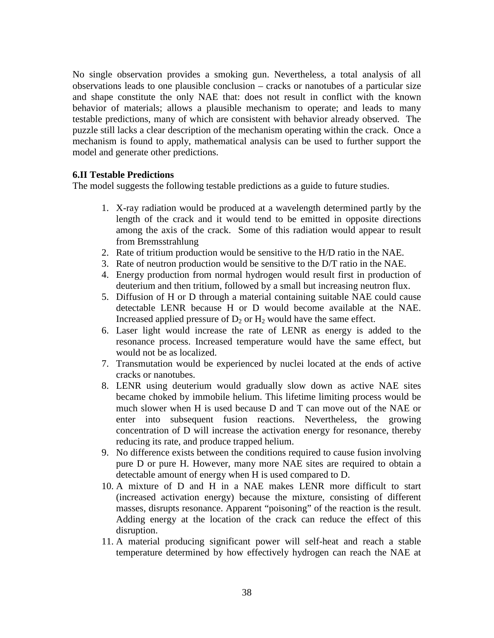No single observation provides a smoking gun. Nevertheless, a total analysis of all observations leads to one plausible conclusion – cracks or nanotubes of a particular size and shape constitute the only NAE that: does not result in conflict with the known behavior of materials; allows a plausible mechanism to operate; and leads to many testable predictions, many of which are consistent with behavior already observed. The puzzle still lacks a clear description of the mechanism operating within the crack. Once a mechanism is found to apply, mathematical analysis can be used to further support the model and generate other predictions.

## **6.II Testable Predictions**

The model suggests the following testable predictions as a guide to future studies.

- 1. X-ray radiation would be produced at a wavelength determined partly by the length of the crack and it would tend to be emitted in opposite directions among the axis of the crack. Some of this radiation would appear to result from Bremsstrahlung
- 2. Rate of tritium production would be sensitive to the H/D ratio in the NAE.
- 3. Rate of neutron production would be sensitive to the D/T ratio in the NAE.
- 4. Energy production from normal hydrogen would result first in production of deuterium and then tritium, followed by a small but increasing neutron flux.
- 5. Diffusion of H or D through a material containing suitable NAE could cause detectable LENR because H or D would become available at the NAE. Increased applied pressure of  $D_2$  or  $H_2$  would have the same effect.
- 6. Laser light would increase the rate of LENR as energy is added to the resonance process. Increased temperature would have the same effect, but would not be as localized.
- 7. Transmutation would be experienced by nuclei located at the ends of active cracks or nanotubes.
- 8. LENR using deuterium would gradually slow down as active NAE sites became choked by immobile helium. This lifetime limiting process would be much slower when H is used because D and T can move out of the NAE or enter into subsequent fusion reactions. Nevertheless, the growing concentration of D will increase the activation energy for resonance, thereby reducing its rate, and produce trapped helium.
- 9. No difference exists between the conditions required to cause fusion involving pure D or pure H. However, many more NAE sites are required to obtain a detectable amount of energy when H is used compared to D.
- 10. A mixture of D and H in a NAE makes LENR more difficult to start (increased activation energy) because the mixture, consisting of different masses, disrupts resonance. Apparent "poisoning" of the reaction is the result. Adding energy at the location of the crack can reduce the effect of this disruption.
- 11. A material producing significant power will self-heat and reach a stable temperature determined by how effectively hydrogen can reach the NAE at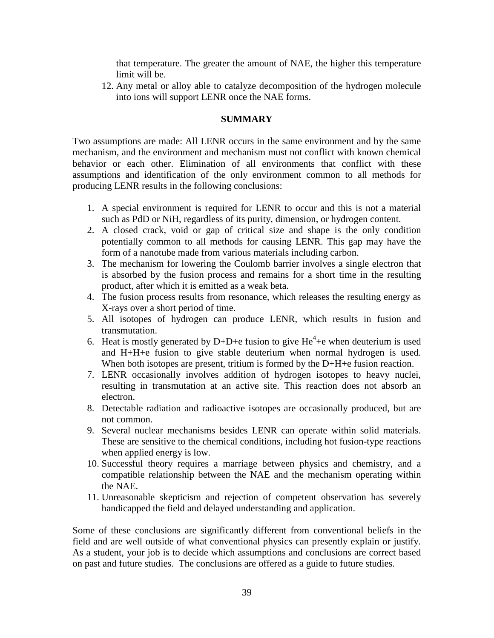that temperature. The greater the amount of NAE, the higher this temperature limit will be.

12. Any metal or alloy able to catalyze decomposition of the hydrogen molecule into ions will support LENR once the NAE forms.

# **SUMMARY**

Two assumptions are made: All LENR occurs in the same environment and by the same mechanism, and the environment and mechanism must not conflict with known chemical behavior or each other. Elimination of all environments that conflict with these assumptions and identification of the only environment common to all methods for producing LENR results in the following conclusions:

- 1. A special environment is required for LENR to occur and this is not a material such as PdD or NiH, regardless of its purity, dimension, or hydrogen content.
- 2. A closed crack, void or gap of critical size and shape is the only condition potentially common to all methods for causing LENR. This gap may have the form of a nanotube made from various materials including carbon.
- 3. The mechanism for lowering the Coulomb barrier involves a single electron that is absorbed by the fusion process and remains for a short time in the resulting product, after which it is emitted as a weak beta.
- 4. The fusion process results from resonance, which releases the resulting energy as X-rays over a short period of time.
- 5. All isotopes of hydrogen can produce LENR, which results in fusion and transmutation.
- 6. Heat is mostly generated by D+D+e fusion to give  $He<sup>4</sup>+e$  when deuterium is used and H+H+e fusion to give stable deuterium when normal hydrogen is used. When both isotopes are present, tritium is formed by the D+H+e fusion reaction.
- 7. LENR occasionally involves addition of hydrogen isotopes to heavy nuclei, resulting in transmutation at an active site. This reaction does not absorb an electron.
- 8. Detectable radiation and radioactive isotopes are occasionally produced, but are not common.
- 9. Several nuclear mechanisms besides LENR can operate within solid materials. These are sensitive to the chemical conditions, including hot fusion-type reactions when applied energy is low.
- 10. Successful theory requires a marriage between physics and chemistry, and a compatible relationship between the NAE and the mechanism operating within the NAE.
- 11. Unreasonable skepticism and rejection of competent observation has severely handicapped the field and delayed understanding and application.

Some of these conclusions are significantly different from conventional beliefs in the field and are well outside of what conventional physics can presently explain or justify. As a student, your job is to decide which assumptions and conclusions are correct based on past and future studies. The conclusions are offered as a guide to future studies.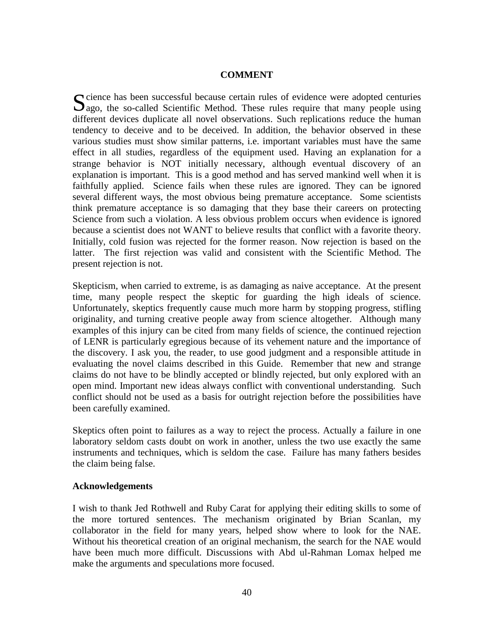#### **COMMENT**

cience has been successful because certain rules of evidence were adopted centuries Socience has been successful because certain rules of evidence were adopted centuries algo, the so-called Scientific Method. These rules require that many people using different devices duplicate all novel observations. Such replications reduce the human tendency to deceive and to be deceived. In addition, the behavior observed in these various studies must show similar patterns, i.e. important variables must have the same effect in all studies, regardless of the equipment used. Having an explanation for a strange behavior is NOT initially necessary, although eventual discovery of an explanation is important. This is a good method and has served mankind well when it is faithfully applied. Science fails when these rules are ignored. They can be ignored several different ways, the most obvious being premature acceptance. Some scientists think premature acceptance is so damaging that they base their careers on protecting Science from such a violation. A less obvious problem occurs when evidence is ignored because a scientist does not WANT to believe results that conflict with a favorite theory. Initially, cold fusion was rejected for the former reason. Now rejection is based on the latter. The first rejection was valid and consistent with the Scientific Method. The present rejection is not.

Skepticism, when carried to extreme, is as damaging as naive acceptance. At the present time, many people respect the skeptic for guarding the high ideals of science. Unfortunately, skeptics frequently cause much more harm by stopping progress, stifling originality, and turning creative people away from science altogether. Although many examples of this injury can be cited from many fields of science, the continued rejection of LENR is particularly egregious because of its vehement nature and the importance of the discovery. I ask you, the reader, to use good judgment and a responsible attitude in evaluating the novel claims described in this Guide. Remember that new and strange claims do not have to be blindly accepted or blindly rejected, but only explored with an open mind. Important new ideas always conflict with conventional understanding. Such conflict should not be used as a basis for outright rejection before the possibilities have been carefully examined.

Skeptics often point to failures as a way to reject the process. Actually a failure in one laboratory seldom casts doubt on work in another, unless the two use exactly the same instruments and techniques, which is seldom the case. Failure has many fathers besides the claim being false.

#### **Acknowledgements**

I wish to thank Jed Rothwell and Ruby Carat for applying their editing skills to some of the more tortured sentences. The mechanism originated by Brian Scanlan, my collaborator in the field for many years, helped show where to look for the NAE. Without his theoretical creation of an original mechanism, the search for the NAE would have been much more difficult. Discussions with Abd ul-Rahman Lomax helped me make the arguments and speculations more focused.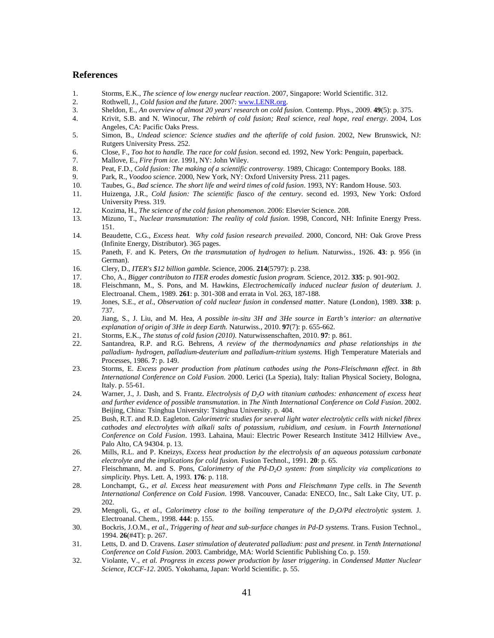#### **References**

- 1. Storms, E.K., *The science of low energy nuclear reaction*. 2007, Singapore: World Scientific. 312.
- 2. Rothwell, J., *Cold fusion and the future*. 2007: www.LENR.org.
- 3. Sheldon, E., *An overview of almost 20 years' research on cold fusion.* Contemp. Phys., 2009. **49**(5): p. 375.
- 4. Krivit, S.B. and N. Winocur, *The rebirth of cold fusion; Real science, real hope, real energy*. 2004, Los Angeles, CA: Pacific Oaks Press.
- 5. Simon, B., *Undead science: Science studies and the afterlife of cold fusion*. 2002, New Brunswick, NJ: Rutgers University Press. 252.
- 6. Close, F., *Too hot to handle. The race for cold fusion*. second ed. 1992, New York: Penguin, paperback.
- 7. Mallove, E., *Fire from ice*. 1991, NY: John Wiley.
- 8. Peat, F.D., *Cold fusion: The making of a scientific controversy.* 1989, Chicago: Contempory Books. 188.
- 9. Park, R., *Voodoo science*. 2000, New York, NY: Oxford University Press. 211 pages.
- 10. Taubes, G., *Bad science. The short life and weird times of cold fusion*. 1993, NY: Random House. 503.
- 11. Huizenga, J.R., *Cold fusion: The scientific fiasco of the century*. second ed. 1993, New York: Oxford University Press. 319.
- 12. Kozima, H., *The science of the cold fusion phenomenon*. 2006: Elsevier Science. 208.
- 13. Mizuno, T., *Nuclear transmutation: The reality of cold fusion*. 1998, Concord, NH: Infinite Energy Press. 151.
- 14. Beaudette, C.G., *Excess heat. Why cold fusion research prevailed*. 2000, Concord, NH: Oak Grove Press (Infinite Energy, Distributor). 365 pages.
- 15. Paneth, F. and K. Peters, *On the transmutation of hydrogen to helium.* Naturwiss., 1926. **43**: p. 956 (in German).
- 16. Clery, D., *ITER's \$12 billion gamble.* Science, 2006. **214**(5797): p. 238.
- 17. Cho, A., *Bigger contributon to ITER erodes domestic fusion program.* Science, 2012. **335**: p. 901-902.
- 18. Fleischmann, M., S. Pons, and M. Hawkins, *Electrochemically induced nuclear fusion of deuterium.* J. Electroanal. Chem., 1989. **261**: p. 301-308 and errata in Vol. 263, 187-188.
- 19. Jones, S.E., *et al.*, *Observation of cold nuclear fusion in condensed matter.* Nature (London), 1989. **338**: p. 737.
- 20. Jiang, S., J. Liu, and M. Hea, *A possible in-situ 3H and 3He source in Earth's interior: an alternative explanation of origin of 3He in deep Earth.* Naturwiss., 2010. **97**(7): p. 655-662.
- 21. Storms, E.K., *The status of cold fusion (2010).* Naturwissenschaften, 2010. **97**: p. 861.
- 22. Santandrea, R.P. and R.G. Behrens, *A review of the thermodynamics and phase relationships in the palladium- hydrogen, palladium-deuterium and palladium-tritium systems.* High Temperature Materials and Processes, 1986. **7**: p. 149.
- 23. Storms, E. *Excess power production from platinum cathodes using the Pons-Fleischmann effect*. in *8th International Conference on Cold Fusion*. 2000. Lerici (La Spezia), Italy: Italian Physical Society, Bologna, Italy. p. 55-61.
- 24. Warner, J., J. Dash, and S. Frantz. *Electrolysis of D2O with titanium cathodes: enhancement of excess heat and further evidence of possible transmutation*. in *The Ninth International Conference on Cold Fusion*. 2002. Beijing, China: Tsinghua University: Tsinghua University. p. 404.
- 25. Bush, R.T. and R.D. Eagleton. *Calorimetric studies for several light water electrolytic cells with nickel fibrex cathodes and electrolytes with alkali salts of potassium, rubidium, and cesium*. in *Fourth International Conference on Cold Fusion*. 1993. Lahaina, Maui: Electric Power Research Institute 3412 Hillview Ave., Palo Alto, CA 94304. p. 13.
- 26. Mills, R.L. and P. Kneizys, *Excess heat production by the electrolysis of an aqueous potassium carbonate electrolyte and the implications for cold fusion.* Fusion Technol., 1991. **20**: p. 65.
- 27. Fleischmann, M. and S. Pons, *Calorimetry of the Pd-D2O system: from simplicity via complications to simplicity.* Phys. Lett. A, 1993. **176**: p. 118.
- 28. Lonchampt, G., *et al. Excess heat measurement with Pons and Fleischmann Type cells*. in *The Seventh International Conference on Cold Fusion*. 1998. Vancouver, Canada: ENECO, Inc., Salt Lake City, UT. p. 202.
- 29. Mengoli, G., *et al.*, *Calorimetry close to the boiling temperature of the D2O/Pd electrolytic system.* J. Electroanal. Chem., 1998. **444**: p. 155.
- 30. Bockris, J.O.M., *et al.*, *Triggering of heat and sub-surface changes in Pd-D systems.* Trans. Fusion Technol., 1994. **26**(#4T): p. 267.
- 31. Letts, D. and D. Cravens. *Laser stimulation of deuterated palladium: past and present*. in *Tenth International Conference on Cold Fusion*. 2003. Cambridge, MA: World Scientific Publishing Co. p. 159.
- 32. Violante, V., *et al. Progress in excess power production by laser triggering*. in *Condensed Matter Nuclear Science, ICCF-12*. 2005. Yokohama, Japan: World Scientific. p. 55.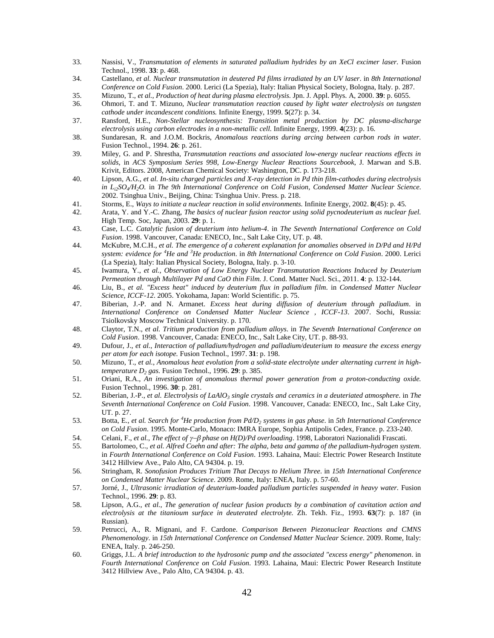- 33. Nassisi, V., *Transmutation of elements in saturated palladium hydrides by an XeCl excimer laser.* Fusion Technol., 1998. **33**: p. 468.
- 34. Castellano, *et al. Nuclear transmutation in deutered Pd films irradiated by an UV laser*. in *8th International Conference on Cold Fusion*. 2000. Lerici (La Spezia), Italy: Italian Physical Society, Bologna, Italy. p. 287.
- 35. Mizuno, T., *et al.*, *Production of heat during plasma electrolysis.* Jpn. J. Appl. Phys. A, 2000. **39**: p. 6055.
- 36. Ohmori, T. and T. Mizuno, *Nuclear transmutation reaction caused by light water electrolysis on tungsten cathode under incandescent conditions.* Infinite Energy, 1999. **5**(27): p. 34.
- 37. Ransford, H.E., *Non-Stellar nucleosynthesis: Transition metal production by DC plasma-discharge electrolysis using carbon electrodes in a non-metallic cell.* Infinite Energy, 1999. **4**(23): p. 16.
- 38. Sundaresan, R. and J.O.M. Bockris, *Anomalous reactions during arcing between carbon rods in water.* Fusion Technol., 1994. **26**: p. 261.
- 39. Miley, G. and P. Shrestha, *Transmutation reactions and associated low-energy nuclear reactions effects in solids*, in *ACS Symposium Series 998, Low-Energy Nuclear Reactions Sourcebook*, J. Marwan and S.B. Krivit, Editors. 2008, American Chemical Society: Washington, DC. p. 173-218.
- 40. Lipson, A.G., *et al. In-situ charged particles and X-ray detection in Pd thin film-cathodes during electrolysis in Li2SO<sup>4</sup> /H2O.* in *The 9th International Conference on Cold Fusion, Condensed Matter Nuclear Science*. 2002. Tsinghua Univ., Beijing, China: Tsinghua Univ. Press. p. 218.
- 41. Storms, E., *Ways to initiate a nuclear reaction in solid environments.* Infinite Energy, 2002. **8**(45): p. 45.
- 42. Arata, Y. and Y.-C. Zhang, *The basics of nuclear fusion reactor using solid pycnodeuterium as nuclear fuel.* High Temp. Soc, Japan, 2003. **29**: p. 1.
- 43. Case, L.C. *Catalytic fusion of deuterium into helium-4*. in *The Seventh International Conference on Cold Fusion*. 1998. Vancouver, Canada: ENECO, Inc., Salt Lake City, UT. p. 48.
- 44. McKubre, M.C.H., *et al. The emergence of a coherent explanation for anomalies observed in D/Pd and H/Pd system: evidence for <sup>4</sup>He and <sup>3</sup>He production*. in *8th International Conference on Cold Fusion*. 2000. Lerici (La Spezia), Italy: Italian Physical Society, Bologna, Italy. p. 3-10.
- 45. Iwamura, Y., *et al.*, *Observation of Low Energy Nuclear Transmutation Reactions Induced by Deuterium Permeation through Multilayer Pd and CaO thin Film.* J. Cond. Matter Nucl. Sci., 2011. **4**: p. 132-144.
- 46. Liu, B., *et al. "Excess heat" induced by deuterium flux in palladium film*. in *Condensed Matter Nuclear Science, ICCF-12*. 2005. Yokohama, Japan: World Scientific. p. 75.
- 47. Biberian, J.-P. and N. Armanet. *Excess heat during diffusion of deuterium through palladium*. in *International Conference on Condensed Matter Nuclear Science , ICCF-13*. 2007. Sochi, Russia: Tsiolkovsky Moscow Technical University. p. 170.
- 48. Claytor, T.N., *et al. Tritium production from palladium alloys*. in *The Seventh International Conference on Cold Fusion*. 1998. Vancouver, Canada: ENECO, Inc., Salt Lake City, UT. p. 88-93.
- 49. Dufour, J., *et al.*, *Interaction of palladium/hydrogen and palladium/deuterium to measure the excess energy per atom for each isotope.* Fusion Technol., 1997. **31**: p. 198.
- 50. Mizuno, T., *et al.*, *Anomalous heat evolution from a solid-state electrolyte under alternating current in hightemperature D<sup>2</sup> gas.* Fusion Technol., 1996. **29**: p. 385.
- 51. Oriani, R.A., *An investigation of anomalous thermal power generation from a proton-conducting oxide.* Fusion Technol., 1996. **30**: p. 281.
- 52. Biberian, J.-P., *et al. Electrolysis of LaAlO<sup>3</sup> single crystals and ceramics in a deuteriated atmosphere*. in *The Seventh International Conference on Cold Fusion*. 1998. Vancouver, Canada: ENECO, Inc., Salt Lake City, UT. p. 27.
- 53. Botta, E., *et al. Search for <sup>4</sup>He production from Pd/D<sup>2</sup> systems in gas phase*. in *5th International Conference on Cold Fusion*. 1995. Monte-Carlo, Monaco: IMRA Europe, Sophia Antipolis Cedex, France. p. 233-240.
- 54. Celani, F., *et al.*, *The effect of phase on H(D)/Pd overloading*. 1998, Laboratori Nazionalidi Frascati.
- 55. Bartolomeo, C., *et al. Alfred Coehn and after: The alpha, beta and gamma of the palladium-hydrogen system*. in *Fourth International Conference on Cold Fusion*. 1993. Lahaina, Maui: Electric Power Research Institute 3412 Hillview Ave., Palo Alto, CA 94304. p. 19.
- 56. Stringham, R. *Sonofusion Produces Tritium That Decays to Helium Three*. in *15th International Conference on Condensed Matter Nuclear Science*. 2009. Rome, Italy: ENEA, Italy. p. 57-60.
- 57. Jorné, J., *Ultrasonic irradiation of deuterium-loaded palladium particles suspended in heavy water.* Fusion Technol., 1996. **29**: p. 83.
- 58. Lipson, A.G., *et al.*, *The generation of nuclear fusion products by a combination of cavitation action and electrolysis at the titanioum surface in deuterated electrolyte.* Zh. Tekh. Fiz., 1993. **63**(7): p. 187 (in Russian).
- 59. Petrucci, A., R. Mignani, and F. Cardone. *Comparison Between Piezonuclear Reactions and CMNS Phenomenology*. in *15th International Conference on Condensed Matter Nuclear Science*. 2009. Rome, Italy: ENEA, Italy. p. 246-250.
- 60. Griggs, J.L. *A brief introduction to the hydrosonic pump and the associated "excess energy" phenomenon*. in *Fourth International Conference on Cold Fusion*. 1993. Lahaina, Maui: Electric Power Research Institute 3412 Hillview Ave., Palo Alto, CA 94304. p. 43.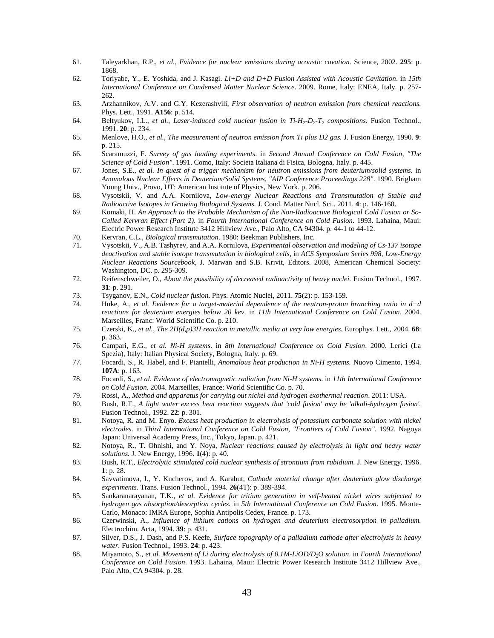- 61. Taleyarkhan, R.P., *et al.*, *Evidence for nuclear emissions during acoustic cavation.* Science, 2002. **295**: p. 1868.
- 62. Toriyabe, Y., E. Yoshida, and J. Kasagi. *Li+D and D+D Fusion Assisted with Acoustic Cavitation*. in *15th International Conference on Condensed Matter Nuclear Science*. 2009. Rome, Italy: ENEA, Italy. p. 257- 262.
- 63. Arzhannikov, A.V. and G.Y. Kezerashvili, *First observation of neutron emission from chemical reactions.* Phys. Lett., 1991. **A156**: p. 514.
- 64. Beltyukov, I.L., *et al., Laser-induced cold nuclear fusion in Ti-H<sub>2</sub>-D<sub>2</sub>-T<sub>2</sub> <i>compositions*. Fusion Technol., 1991. **20**: p. 234.
- 65. Menlove, H.O., *et al.*, *The measurement of neutron emission from Ti plus D2 gas.* J. Fusion Energy, 1990. **9**: p. 215.
- 66. Scaramuzzi, F. *Survey of gas loading experiments*. in *Second Annual Conference on Cold Fusion, "The Science of Cold Fusion"*. 1991. Como, Italy: Societa Italiana di Fisica, Bologna, Italy. p. 445.
- 67. Jones, S.E., *et al. In quest of a trigger mechanism for neutron emissions from deuterium/solid systems*. in *Anomalous Nuclear Effects in Deuterium/Solid Systems, "AIP Conference Proceedings 228"*. 1990. Brigham Young Univ., Provo, UT: American Institute of Physics, New York. p. 206.
- 68. Vysotskii, V. and A.A. Kornilova, *Low-energy Nuclear Reactions and Transmutation of Stable and Radioactive Isotopes in Growing Biological Systems.* J. Cond. Matter Nucl. Sci., 2011. **4**: p. 146-160.
- 69. Komaki, H. *An Approach to the Probable Mechanism of the Non-Radioactive Biological Cold Fusion or So-Called Kervran Effect (Part 2)*. in *Fourth International Conference on Cold Fusion*. 1993. Lahaina, Maui: Electric Power Research Institute 3412 Hillview Ave., Palo Alto, CA 94304. p. 44-1 to 44-12.
- 70. Kervran, C.L., *Biological transmutation*. 1980: Beekman Publishers, Inc.
- 71. Vysotskii, V., A.B. Tashyrev, and A.A. Kornilova, *Experimental observation and modeling of Cs-137 isotope deactivation and stable isotope transmutation in biological cells*, in *ACS Symposium Series 998, Low-Energy Nuclear Reactions Sourcebook*, J. Marwan and S.B. Krivit, Editors. 2008, American Chemical Society: Washington, DC. p. 295-309.
- 72. Reifenschweiler, O., *About the possibility of decreased radioactivity of heavy nuclei.* Fusion Technol., 1997. **31**: p. 291.
- 73. Tsyganov, E.N., *Cold nuclear fusion.* Phys. Atomic Nuclei, 2011. **75**(2): p. 153-159.
- 74. Huke, A., *et al. Evidence for a target-material dependence of the neutron-proton branching ratio in d+d reactions for deuterium energies below 20 kev*. in *11th International Conference on Cold Fusion*. 2004. Marseilles, Franc: World Scientific Co. p. 210.
- 75. Czerski, K., *et al.*, *The 2H(d,p)3H reaction in metallic media at very low energies.* Europhys. Lett., 2004. **68**: p. 363.
- 76. Campari, E.G., *et al. Ni-H systems*. in *8th International Conference on Cold Fusion*. 2000. Lerici (La Spezia), Italy: Italian Physical Society, Bologna, Italy. p. 69.
- 77. Focardi, S., R. Habel, and F. Piantelli, *Anomalous heat production in Ni-H systems.* Nuovo Cimento, 1994. **107A**: p. 163.
- 78. Focardi, S., *et al. Evidence of electromagnetic radiation from Ni-H systems*. in *11th International Conference on Cold Fusion*. 2004. Marseilles, France: World Scientific Co. p. 70.
- 79. Rossi, A., *Method and apparatus for carrying out nickel and hydrogen exothermal reaction*. 2011: USA.
- 80. Bush, R.T., *A light water excess heat reaction suggests that 'cold fusion' may be 'alkali-hydrogen fusion'.* Fusion Technol., 1992. **22**: p. 301.
- 81. Notoya, R. and M. Enyo. *Excess heat production in electrolysis of potassium carbonate solution with nickel electrodes*. in *Third International Conference on Cold Fusion, "Frontiers of Cold Fusion"*. 1992. Nagoya Japan: Universal Academy Press, Inc., Tokyo, Japan. p. 421.
- 82. Notoya, R., T. Ohnishi, and Y. Noya, *Nuclear reactions caused by electrolysis in light and heavy water solutions.* J. New Energy, 1996. **1**(4): p. 40.
- 83. Bush, R.T., *Electrolytic stimulated cold nuclear synthesis of strontium from rubidium.* J. New Energy, 1996. **1**: p. 28.
- 84. Savvatimova, I., Y. Kucherov, and A. Karabut, *Cathode material change after deuterium glow discharge experiments.* Trans. Fusion Technol., 1994. **26**(4T): p. 389-394.
- 85. Sankaranarayanan, T.K., *et al. Evidence for tritium generation in self-heated nickel wires subjected to hydrogen gas absorption/desorption cycles.* in *5th International Conference on Cold Fusion*. 1995. Monte-Carlo, Monaco: IMRA Europe, Sophia Antipolis Cedex, France. p. 173.
- 86. Czerwinski, A., *Influence of lithium cations on hydrogen and deuterium electrosorption in palladium.* Electrochim. Acta, 1994. **39**: p. 431.
- 87. Silver, D.S., J. Dash, and P.S. Keefe, *Surface topography of a palladium cathode after electrolysis in heavy water.* Fusion Technol., 1993. **24**: p. 423.
- 88. Miyamoto, S., *et al. Movement of Li during electrolysis of 0.1M-LiOD/D2O solution*. in *Fourth International Conference on Cold Fusion*. 1993. Lahaina, Maui: Electric Power Research Institute 3412 Hillview Ave., Palo Alto, CA 94304. p. 28.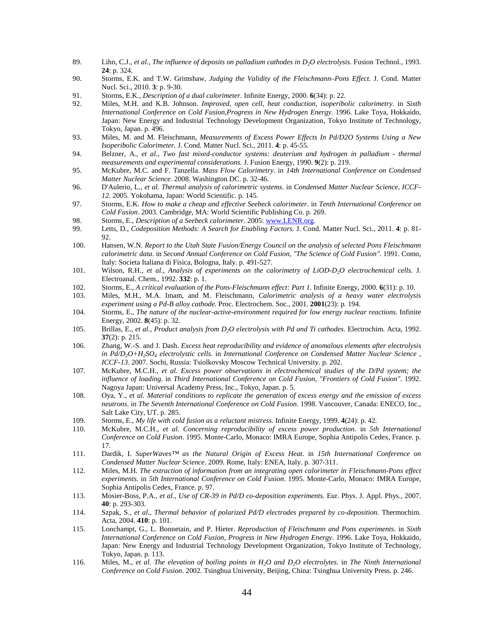- 89. Lihn, C.J., et al., *The influence of deposits on palladium cathodes in D<sub>2</sub>O electrolysis. Fusion Technol., 1993.* **24**: p. 324.
- 90. Storms, E.K. and T.W. Grimshaw, *Judging the Validity of the Fleischmann–Pons Effect.* J. Cond. Matter Nucl. Sci., 2010. **3**: p. 9-30.
- 91. Storms, E.K., *Description of a dual calorimeter.* Infinite Energy, 2000. **6**(34): p. 22.
- 92. Miles, M.H. and K.B. Johnson. *Improved, open cell, heat conduction, isoperibolic calorimetry*. in *Sixth International Conference on Cold Fusion,Progress in New Hydrogen Energy*. 1996. Lake Toya, Hokkaido, Japan: New Energy and Industrial Technology Development Organization, Tokyo Institute of Technology, Tokyo, Japan. p. 496.
- 93. Miles, M. and M. Fleischmann, *Measurements of Excess Power Effects In Pd/D2O Systems Using a New Isoperibolic Calorimeter.* J. Cond. Matter Nucl. Sci., 2011. **4**: p. 45-55.
- 94. Belzner, A., *et al.*, *Two fast mixed-conductor systems: deuterium and hydrogen in palladium thermal measurements and experimental considerations.* J. Fusion Energy, 1990. **9**(2): p. 219.
- 95. McKubre, M.C. and F. Tanzella. *Mass Flow Calorimetry*. in *14th International Conference on Condensed Matter Nuclear Science*. 2008. Washington DC. p. 32-46.
- 96. D'Aulerio, L., *et al. Thermal analysis of calorimetric systems*. in *Condensed Matter Nuclear Science, ICCF-12*. 2005. Yokohama, Japan: World Scientific. p. 145.
- 97. Storms, E.K. *How to make a cheap and effective Seebeck calorimeter*. in *Tenth International Conference on Cold Fusion*. 2003. Cambridge, MA: World Scientific Publishing Co. p. 269.
- 98. Storms, E., *Description of a Seebeck calorimeter*. 2005: www.LENR.org.
- 99. Letts, D., *Codeposition Methods: A Search for Enabling Factors.* J. Cond. Matter Nucl. Sci., 2011. **4**: p. 81- 92.
- 100. Hansen, W.N. *Report to the Utah State Fusion/Energy Council on the analysis of selected Pons Fleischmann calorimetric data*. in *Second Annual Conference on Cold Fusion, "The Science of Cold Fusion"*. 1991. Como, Italy: Societa Italiana di Fisica, Bologna, Italy. p. 491-527.
- 101. Wilson, R.H., *et al.*, *Analysis of experiments on the calorimetry of LiOD-D2O electrochemical cells.* J. Electroanal. Chem., 1992. **332**: p. 1.
- 102. Storms, E., *A critical evaluation of the Pons-Fleischmann effect: Part 1.* Infinite Energy, 2000. **6**(31): p. 10.
- 103. Miles, M.H., M.A. Imam, and M. Fleischmann, *Calorimetric analysis of a heavy water electrolysis experiment using a Pd-B alloy cathode.* Proc. Electrochem. Soc., 2001. **2001**(23): p. 194.
- 104. Storms, E., *The nature of the nuclear-active-environment required for low energy nuclear reactions.* Infinite Energy, 2002. **8**(45): p. 32.
- 105. Brillas, E., *et al.*, *Product analysis from D2O electrolysis with Pd and Ti cathodes.* Electrochim. Acta, 1992. **37**(2): p. 215.
- 106. Zhang, W.-S. and J. Dash. *Excess heat reproducibility and evidence of anomalous elements after electrolysis in Pd/D2O+H2SO<sup>4</sup> electrolystic cells*. in *International Conference on Condensed Matter Nuclear Science , ICCF-13*. 2007. Sochi, Russia: Tsiolkovsky Moscow Technical University. p. 202.
- 107. McKubre, M.C.H., *et al. Excess power observations in electrochemical studies of the D/Pd system; the influence of loading*. in *Third International Conference on Cold Fusion, "Frontiers of Cold Fusion"*. 1992. Nagoya Japan: Universal Academy Press, Inc., Tokyo, Japan. p. 5.
- 108. Oya, Y., *et al. Material conditions to replicate the generation of excess energy and the emission of excess neutrons*. in *The Seventh International Conference on Cold Fusion*. 1998. Vancouver, Canada: ENECO, Inc., Salt Lake City, UT. p. 285.
- 109. Storms, E., *My life with cold fusion as a reluctant mistress.* Infinite Energy, 1999. **4**(24): p. 42.
- 110. McKubre, M.C.H., *et al. Concerning reproducibility of excess power production*. in *5th International Conference on Cold Fusion*. 1995. Monte-Carlo, Monaco: IMRA Europe, Sophia Antipolis Cedex, France. p. 17.
- 111. Dardik, I. *SuperWaves™ as the Natural Origin of Excess Heat*. in *15th International Conference on Condensed Matter Nuclear Science*. 2009. Rome, Italy: ENEA, Italy. p. 307-311.
- 112. Miles, M.H. *The extraction of information from an integrating open calorimeter in Fleischmann-Pons effect experiments*. in *5th International Conference on Cold Fusion*. 1995. Monte-Carlo, Monaco: IMRA Europe, Sophia Antipolis Cedex, France. p. 97.
- 113. Mosier-Boss, P.A., *et al.*, *Use of CR-39 in Pd/D co-deposition experiments.* Eur. Phys. J. Appl. Phys., 2007. **40**: p. 293-303.
- 114. Szpak, S., *et al.*, *Thermal behavior of polarized Pd/D electrodes prepared by co-deposition.* Thermochim. Acta, 2004. **410**: p. 101.
- 115. Lonchampt, G., L. Bonnetain, and P. Hieter. *Reproduction of Fleischmann and Pons experiments*. in *Sixth International Conference on Cold Fusion, Progress in New Hydrogen Energy*. 1996. Lake Toya, Hokkaido, Japan: New Energy and Industrial Technology Development Organization, Tokyo Institute of Technology, Tokyo, Japan. p. 113.
- 116. Miles, M., *et al. The elevation of boiling points in H2O and D2O electrolytes*. in *The Ninth International Conference on Cold Fusion*. 2002. Tsinghua University, Beijing, China: Tsinghua University Press. p. 246.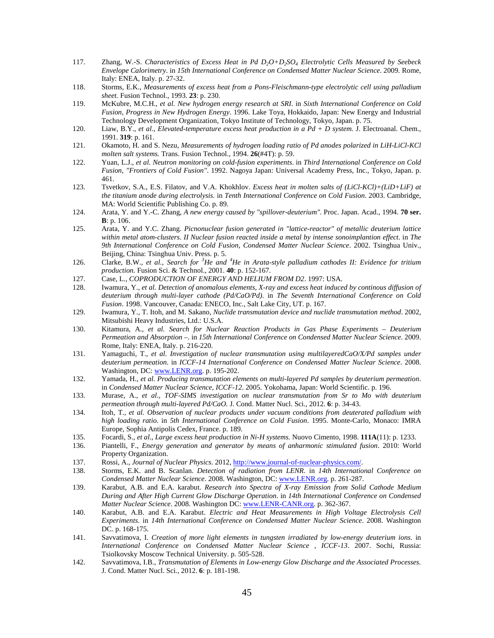- 117. Zhang, W.-S. *Characteristics of Excess Heat in Pd D2O+D2SO<sup>4</sup> Electrolytic Cells Measured by Seebeck Envelope Calorimetry*. in *15th International Conference on Condensed Matter Nuclear Science*. 2009. Rome, Italy: ENEA, Italy. p. 27-32.
- 118. Storms, E.K., *Measurements of excess heat from a Pons-Fleischmann-type electrolytic cell using palladium sheet.* Fusion Technol., 1993. **23**: p. 230.
- 119. McKubre, M.C.H., *et al. New hydrogen energy research at SRI*. in *Sixth International Conference on Cold Fusion, Progress in New Hydrogen Energy*. 1996. Lake Toya, Hokkaido, Japan: New Energy and Industrial Technology Development Organization, Tokyo Institute of Technology, Tokyo, Japan. p. 75.
- 120. Liaw, B.Y., *et al.*, *Elevated-temperature excess heat production in a Pd + D system.* J. Electroanal. Chem., 1991. **319**: p. 161.
- 121. Okamoto, H. and S. Nezu, *Measurements of hydrogen loading ratio of Pd anodes polarized in LiH-LiCl-KCl molten salt systems.* Trans. Fusion Technol., 1994. **26**(#4T): p. 59.
- 122. Yuan, L.J., *et al. Neutron monitoring on cold-fusion experiments*. in *Third International Conference on Cold Fusion, "Frontiers of Cold Fusion"*. 1992. Nagoya Japan: Universal Academy Press, Inc., Tokyo, Japan. p. 461.
- 123. Tsvetkov, S.A., E.S. Filatov, and V.A. Khokhlov. *Excess heat in molten salts of (LiCl-KCl)+(LiD+LiF) at the titanium anode during electrolysis*. in *Tenth International Conference on Cold Fusion*. 2003. Cambridge, MA: World Scientific Publishing Co. p. 89.
- 124. Arata, Y. and Y.-C. Zhang, *A new energy caused by "spillover-deuterium".* Proc. Japan. Acad., 1994. **70 ser. B**: p. 106.
- 125. Arata, Y. and Y.C. Zhang. *Picnonuclear fusion generated in "lattice-reactor" of metallic deuterium lattice within metal atom-clusters. II Nuclear fusion reacted inside a metal by intense sonoimplantion effect*. in *The 9th International Conference on Cold Fusion, Condensed Matter Nuclear Science*. 2002. Tsinghua Univ., Beijing, China: Tsinghua Univ. Press. p. 5.
- 126. Clarke, B.W., *et al.*, *Search for <sup>3</sup>He and <sup>4</sup>He in Arata-style palladium cathodes II: Evidence for tritium production.* Fusion Sci. & Technol., 2001. **40**: p. 152-167.
- 127. Case, L., *COPRODUCTION OF ENERGY AND HELIUM FROM D2*. 1997: USA.
- 128. Iwamura, Y., *et al. Detection of anomalous elements, X-ray and excess heat induced by continous diffusion of deuterium through multi-layer cathode (Pd/CaO/Pd)*. in *The Seventh International Conference on Cold Fusion*. 1998. Vancouver, Canada: ENECO, Inc., Salt Lake City, UT. p. 167.
- 129. Iwamura, Y., T. Itoh, and M. Sakano, *Nuclide transmutation device and nuclide transmutation method*. 2002, Mitsubishi Heavy Industries, Ltd.: U.S.A.
- 130. Kitamura, A., *et al. Search for Nuclear Reaction Products in Gas Phase Experiments Deuterium Permeation and Absorption –*. in *15th International Conference on Condensed Matter Nuclear Science*. 2009. Rome, Italy: ENEA, Italy. p. 216-220.
- 131. Yamaguchi, T., *et al. Investigation of nuclear transmutation using multilayeredCaO/X/Pd samples under deuterium permeation*. in *ICCF-14 International Conference on Condensed Matter Nuclear Science*. 2008. Washington, DC: www.LENR.org. p. 195-202.
- 132. Yamada, H., *et al. Producing transmutation elements on multi-layered Pd samples by deuterium permeation*. in *Condensed Matter Nuclear Science, ICCF-12*. 2005. Yokohama, Japan: World Scientific. p. 196.
- 133. Murase, A., *et al.*, *TOF-SIMS investigation on nuclear transmutation from Sr to Mo with deuterium permeation through multi-layered Pd/CaO.* J. Cond. Matter Nucl. Sci., 2012. **6**: p. 34-43.
- 134. Itoh, T., *et al. Observation of nuclear products under vacuum conditions from deuterated palladium with high loading ratio*. in *5th International Conference on Cold Fusion*. 1995. Monte-Carlo, Monaco: IMRA Europe, Sophia Antipolis Cedex, France. p. 189.
- 135. Focardi, S., *et al.*, *Large excess heat production in Ni-H systems.* Nuovo Cimento, 1998. **111A**(11): p. 1233.
- 136. Piantelli, F., *Energy generation and generator by means of anharmonic stimulated fusion*. 2010: World Property Organization.
- 137. Rossi, A., *Journal of Nuclear Physics*. 2012, http://www.journal-of-nuclear-physics.com/.
- 138. Storms, E.K. and B. Scanlan. *Detection of radiation from LENR*. in *14th International Conference on Condensed Matter Nuclear Science*. 2008. Washington, DC: www.LENR.org. p. 261-287.
- 139. Karabut, A.B. and E.A. karabut. *Research into Spectra of X-ray Emission from Solid Cathode Medium During and After High Current Glow Discharge Operation*. in *14th International Conference on Condensed Matter Nuclear Science*. 2008. Washington DC: www.LENR-CANR.org. p. 362-367.
- 140. Karabut, A.B. and E.A. Karabut. *Electric and Heat Measurements in High Voltage Electrolysis Cell Experiments*. in *14th International Conference on Condensed Matter Nuclear Science*. 2008. Washington DC. p. 168-175.
- 141. Savvatimova, I. *Creation of more light elements in tungsten irradiated by low-energy deuterium ions*. in *International Conference on Condensed Matter Nuclear Science , ICCF-13*. 2007. Sochi, Russia: Tsiolkovsky Moscow Technical University. p. 505-528.
- 142. Savvatimova, I.B., *Transmutation of Elements in Low-energy Glow Discharge and the Associated Processes.* J. Cond. Matter Nucl. Sci., 2012. **6**: p. 181-198.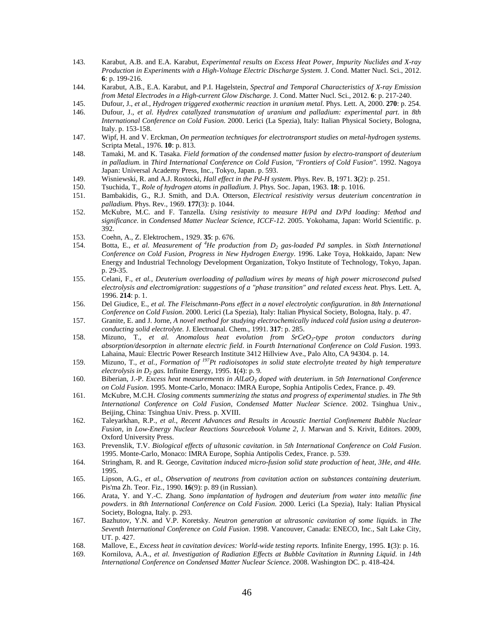- 143. Karabut, A.B. and E.A. Karabut, *Experimental results on Excess Heat Power, Impurity Nuclides and X-ray Production in Experiments with a High-Voltage Electric Discharge System.* J. Cond. Matter Nucl. Sci., 2012. **6**: p. 199-216.
- 144. Karabut, A.B., E.A. Karabut, and P.I. Hagelstein, *Spectral and Temporal Characteristics of X-ray Emission from Metal Electrodes in a High-current Glow Discharge.* J. Cond. Matter Nucl. Sci., 2012. **6**: p. 217-240.
- 145. Dufour, J., *et al.*, *Hydrogen triggered exothermic reaction in uranium metal.* Phys. Lett. A, 2000. **270**: p. 254.
- 146. Dufour, J., *et al. Hydrex catallyzed transmutation of uranium and palladium: experimental part*. in *8th International Conference on Cold Fusion*. 2000. Lerici (La Spezia), Italy: Italian Physical Society, Bologna, Italy. p. 153-158.
- 147. Wipf, H. and V. Erckman, *On permeation techniques for electrotransport studies on metal-hydrogen systems.* Scripta Metal., 1976. **10**: p. 813.
- 148. Tamaki, M. and K. Tasaka. *Field formation of the condensed matter fusion by electro-transport of deuterium in palladium*. in *Third International Conference on Cold Fusion, "Frontiers of Cold Fusion"*. 1992. Nagoya Japan: Universal Academy Press, Inc., Tokyo, Japan. p. 593.
- 149. Wisniewski, R. and A.J. Rostocki, *Hall effect in the Pd-H system.* Phys. Rev. B, 1971. **3**(2): p. 251.
- 150. Tsuchida, T., *Role of hydrogen atoms in palladium.* J. Phys. Soc. Japan, 1963. **18**: p. 1016.
- 151. Bambakidis, G., R.J. Smith, and D.A. Otterson, *Electrical resistivity versus deuterium concentration in palladium.* Phys. Rev., 1969. **177**(3): p. 1044.
- 152. McKubre, M.C. and F. Tanzella. *Using resistivity to measure H/Pd and D/Pd loading: Method and significance*. in *Condensed Matter Nuclear Science, ICCF-12*. 2005. Yokohama, Japan: World Scientific. p. 392.
- 153. Coehn, A., Z. Elektrochem., 1929. **35**: p. 676.
- 154. Botta, E., *et al. Measurement of <sup>4</sup>He production from D<sup>2</sup> gas-loaded Pd samples*. in *Sixth International Conference on Cold Fusion, Progress in New Hydrogen Energy*. 1996. Lake Toya, Hokkaido, Japan: New Energy and Industrial Technology Development Organization, Tokyo Institute of Technology, Tokyo, Japan. p. 29-35.
- 155. Celani, F., *et al.*, *Deuterium overloading of palladium wires by means of high power microsecond pulsed electrolysis and electromigration: suggestions of a "phase transition" and related excess heat.* Phys. Lett. A, 1996. **214**: p. 1.
- 156. Del Giudice, E., *et al. The Fleischmann-Pons effect in a novel electrolytic configuration*. in *8th International Conference on Cold Fusion*. 2000. Lerici (La Spezia), Italy: Italian Physical Society, Bologna, Italy. p. 47.
- 157. Granite, E. and J. Jorne, *A novel method for studying electrochemically induced cold fusion using a deuteronconducting solid electrolyte.* J. Electroanal. Chem., 1991. **317**: p. 285.
- 158. Mizuno, T., *et al. Anomalous heat evolution from SrCeO<sup>3</sup> -type proton conductors during absorption/desorption in alternate electric field*. in *Fourth International Conference on Cold Fusion*. 1993. Lahaina, Maui: Electric Power Research Institute 3412 Hillview Ave., Palo Alto, CA 94304. p. 14.
- 159. Mizuno, T., *et al.*, *Formation of <sup>197</sup>Pt radioisotopes in solid state electrolyte treated by high temperature electrolysis in D<sup>2</sup> gas.* Infinite Energy, 1995. **1**(4): p. 9.
- 160. Biberian, J.-P. *Excess heat measurements in AlLaO<sup>3</sup> doped with deuterium*. in *5th International Conference on Cold Fusion*. 1995. Monte-Carlo, Monaco: IMRA Europe, Sophia Antipolis Cedex, France. p. 49.
- 161. McKubre, M.C.H. *Closing comments summerizing the status and progress of experimental studies*. in *The 9th International Conference on Cold Fusion, Condensed Matter Nuclear Science*. 2002. Tsinghua Univ., Beijing, China: Tsinghua Univ. Press. p. XVIII.
- 162. Taleyarkhan, R.P., *et al.*, *Recent Advances and Results in Acoustic Inertial Confinement Bubble Nuclear Fusion*, in *Low-Energy Nuclear Reactions Sourcebook Volume 2*, J. Marwan and S. Krivit, Editors. 2009, Oxford University Press.
- 163. Prevenslik, T.V. *Biological effects of ultasonic cavitation*. in *5th International Conference on Cold Fusion*. 1995. Monte-Carlo, Monaco: IMRA Europe, Sophia Antipolis Cedex, France. p. 539.
- 164. Stringham, R. and R. George, *Cavitation induced micro-fusion solid state production of heat, 3He, and 4He.* 1995.
- 165. Lipson, A.G., *et al.*, *Observation of neutrons from cavitation action on substances containing deuterium.* Pis'ma Zh. Teor. Fiz., 1990. **16**(9): p. 89 (in Russian).
- 166. Arata, Y. and Y.-C. Zhang. *Sono implantation of hydrogen and deuterium from water into metallic fine powders*. in *8th International Conference on Cold Fusion*. 2000. Lerici (La Spezia), Italy: Italian Physical Society, Bologna, Italy. p. 293.
- 167. Bazhutov, Y.N. and V.P. Koretsky. *Neutron generation at ultrasonic cavitation of some liquids*. in *The Seventh International Conference on Cold Fusion*. 1998. Vancouver, Canada: ENECO, Inc., Salt Lake City, UT. p. 427.
- 168. Mallove, E., *Excess heat in cavitation devices: World-wide testing reports.* Infinite Energy, 1995. **1**(3): p. 16.
- 169. Kornilova, A.A., *et al. Investigation of Radiation Effects at Bubble Cavitation in Running Liquid*. in *14th International Conference on Condensed Matter Nuclear Science*. 2008. Washington DC. p. 418-424.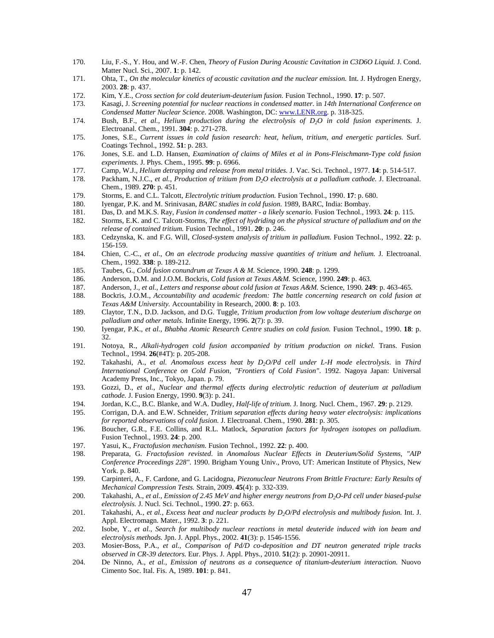- 170. Liu, F.-S., Y. Hou, and W.-F. Chen, *Theory of Fusion During Acoustic Cavitation in C3D6O Liquid.* J. Cond. Matter Nucl. Sci., 2007. **1**: p. 142.
- 171. Ohta, T., *On the molecular kinetics of acoustic cavitation and the nuclear emission.* Int. J. Hydrogen Energy, 2003. **28**: p. 437.
- 172. Kim, Y.E., *Cross section for cold deuterium-deuterium fusion.* Fusion Technol., 1990. **17**: p. 507.
- 173. Kasagi, J. *Screening potential for nuclear reactions in condensed matter*. in *14th International Conference on Condensed Matter Nuclear Science*. 2008. Washington, DC: www.LENR.org. p. 318-325.
- 174. Bush, B.F., *et al.*, *Helium production during the electrolysis of D2O in cold fusion experiments.* J. Electroanal. Chem., 1991. **304**: p. 271-278.
- 175. Jones, S.E., *Current issues in cold fusion research: heat, helium, tritium, and energetic particles.* Surf. Coatings Technol., 1992. **51**: p. 283.
- 176. Jones, S.E. and L.D. Hansen, *Examination of claims of Miles et al in Pons-Fleischmann-Type cold fusion experiments.* J. Phys. Chem., 1995. **99**: p. 6966.
- 177. Camp, W.J., *Helium detrapping and release from metal tritides.* J. Vac. Sci. Technol., 1977. **14**: p. 514-517.
- 178. Packham, N.J.C., *et al.*, *Production of tritium from D2O electrolysis at a palladium cathode.* J. Electroanal. Chem., 1989. **270**: p. 451.
- 179. Storms, E. and C.L. Talcott, *Electrolytic tritium production.* Fusion Technol., 1990. **17**: p. 680.
- 180. Iyengar, P.K. and M. Srinivasan, *BARC studies in cold fusion*. 1989, BARC, India: Bombay.
- 181. Das, D. and M.K.S. Ray, *Fusion in condensed matter a likely scenario.* Fusion Technol., 1993. **24**: p. 115.
- 182. Storms, E.K. and C. Talcott-Storms, *The effect of hydriding on the physical structure of palladium and on the release of contained tritium.* Fusion Technol., 1991. **20**: p. 246.
- 183. Cedzynska, K. and F.G. Will, *Closed-system analysis of tritium in palladium.* Fusion Technol., 1992. **22**: p. 156-159.
- 184. Chien, C.-C., *et al.*, *On an electrode producing massive quantities of tritium and helium.* J. Electroanal. Chem., 1992. **338**: p. 189-212.
- 185. Taubes, G., *Cold fusion conundrum at Texas A & M.* Science, 1990. **248**: p. 1299.
- 186. Anderson, D.M. and J.O.M. Bockris, *Cold fusion at Texas A&M.* Science, 1990. **249**: p. 463.
- 187. Anderson, J., *et al.*, *Letters and response about cold fusion at Texas A&M.* Science, 1990. **249**: p. 463-465.
- 188. Bockris, J.O.M., *Accountability and academic freedom: The battle concerning research on cold fusion at Texas A&M University.* Accountability in Research, 2000. **8**: p. 103.
- 189. Claytor, T.N., D.D. Jackson, and D.G. Tuggle, *Tritium production from low voltage deuterium discharge on palladium and other metals.* Infinite Energy, 1996. **2**(7): p. 39.
- 190. Iyengar, P.K., *et al.*, *Bhabha Atomic Research Centre studies on cold fusion.* Fusion Technol., 1990. **18**: p. 32.
- 191. Notoya, R., *Alkali-hydrogen cold fusion accompanied by tritium production on nickel.* Trans. Fusion Technol., 1994. **26**(#4T): p. 205-208.
- 192. Takahashi, A., *et al. Anomalous excess heat by D2O/Pd cell under L-H mode electrolysis*. in *Third International Conference on Cold Fusion, "Frontiers of Cold Fusion"*. 1992. Nagoya Japan: Universal Academy Press, Inc., Tokyo, Japan. p. 79.
- 193. Gozzi, D., *et al.*, *Nuclear and thermal effects during electrolytic reduction of deuterium at palladium cathode.* J. Fusion Energy, 1990. **9**(3): p. 241.
- 194. Jordan, K.C., B.C. Blanke, and W.A. Dudley, *Half-life of tritium.* J. Inorg. Nucl. Chem., 1967. **29**: p. 2129.
- 195. Corrigan, D.A. and E.W. Schneider, *Tritium separation effects during heavy water electrolysis: implications for reported observations of cold fusion.* J. Electroanal. Chem., 1990. **281**: p. 305.
- 196. Boucher, G.R., F.E. Collins, and R.L. Matlock, *Separation factors for hydrogen isotopes on palladium.* Fusion Technol., 1993. **24**: p. 200.
- 197. Yasui, K., *Fractofusion mechanism.* Fusion Technol., 1992. **22**: p. 400.
- 198. Preparata, G. *Fractofusion revisted*. in *Anomalous Nuclear Effects in Deuterium/Solid Systems, "AIP Conference Proceedings 228"*. 1990. Brigham Young Univ., Provo, UT: American Institute of Physics, New York. p. 840.
- 199. Carpinteri, A., F. Cardone, and G. Lacidogna, *Piezonuclear Neutrons From Brittle Fracture: Early Results of Mechanical Compression Tests.* Strain, 2009. **45**(4): p. 332-339.
- 200. Takahashi, A., *et al.*, *Emission of 2.45 MeV and higher energy neutrons from D2O-Pd cell under biased-pulse electrolysis.* J. Nucl. Sci. Technol., 1990. **27**: p. 663.
- 201. Takahashi, A., *et al.*, *Excess heat and nuclear products by D2O/Pd electrolysis and multibody fusion.* Int. J. Appl. Electromagn. Mater., 1992. **3**: p. 221.
- 202. Isobe, Y., *et al.*, *Search for multibody nuclear reactions in metal deuteride induced with ion beam and electrolysis methods.* Jpn. J. Appl. Phys., 2002. **41**(3): p. 1546-1556.
- 203. Mosier-Boss, P.A., *et al.*, *Comparison of Pd/D co-deposition and DT neutron generated triple tracks observed in CR-39 detectors.* Eur. Phys. J. Appl. Phys., 2010. **51**(2): p. 20901-20911.
- 204. De Ninno, A., *et al.*, *Emission of neutrons as a consequence of titanium-deuterium interaction.* Nuovo Cimento Soc. Ital. Fis. A, 1989. **101**: p. 841.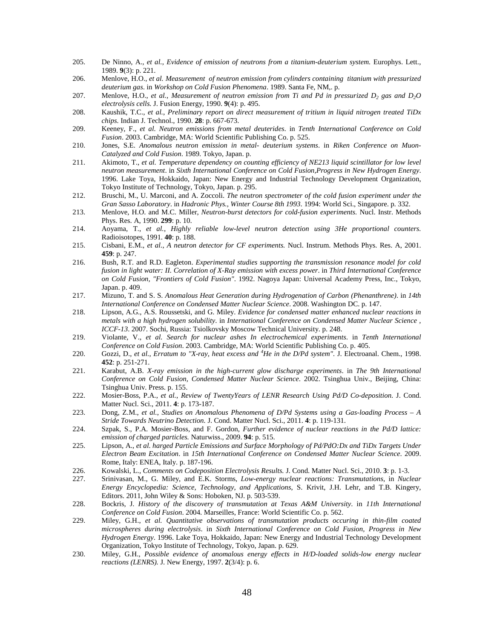- 205. De Ninno, A., *et al.*, *Evidence of emission of neutrons from a titanium-deuterium system.* Europhys. Lett., 1989. **9**(3): p. 221.
- 206. Menlove, H.O., *et al. Measurement of neutron emission from cylinders containing titanium with pressurized deuterium gas*. in *Workshop on Cold Fusion Phenomena*. 1989. Santa Fe, NM,. p.
- 207. Menlove, H.O., *et al.*, *Measurement of neutron emission from Ti and Pd in pressurized D<sup>2</sup> gas and D2O electrolysis cells.* J. Fusion Energy, 1990. **9**(4): p. 495.
- 208. Kaushik, T.C., *et al.*, *Preliminary report on direct measurement of tritium in liquid nitrogen treated TiDx chips.* Indian J. Technol., 1990. **28**: p. 667-673.
- 209. Keeney, F., *et al. Neutron emissions from metal deuterides*. in *Tenth International Conference on Cold Fusion*. 2003. Cambridge, MA: World Scientific Publishing Co. p. 525.
- 210. Jones, S.E. *Anomalous neutron emission in metal- deuterium systems*. in *Riken Conference on Muon-Catalyzed and Cold Fusion*. 1989. Tokyo, Japan. p.
- 211. Akimoto, T., *et al. Temperature dependency on counting efficiency of NE213 liquid scintillator for low level neutron measurement*. in *Sixth International Conference on Cold Fusion,Progress in New Hydrogen Energy*. 1996. Lake Toya, Hokkaido, Japan: New Energy and Industrial Technology Development Organization, Tokyo Institute of Technology, Tokyo, Japan. p. 295.
- 212. Bruschi, M., U. Marconi, and A. Zoccoli. *The neutron spectrometer of the cold fusion experiment under the Gran Sasso Laboratory*. in *Hadronic Phys., Winter Course 8th 1993*. 1994: World Sci., Singapore. p. 332.
- 213. Menlove, H.O. and M.C. Miller, *Neutron-burst detectors for cold-fusion experiments.* Nucl. Instr. Methods Phys. Res. A, 1990. **299**: p. 10.
- 214. Aoyama, T., *et al.*, *Highly reliable low-level neutron detection using 3He proportional counters.* Radioisotopes, 1991. **40**: p. 188.
- 215. Cisbani, E.M., *et al.*, *A neutron detector for CF experiments.* Nucl. Instrum. Methods Phys. Res. A, 2001. **459**: p. 247.
- 216. Bush, R.T. and R.D. Eagleton. *Experimental studies supporting the transmission resonance model for cold fusion in light water: II. Correlation of X-Ray emission with excess power*. in *Third International Conference on Cold Fusion, "Frontiers of Cold Fusion"*. 1992. Nagoya Japan: Universal Academy Press, Inc., Tokyo, Japan. p. 409.
- 217. Mizuno, T. and S. S. *Anomalous Heat Generation during Hydrogenation of Carbon (Phenanthrene)*. in *14th International Conference on Condensed Matter Nuclear Science*. 2008. Washington DC. p. 147.
- 218. Lipson, A.G., A.S. Roussetski, and G. Miley. *Evidence for condensed matter enhanced nuclear reactions in metals with a high hydrogen solubility*. in *International Conference on Condensed Matter Nuclear Science , ICCF-13*. 2007. Sochi, Russia: Tsiolkovsky Moscow Technical University. p. 248.
- 219. Violante, V., *et al. Search for nuclear ashes In electrochemical experiments*. in *Tenth International Conference on Cold Fusion*. 2003. Cambridge, MA: World Scientific Publishing Co. p. 405.
- 220. Gozzi, D., *et al.*, *Erratum to "X-ray, heat excess and <sup>4</sup>He in the D/Pd system".* J. Electroanal. Chem., 1998. **452**: p. 251-271.
- 221. Karabut, A.B. *X-ray emission in the high-current glow discharge experiments*. in *The 9th International Conference on Cold Fusion, Condensed Matter Nuclear Science*. 2002. Tsinghua Univ., Beijing, China: Tsinghua Univ. Press. p. 155.
- 222. Mosier-Boss, P.A., *et al.*, *Review of TwentyYears of LENR Research Using Pd/D Co-deposition.* J. Cond. Matter Nucl. Sci., 2011. **4**: p. 173-187.
- 223. Dong, Z.M., *et al.*, *Studies on Anomalous Phenomena of D/Pd Systems using a Gas-loading Process A Stride Towards Neutrino Detection.* J. Cond. Matter Nucl. Sci., 2011. **4**: p. 119-131.
- 224. Szpak, S., P.A. Mosier-Boss, and F. Gordon, *Further evidence of nuclear reactions in the Pd/D lattice: emission of charged particles.* Naturwiss., 2009. **94**: p. 515.
- 225. Lipson, A., *et al. harged Particle Emissions and Surface Morphology of Pd/PdO:Dx and TiDx Targets Under Electron Beam Excitation*. in *15th International Conference on Condensed Matter Nuclear Science*. 2009. Rome, Italy: ENEA, Italy. p. 187-196.
- 226. Kowalski, L., *Comments on Codeposition Electrolysis Results.* J. Cond. Matter Nucl. Sci., 2010. **3**: p. 1-3.
- 227. Srinivasan, M., G. Miley, and E.K. Storms, *Low-energy nuclear reactions: Transmutations*, in *Nuclear Energy Encyclopedia: Science, Technology, and Applications*, S. Krivit, J.H. Lehr, and T.B. Kingery, Editors. 2011, John Wiley & Sons: Hoboken, NJ. p. 503-539.
- 228. Bockris, J. *History of the discovery of transmutation at Texas A&M University*. in *11th International Conference on Cold Fusion*. 2004. Marseilles, France: World Scientific Co. p. 562.
- 229. Miley, G.H., *et al. Quantitative observations of transmutation products occuring in thin-film coated microspheres during electrolysis*. in *Sixth International Conference on Cold Fusion, Progress in New Hydrogen Energy*. 1996. Lake Toya, Hokkaido, Japan: New Energy and Industrial Technology Development Organization, Tokyo Institute of Technology, Tokyo, Japan. p. 629.
- 230. Miley, G.H., *Possible evidence of anomalous energy effects in H/D-loaded solids-low energy nuclear reactions (LENRS).* J. New Energy, 1997. **2**(3/4): p. 6.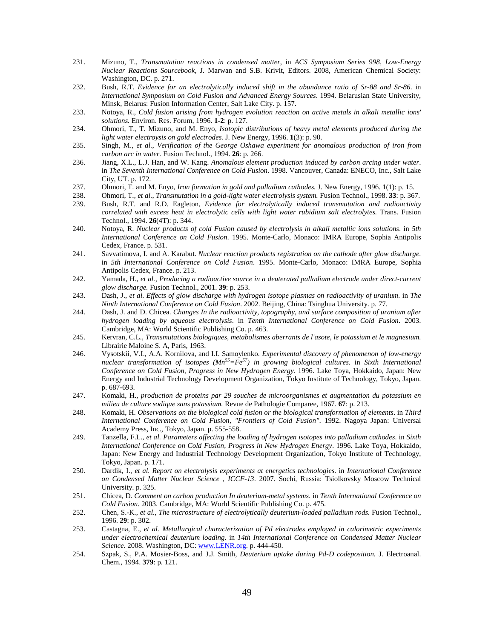- 231. Mizuno, T., *Transmutation reactions in condensed matter*, in *ACS Symposium Series 998, Low-Energy Nuclear Reactions Sourcebook*, J. Marwan and S.B. Krivit, Editors. 2008, American Chemical Society: Washington, DC. p. 271.
- 232. Bush, R.T. *Evidence for an electrolytically induced shift in the abundance ratio of Sr-88 and Sr-86*. in *International Symposium on Cold Fusion and Advanced Energy Sources*. 1994. Belarusian State University, Minsk, Belarus: Fusion Information Center, Salt Lake City. p. 157.
- 233. Notoya, R., *Cold fusion arising from hydrogen evolution reaction on active metals in alkali metallic ions' solutions.* Environ. Res. Forum, 1996. **1-2**: p. 127.
- 234. Ohmori, T., T. Mizuno, and M. Enyo, *Isotopic distributions of heavy metal elements produced during the light water electroysis on gold electrodes.* J. New Energy, 1996. **1**(3): p. 90.
- 235. Singh, M., *et al.*, *Verification of the George Oshawa experiment for anomalous production of iron from carbon arc in water.* Fusion Technol., 1994. **26**: p. 266.
- 236. Jiang, X.L., L.J. Han, and W. Kang. *Anomalous element production induced by carbon arcing under water*. in *The Seventh International Conference on Cold Fusion*. 1998. Vancouver, Canada: ENECO, Inc., Salt Lake City, UT. p. 172.
- 237. Ohmori, T. and M. Enyo, *Iron formation in gold and palladium cathodes.* J. New Energy, 1996. **1**(1): p. 15.
- 238. Ohmori, T., *et al.*, *Transmutation in a gold-light water electrolysis system.* Fusion Technol., 1998. **33**: p. 367.
- 239. Bush, R.T. and R.D. Eagleton, *Evidence for electrolytically induced transmutation and radioactivity correlated with excess heat in electrolytic cells with light water rubidium salt electrolytes.* Trans. Fusion Technol., 1994. **26**(4T): p. 344.
- 240. Notoya, R. *Nuclear products of cold Fusion caused by electrolysis in alkali metallic ions solutions*. in *5th International Conference on Cold Fusion*. 1995. Monte-Carlo, Monaco: IMRA Europe, Sophia Antipolis Cedex, France. p. 531.
- 241. Savvatimova, I. and A. Karabut. *Nuclear reaction products registration on the cathode after glow discharge.* in *5th International Conference on Cold Fusion*. 1995. Monte-Carlo, Monaco: IMRA Europe, Sophia Antipolis Cedex, France. p. 213.
- 242. Yamada, H., *et al.*, *Producing a radioactive source in a deuterated palladium electrode under direct-current glow discharge.* Fusion Technol., 2001. **39**: p. 253.
- 243. Dash, J., *et al. Effects of glow discharge with hydrogen isotope plasmas on radioactivity of uranium*. in *The Ninth International Conference on Cold Fusion*. 2002. Beijing, China: Tsinghua University. p. 77.
- 244. Dash, J. and D. Chicea. *Changes In the radioactivity, topography, and surface composition of uranium after hydrogen loading by aqueous electrolysis*. in *Tenth International Conference on Cold Fusion*. 2003. Cambridge, MA: World Scientific Publishing Co. p. 463.
- 245. Kervran, C.L., *Transmutations biologiques, metabolismes aberrants de l'asote, le potassium et le magnesium.* Librairie Maloine S. A, Paris, 1963.
- 246. Vysotskii, V.I., A.A. Kornilova, and I.I. Samoylenko. *Experimental discovery of phenomenon of low-energy nuclear transformation of isotopes (Mn<sup>55</sup>=Fe<sup>57</sup>) in growing biological cultures*. in *Sixth International Conference on Cold Fusion, Progress in New Hydrogen Energy*. 1996. Lake Toya, Hokkaido, Japan: New Energy and Industrial Technology Development Organization, Tokyo Institute of Technology, Tokyo, Japan. p. 687-693.
- 247. Komaki, H., *production de proteins par 29 souches de microorganismes et augmentation du potassium en milieu de culture sodique sans potassium.* Revue de Pathologie Comparee, 1967. **67**: p. 213.
- 248. Komaki, H. *Observations on the biological cold fusion or the biological transformation of elements*. in *Third International Conference on Cold Fusion, "Frontiers of Cold Fusion"*. 1992. Nagoya Japan: Universal Academy Press, Inc., Tokyo, Japan. p. 555-558.
- 249. Tanzella, F.L., *et al. Parameters affecting the loading of hydrogen isotopes into palladium cathodes*. in *Sixth International Conference on Cold Fusion, Progress in New Hydrogen Energy*. 1996. Lake Toya, Hokkaido, Japan: New Energy and Industrial Technology Development Organization, Tokyo Institute of Technology, Tokyo, Japan. p. 171.
- 250. Dardik, I., *et al. Report on electrolysis experiments at energetics technologies*. in *International Conference on Condensed Matter Nuclear Science , ICCF-13*. 2007. Sochi, Russia: Tsiolkovsky Moscow Technical University. p. 325.
- 251. Chicea, D. *Comment on carbon production In deuterium-metal systems*. in *Tenth International Conference on Cold Fusion*. 2003. Cambridge, MA: World Scientific Publishing Co. p. 475.
- 252. Chen, S.-K., *et al.*, *The microstructure of electrolytically deuterium-loaded palladium rods.* Fusion Technol., 1996. **29**: p. 302.
- 253. Castagna, E., *et al. Metallurgical characterization of Pd electrodes employed in calorimetric experiments under electrochemical deuterium loading*. in *14th International Conference on Condensed Matter Nuclear Science*. 2008. Washington, DC: www.LENR.org. p. 444-450.
- 254. Szpak, S., P.A. Mosier-Boss, and J.J. Smith, *Deuterium uptake during Pd-D codeposition.* J. Electroanal. Chem., 1994. **379**: p. 121.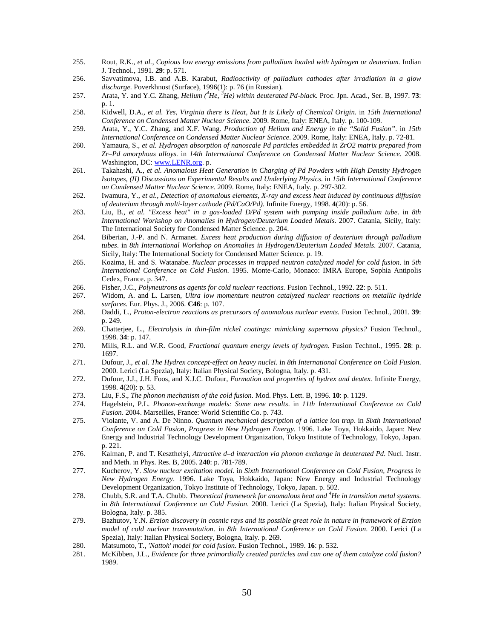- 255. Rout, R.K., *et al.*, *Copious low energy emissions from palladium loaded with hydrogen or deuterium.* Indian J. Technol., 1991. **29**: p. 571.
- 256. Savvatimova, I.B. and A.B. Karabut, *Radioactivity of palladium cathodes after irradiation in a glow discharge.* Poverkhnost (Surface), 1996(1): p. 76 (in Russian).
- 257. Arata, Y. and Y.C. Zhang, *Helium (<sup>4</sup>He, <sup>3</sup>He) within deuterated Pd-black.* Proc. Jpn. Acad., Ser. B, 1997. **73**: p. 1.
- 258. Kidwell, D.A., *et al. Yes, Virginia there is Heat, but It is Likely of Chemical Origin*. in *15th International Conference on Condensed Matter Nuclear Science*. 2009. Rome, Italy: ENEA, Italy. p. 100-109.
- 259. Arata, Y., Y.C. Zhang, and X.F. Wang. *Production of Helium and Energy in the "Solid Fusion"*. in *15th International Conference on Condensed Matter Nuclear Science*. 2009. Rome, Italy: ENEA, Italy. p. 72-81.
- 260. Yamaura, S., *et al. Hydrogen absorption of nanoscale Pd particles embedded in ZrO2 matrix prepared from Zr–Pd amorphous alloys*. in *14th International Conference on Condensed Matter Nuclear Science*. 2008. Washington, DC: www.LENR.org. p.
- 261. Takahashi, A., *et al. Anomalous Heat Generation in Charging of Pd Powders with High Density Hydrogen Isotopes, (II) Discussions on Experimental Results and Underlying Physics*. in *15th International Conference on Condensed Matter Nuclear Science*. 2009. Rome, Italy: ENEA, Italy. p. 297-302.
- 262. Iwamura, Y., *et al.*, *Detection of anomalous elements, X-ray and excess heat induced by continuous diffusion of deuterium through multi-layer cathode (Pd/CaO/Pd).* Infinite Energy, 1998. **4**(20): p. 56.
- 263. Liu, B., *et al. "Excess heat" in a gas-loaded D/Pd system with pumping inside palladium tube*. in *8th International Workshop on Anomalies in Hydrogen/Deuterium Loaded Metals*. 2007. Catania, Sicily, Italy: The International Society for Condensed Matter Science. p. 204.
- 264. Biberian, J.-P. and N. Armanet. *Excess heat production during diffusion of deuterium through palladium tubes*. in *8th International Workshop on Anomalies in Hydrogen/Deuterium Loaded Metals*. 2007. Catania, Sicily, Italy: The International Society for Condensed Matter Science. p. 19.
- 265. Kozima, H. and S. Watanabe. *Nuclear processes in trapped neutron catalyzed model for cold fusion*. in *5th International Conference on Cold Fusion*. 1995. Monte-Carlo, Monaco: IMRA Europe, Sophia Antipolis Cedex, France. p. 347.
- 266. Fisher, J.C., *Polyneutrons as agents for cold nuclear reactions.* Fusion Technol., 1992. **22**: p. 511.
- 267. Widom, A. and L. Larsen, *Ultra low momentum neutron catalyzed nuclear reactions on metallic hydride surfaces.* Eur. Phys. J., 2006. **C46**: p. 107.
- 268. Daddi, L., *Proton-electron reactions as precursors of anomalous nuclear events.* Fusion Technol., 2001. **39**: p. 249.
- 269. Chatterjee, L., *Electrolysis in thin-film nickel coatings: mimicking supernova physics?* Fusion Technol., 1998. **34**: p. 147.
- 270. Mills, R.L. and W.R. Good, *Fractional quantum energy levels of hydrogen.* Fusion Technol., 1995. **28**: p. 1697.
- 271. Dufour, J., *et al. The Hydrex concept-effect on heavy nuclei*. in *8th International Conference on Cold Fusion*. 2000. Lerici (La Spezia), Italy: Italian Physical Society, Bologna, Italy. p. 431.
- 272. Dufour, J.J., J.H. Foos, and X.J.C. Dufour, *Formation and properties of hydrex and deutex.* Infinite Energy, 1998. **4**(20): p. 53.
- 273. Liu, F.S., *The phonon mechanism of the cold fusion.* Mod. Phys. Lett. B, 1996. **10**: p. 1129.
- 274. Hagelstein, P.L. *Phonon-exchange models: Some new results*. in *11th International Conference on Cold Fusion*. 2004. Marseilles, France: World Scientific Co. p. 743.
- 275. Violante, V. and A. De Ninno. *Quantum mechanical description of a lattice ion trap*. in *Sixth International Conference on Cold Fusion, Progress in New Hydrogen Energy*. 1996. Lake Toya, Hokkaido, Japan: New Energy and Industrial Technology Development Organization, Tokyo Institute of Technology, Tokyo, Japan. p. 221.
- 276. Kalman, P. and T. Keszthelyi, *Attractive d–d interaction via phonon exchange in deuterated Pd.* Nucl. Instr. and Meth. in Phys. Res. B, 2005. **240**: p. 781-789.
- 277. Kucherov, Y. *Slow nuclear excitation model*. in *Sixth International Conference on Cold Fusion, Progress in New Hydrogen Energy*. 1996. Lake Toya, Hokkaido, Japan: New Energy and Industrial Technology Development Organization, Tokyo Institute of Technology, Tokyo, Japan. p. 502.
- 278. Chubb, S.R. and T.A. Chubb. *Theoretical framework for anomalous heat and <sup>4</sup>He in transition metal systems*. in *8th International Conference on Cold Fusion*. 2000. Lerici (La Spezia), Italy: Italian Physical Society, Bologna, Italy. p. 385.
- 279. Bazhutov, Y.N. *Erzion discovery in cosmic rays and its possible great role in nature in framework of Erzion model of cold nuclear transmutation*. in *8th International Conference on Cold Fusion*. 2000. Lerici (La Spezia), Italy: Italian Physical Society, Bologna, Italy. p. 269.
- 280. Matsumoto, T., *'Nattoh' model for cold fusion.* Fusion Technol., 1989. **16**: p. 532.
- 281. McKibben, J.L., *Evidence for three primordially created particles and can one of them catalyze cold fusion?* 1989.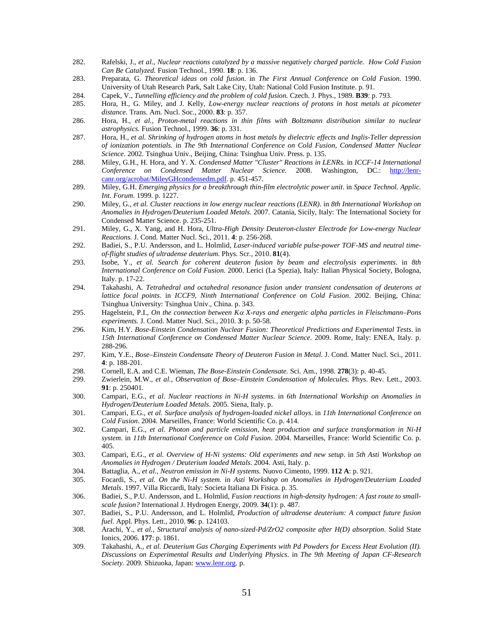- 282. Rafelski, J., *et al.*, *Nuclear reactions catalyzed by a massive negatively charged particle. How Cold Fusion Can Be Catalyzed.* Fusion Technol., 1990. **18**: p. 136.
- 283. Preparata, G. *Theoretical ideas on cold fusion*. in *The First Annual Conference on Cold Fusion*. 1990. University of Utah Research Park, Salt Lake City, Utah: National Cold Fusion Institute. p. 91.
- 284. Capek, V., *Tunnelling efficiency and the problem of cold fusion.* Czech. J. Phys., 1989. **B39**: p. 793.
- 285. Hora, H., G. Miley, and J. Kelly, *Low-energy nuclear reactions of protons in host metals at picometer distance.* Trans. Am. Nucl. Soc., 2000. **83**: p. 357.
- 286. Hora, H., *et al.*, *Proton-metal reactions in thin films with Boltzmann distribution similar to nuclear astrophysics.* Fusion Technol., 1999. **36**: p. 331.
- 287. Hora, H., *et al. Shrinking of hydrogen atoms in host metals by dielectric effects and Inglis-Teller depression of ionization potentials.* in *The 9th International Conference on Cold Fusion, Condensed Matter Nuclear Science*. 2002. Tsinghua Univ., Beijing, China: Tsinghua Univ. Press. p. 135.
- 288. Miley, G.H., H. Hora, and Y. X. *Condensed Matter "Cluster" Reactions in LENRs.* in *ICCF-14 International Conference on Condensed Matter Nuclear Science.* 2008. Washington, DC.: http://lenrcanr.org/acrobat/MileyGHcondensedm.pdf. p. 451-457.
- 289. Miley, G.H. *Emerging physics for a breakthrough thin-film electrolytic power unit*. in *Space Technol. Applic. Int. Forum*. 1999. p. 1227.
- 290. Miley, G., *et al. Cluster reactions in low energy nuclear reactions (LENR)*. in *8th International Workshop on Anomalies in Hydrogen/Deuterium Loaded Metals*. 2007. Catania, Sicily, Italy: The International Society for Condensed Matter Science. p. 235-251.
- 291. Miley, G., X. Yang, and H. Hora, *Ultra-High Density Deuteron-cluster Electrode for Low-energy Nuclear Reactions.* J. Cond. Matter Nucl. Sci., 2011. **4**: p. 256-268.
- 292. Badiei, S., P.U. Andersson, and L. Holmlid, *Laser-induced variable pulse-power TOF-MS and neutral timeof-flight studies of ultradense deuterium.* Phys. Scr., 2010. **81**(4).
- 293. Isobe, Y., *et al. Search for coherent deuteron fusion by beam and electrolysis experiments*. in *8th International Conference on Cold Fusion*. 2000. Lerici (La Spezia), Italy: Italian Physical Society, Bologna, Italy. p. 17-22.
- 294. Takahashi, A. *Tetrahedral and octahedral resonance fusion under transient condensation of deuterons at lattice focal points*. in *ICCF9, Ninth International Conference on Cold Fusion*. 2002. Beijing, China: Tsinghua University: Tsinghua Univ., China. p. 343.
- 295. Hagelstein, P.I., *On the connection between K X-rays and energetic alpha particles in Fleischmann–Pons experiments.* J. Cond. Matter Nucl. Sci., 2010. **3**: p. 50-58.
- 296. Kim, H.Y. *Bose-Einstein Condensation Nuclear Fusion: Theoretical Predictions and Experimental Tests*. in *15th International Conference on Condensed Matter Nuclear Science*. 2009. Rome, Italy: ENEA, Italy. p. 288-296.
- 297. Kim, Y.E., *Bose–Einstein Condensate Theory of Deuteron Fusion in Metal.* J. Cond. Matter Nucl. Sci., 2011. **4**: p. 188-201.
- 298. Cornell, E.A. and C.E. Wieman, *The Bose-Einstein Condensate.* Sci. Am., 1998. **278**(3): p. 40-45.
- 299. Zwierlein, M.W., *et al.*, *Observation of Bose–Einstein Condensation of Molecules.* Phys. Rev. Lett., 2003. **91**: p. 250401.
- 300. Campari, E.G., *et al. Nuclear reactions in Ni-H systems*. in *6th International Workship on Anomalies in Hydrogen/Deuterium Loaded Metals*. 2005. Siena, Italy. p.
- 301. Campari, E.G., *et al. Surface analysis of hydrogen-loaded nickel alloys*. in *11th International Conference on Cold Fusion*. 2004. Marseilles, France: World Scientific Co. p. 414.
- 302. Campari, E.G., *et al. Photon and particle emission, heat production and surface transformation in Ni-H system*. in *11th International Conference on Cold Fusion*. 2004. Marseilles, France: World Scientific Co. p. 405.
- 303. Campari, E.G., *et al. Overview of H-Ni systems: Old experiments and new setup*. in *5th Asti Workshop on Anomalies in Hydrogen / Deuterium loaded Metals*. 2004. Asti, Italy. p.
- 304. Battaglia, A., *et al.*, *Neutron emission in Ni-H systems.* Nuovo Cimento, 1999. **112 A**: p. 921.
- 305. Focardi, S., *et al. On the Ni-H system*. in *Asti Workshop on Anomalies in Hydrogen/Deuterium Loaded Metals*. 1997. Villa Riccardi, Italy: Societa Italiana Di Fisica. p. 35.
- 306. Badiei, S., P.U. Andersson, and L. Holmlid, *Fusion reactions in high-density hydrogen: A fast route to smallscale fusion?* International J. Hydrogen Energy, 2009. **34**(1): p. 487.
- 307. Badiei, S., P.U. Andersson, and L. Holmlid, *Production of ultradense deuterium: A compact future fusion fuel.* Appl. Phys. Lett., 2010. **96**: p. 124103.
- 308. Arachi, Y., *et al.*, *Structural analysis of nano-sized-Pd/ZrO2 composite after H(D) absorption.* Solid State Ionics, 2006. **177**: p. 1861.
- 309. Takahashi, A., *et al. Deuterium Gas Charging Experiments with Pd Powders for Excess Heat Evolution (II). Discussions on Experimental Results and Underlying Physics*. in *The 9th Meeting of Japan CF-Research Society.* 2009. Shizuoka, Japan: www.lenr.org. p.